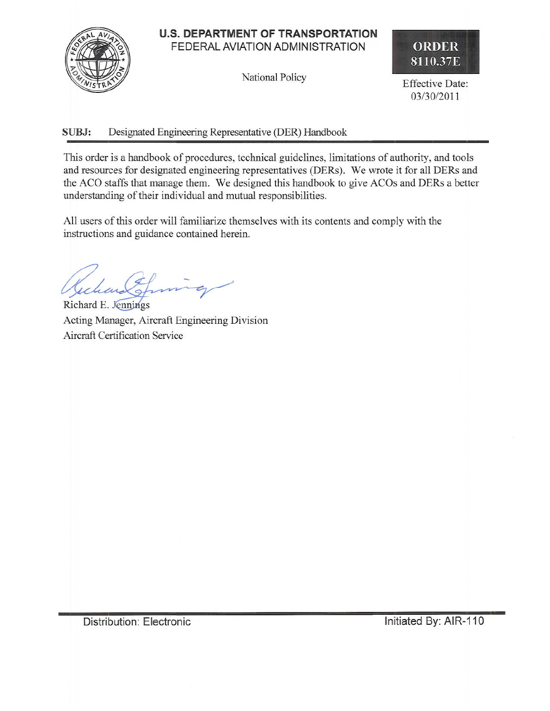# **U.S. DEPARTMENT OF TRANSPORTATION** FEDERAL AVIATION ADMINISTRATION

National Policy



**Effective Date:** 03/30/2011

#### SUBJ: Designated Engineering Representative (DER) Handbook

This order is a handbook of procedures, technical guidelines, limitations of authority, and tools and resources for designated engineering representatives (DERs). We wrote it for all DERs and the ACO staffs that manage them. We designed this handbook to give ACOs and DERs a better understanding of their individual and mutual responsibilities.

All users of this order will familiarize themselves with its contents and comply with the instructions and guidance contained herein.

Richard E. Jennings Acting Manager, Aircraft Engineering Division Aircraft Certification Service

Distribution: Electronic

Initiated By: AIR-110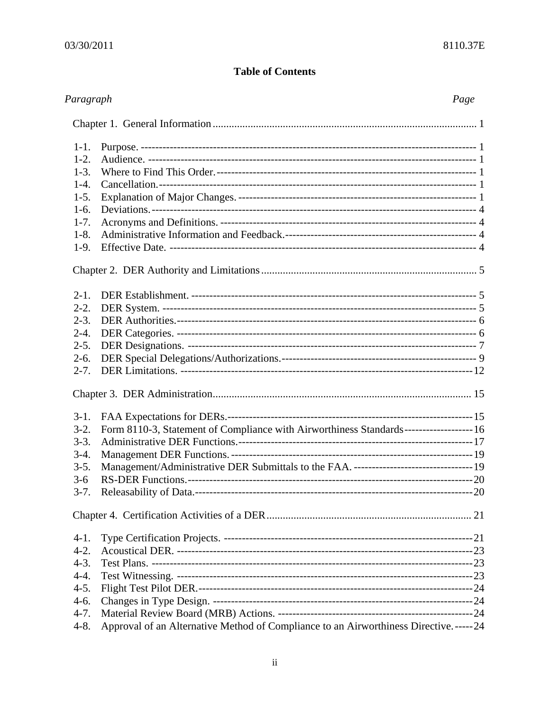# **Table of Contents**

| Paragraph |                                                                                           | Page |
|-----------|-------------------------------------------------------------------------------------------|------|
|           |                                                                                           |      |
| $1-1.$    |                                                                                           |      |
| $1-2.$    |                                                                                           |      |
| $1-3.$    |                                                                                           |      |
| $1-4.$    |                                                                                           |      |
| $1-5.$    |                                                                                           |      |
| $1-6.$    |                                                                                           |      |
| $1 - 7$ . |                                                                                           |      |
| $1-8.$    |                                                                                           |      |
| $1-9.$    |                                                                                           |      |
|           |                                                                                           |      |
| $2-1.$    |                                                                                           |      |
| $2-2.$    |                                                                                           |      |
| $2 - 3$ . |                                                                                           |      |
| $2 - 4.$  |                                                                                           |      |
| $2 - 5.$  |                                                                                           |      |
| $2-6.$    |                                                                                           |      |
| $2 - 7$ . |                                                                                           |      |
|           |                                                                                           |      |
| $3-1.$    |                                                                                           |      |
| $3-2.$    | Form 8110-3, Statement of Compliance with Airworthiness Standards--------------------- 16 |      |
| $3-3.$    |                                                                                           |      |
| $3-4.$    |                                                                                           |      |
| $3-5.$    |                                                                                           |      |
| $3-6$     |                                                                                           |      |
|           |                                                                                           |      |
|           |                                                                                           |      |
| $4-1.$    |                                                                                           |      |
| $4-2.$    |                                                                                           |      |
| $4-3.$    |                                                                                           |      |
| $4-4.$    |                                                                                           |      |
| $4-5.$    |                                                                                           |      |
| $4-6.$    |                                                                                           |      |
| $4 - 7.$  |                                                                                           |      |
| $4 - 8$ . | Approval of an Alternative Method of Compliance to an Airworthiness Directive.-----24     |      |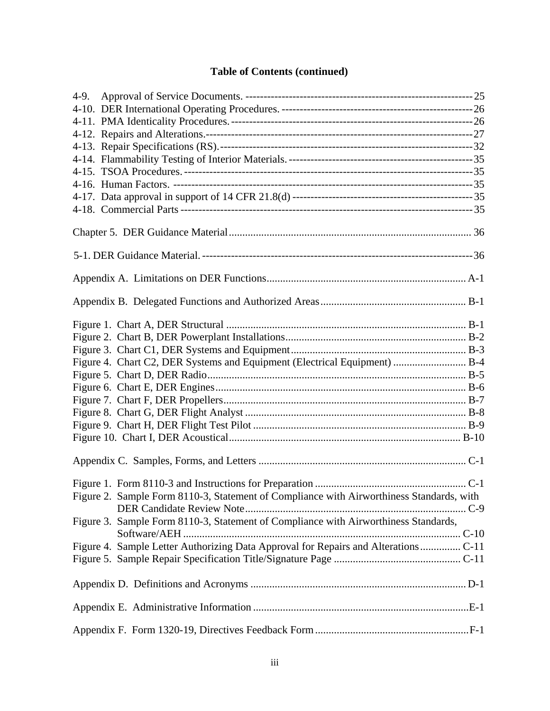# **Table of Contents (continued)**

| Figure 4. Chart C2, DER Systems and Equipment (Electrical Equipment)  B-4                |  |
|------------------------------------------------------------------------------------------|--|
|                                                                                          |  |
|                                                                                          |  |
|                                                                                          |  |
|                                                                                          |  |
|                                                                                          |  |
|                                                                                          |  |
|                                                                                          |  |
|                                                                                          |  |
| Figure 2. Sample Form 8110-3, Statement of Compliance with Airworthiness Standards, with |  |
|                                                                                          |  |
| Figure 3. Sample Form 8110-3, Statement of Compliance with Airworthiness Standards,      |  |
|                                                                                          |  |
|                                                                                          |  |
|                                                                                          |  |
|                                                                                          |  |
|                                                                                          |  |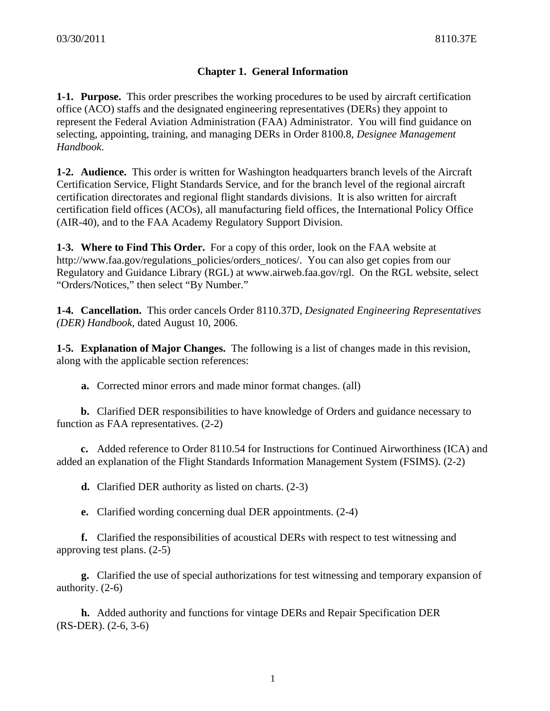# **Chapter 1. General Information**

**1-1. Purpose.** This order prescribes the working procedures to be used by aircraft certification office (ACO) staffs and the designated engineering representatives (DERs) they appoint to represent the Federal Aviation Administration (FAA) Administrator. You will find guidance on selecting, appointing, training, and managing DERs in Order 8100.8, *Designee Management Handbook*.

**1-2. Audience.** This order is written for Washington headquarters branch levels of the Aircraft Certification Service, Flight Standards Service, and for the branch level of the regional aircraft certification directorates and regional flight standards divisions. It is also written for aircraft certification field offices (ACOs), all manufacturing field offices, the International Policy Office (AIR-40), and to the FAA Academy Regulatory Support Division.

**1-3. Where to Find This Order.** For a copy of this order, look on the FAA website at http://www.faa.gov/regulations\_policies/orders\_notices/. You can also get copies from our Regulatory and Guidance Library (RGL) at www.airweb.faa.gov/rgl. On the RGL website, select "Orders/Notices," then select "By Number."

**1-4. Cancellation.** This order cancels Order 8110.37D, *Designated Engineering Representatives (DER) Handbook*, dated August 10, 2006.

**1-5. Explanation of Major Changes.** The following is a list of changes made in this revision, along with the applicable section references:

**a.** Corrected minor errors and made minor format changes. (all)

**b.** Clarified DER responsibilities to have knowledge of Orders and guidance necessary to function as FAA representatives. (2-2)

**c.** Added reference to Order 8110.54 for Instructions for Continued Airworthiness (ICA) and added an explanation of the Flight Standards Information Management System (FSIMS). (2-2)

**d.** Clarified DER authority as listed on charts. (2-3)

**e.** Clarified wording concerning dual DER appointments. (2-4)

**f.** Clarified the responsibilities of acoustical DERs with respect to test witnessing and approving test plans. (2-5)

**g.** Clarified the use of special authorizations for test witnessing and temporary expansion of authority. (2-6)

**h.** Added authority and functions for vintage DERs and Repair Specification DER (RS-DER). (2-6, 3-6)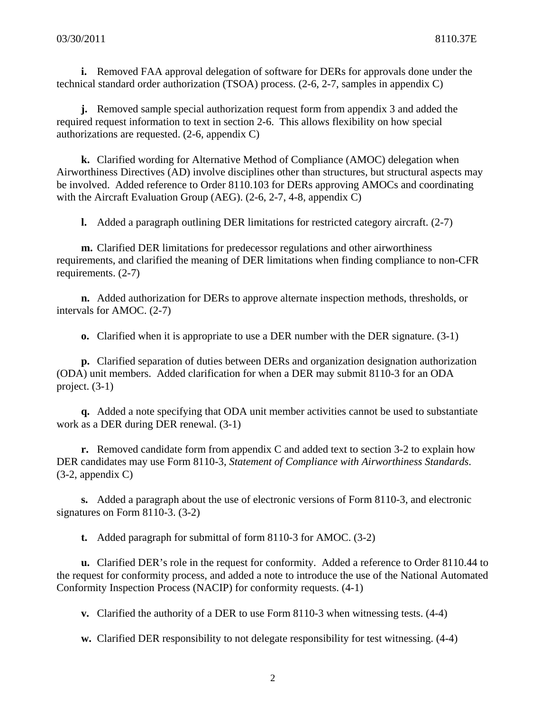**i.** Removed FAA approval delegation of software for DERs for approvals done under the technical standard order authorization (TSOA) process. (2-6, 2-7, samples in appendix C)

**j.** Removed sample special authorization request form from appendix 3 and added the required request information to text in section 2-6. This allows flexibility on how special authorizations are requested. (2-6, appendix C)

**k.** Clarified wording for Alternative Method of Compliance (AMOC) delegation when Airworthiness Directives (AD) involve disciplines other than structures, but structural aspects may be involved. Added reference to Order 8110.103 for DERs approving AMOCs and coordinating with the Aircraft Evaluation Group (AEG). (2-6, 2-7, 4-8, appendix C)

**l.** Added a paragraph outlining DER limitations for restricted category aircraft. (2-7)

**m.** Clarified DER limitations for predecessor regulations and other airworthiness requirements, and clarified the meaning of DER limitations when finding compliance to non-CFR requirements. (2-7)

**n.** Added authorization for DERs to approve alternate inspection methods, thresholds, or intervals for AMOC. (2-7)

**o.** Clarified when it is appropriate to use a DER number with the DER signature. (3-1)

**p.** Clarified separation of duties between DERs and organization designation authorization (ODA) unit members. Added clarification for when a DER may submit 8110-3 for an ODA project. (3-1)

**q.** Added a note specifying that ODA unit member activities cannot be used to substantiate work as a DER during DER renewal. (3-1)

**r.** Removed candidate form from appendix C and added text to section 3-2 to explain how DER candidates may use Form 8110-3, *Statement of Compliance with Airworthiness Standards*. (3-2, appendix C)

**s.** Added a paragraph about the use of electronic versions of Form 8110-3, and electronic signatures on Form 8110-3. (3-2)

**t.** Added paragraph for submittal of form 8110-3 for AMOC. (3-2)

**u.** Clarified DER's role in the request for conformity. Added a reference to Order 8110.44 to the request for conformity process, and added a note to introduce the use of the National Automated Conformity Inspection Process (NACIP) for conformity requests. (4-1)

**v.** Clarified the authority of a DER to use Form 8110-3 when witnessing tests. (4-4)

**w.** Clarified DER responsibility to not delegate responsibility for test witnessing. (4-4)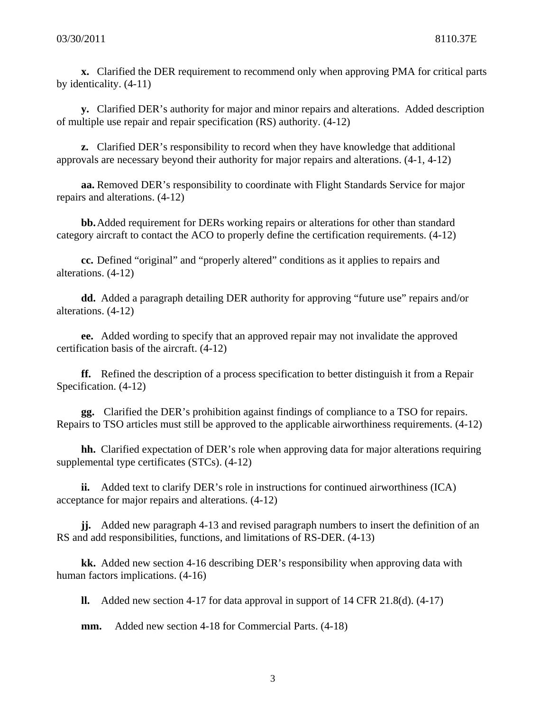**x.** Clarified the DER requirement to recommend only when approving PMA for critical parts by identicality. (4-11)

**y.** Clarified DER's authority for major and minor repairs and alterations. Added description of multiple use repair and repair specification (RS) authority. (4-12)

**z.** Clarified DER's responsibility to record when they have knowledge that additional approvals are necessary beyond their authority for major repairs and alterations. (4-1, 4-12)

**aa.** Removed DER's responsibility to coordinate with Flight Standards Service for major repairs and alterations. (4-12)

**bb.**Added requirement for DERs working repairs or alterations for other than standard category aircraft to contact the ACO to properly define the certification requirements. (4-12)

**cc.** Defined "original" and "properly altered" conditions as it applies to repairs and alterations. (4-12)

**dd.** Added a paragraph detailing DER authority for approving "future use" repairs and/or alterations. (4-12)

**ee.** Added wording to specify that an approved repair may not invalidate the approved certification basis of the aircraft. (4-12)

**ff.** Refined the description of a process specification to better distinguish it from a Repair Specification. (4-12)

**gg.** Clarified the DER's prohibition against findings of compliance to a TSO for repairs. Repairs to TSO articles must still be approved to the applicable airworthiness requirements. (4-12)

**hh.** Clarified expectation of DER's role when approving data for major alterations requiring supplemental type certificates (STCs). (4-12)

**ii.** Added text to clarify DER's role in instructions for continued airworthiness (ICA) acceptance for major repairs and alterations. (4-12)

**jj.** Added new paragraph 4-13 and revised paragraph numbers to insert the definition of an RS and add responsibilities, functions, and limitations of RS-DER. (4-13)

**kk.** Added new section 4-16 describing DER's responsibility when approving data with human factors implications. (4-16)

**ll.** Added new section 4-17 for data approval in support of 14 CFR 21.8(d). (4-17)

**mm.** Added new section 4-18 for Commercial Parts. (4-18)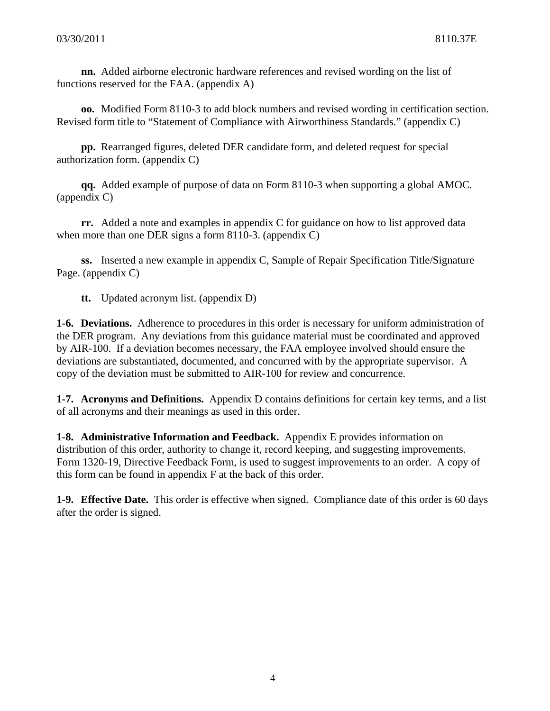**nn.** Added airborne electronic hardware references and revised wording on the list of functions reserved for the FAA. (appendix A)

**oo.** Modified Form 8110-3 to add block numbers and revised wording in certification section. Revised form title to "Statement of Compliance with Airworthiness Standards." (appendix C)

**pp.** Rearranged figures, deleted DER candidate form, and deleted request for special authorization form. (appendix C)

**qq.** Added example of purpose of data on Form 8110-3 when supporting a global AMOC. (appendix C)

**rr.** Added a note and examples in appendix C for guidance on how to list approved data when more than one DER signs a form 8110-3. (appendix C)

**ss.** Inserted a new example in appendix C, Sample of Repair Specification Title/Signature Page. (appendix C)

**tt.** Updated acronym list. (appendix D)

**1-6. Deviations.** Adherence to procedures in this order is necessary for uniform administration of the DER program. Any deviations from this guidance material must be coordinated and approved by AIR-100. If a deviation becomes necessary, the FAA employee involved should ensure the deviations are substantiated, documented, and concurred with by the appropriate supervisor. A copy of the deviation must be submitted to AIR-100 for review and concurrence.

**1-7. Acronyms and Definitions.** Appendix D contains definitions for certain key terms, and a list of all acronyms and their meanings as used in this order.

**1-8. Administrative Information and Feedback.** Appendix E provides information on distribution of this order, authority to change it, record keeping, and suggesting improvements. Form 1320-19, Directive Feedback Form, is used to suggest improvements to an order. A copy of this form can be found in appendix F at the back of this order.

**1-9. Effective Date.** This order is effective when signed. Compliance date of this order is 60 days after the order is signed.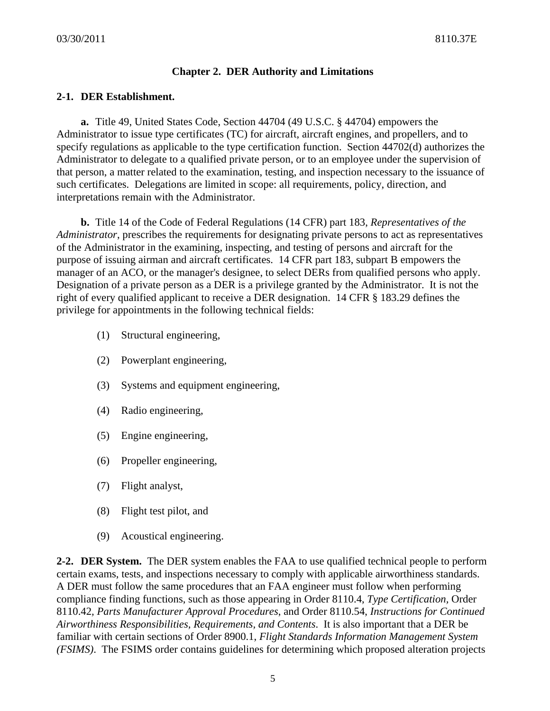# **Chapter 2. DER Authority and Limitations**

### **2-1. DER Establishment.**

 **a.** Title 49, United States Code, Section 44704 (49 U.S.C. § 44704) empowers the Administrator to issue type certificates (TC) for aircraft, aircraft engines, and propellers, and to specify regulations as applicable to the type certification function. Section 44702(d) authorizes the Administrator to delegate to a qualified private person, or to an employee under the supervision of that person, a matter related to the examination, testing, and inspection necessary to the issuance of such certificates. Delegations are limited in scope: all requirements, policy, direction, and interpretations remain with the Administrator.

 **b.** Title 14 of the Code of Federal Regulations (14 CFR) part 183, *Representatives of the Administrator*, prescribes the requirements for designating private persons to act as representatives of the Administrator in the examining, inspecting, and testing of persons and aircraft for the purpose of issuing airman and aircraft certificates. 14 CFR part 183, subpart B empowers the manager of an ACO, or the manager's designee, to select DERs from qualified persons who apply. Designation of a private person as a DER is a privilege granted by the Administrator. It is not the right of every qualified applicant to receive a DER designation. 14 CFR § 183.29 defines the privilege for appointments in the following technical fields:

- (1) Structural engineering,
- (2) Powerplant engineering,
- (3) Systems and equipment engineering,
- (4) Radio engineering,
- (5) Engine engineering,
- (6) Propeller engineering,
- (7) Flight analyst,
- (8) Flight test pilot, and
- (9) Acoustical engineering.

**2-2. DER System.** The DER system enables the FAA to use qualified technical people to perform certain exams, tests, and inspections necessary to comply with applicable airworthiness standards. A DER must follow the same procedures that an FAA engineer must follow when performing compliance finding functions, such as those appearing in Order 8110.4, *Type Certification,* Order 8110.42*, Parts Manufacturer Approval Procedures*, and Order 8110.54, *Instructions for Continued Airworthiness Responsibilities, Requirements, and Contents*. It is also important that a DER be familiar with certain sections of Order 8900.1, *Flight Standards Information Management System (FSIMS)*. The FSIMS order contains guidelines for determining which proposed alteration projects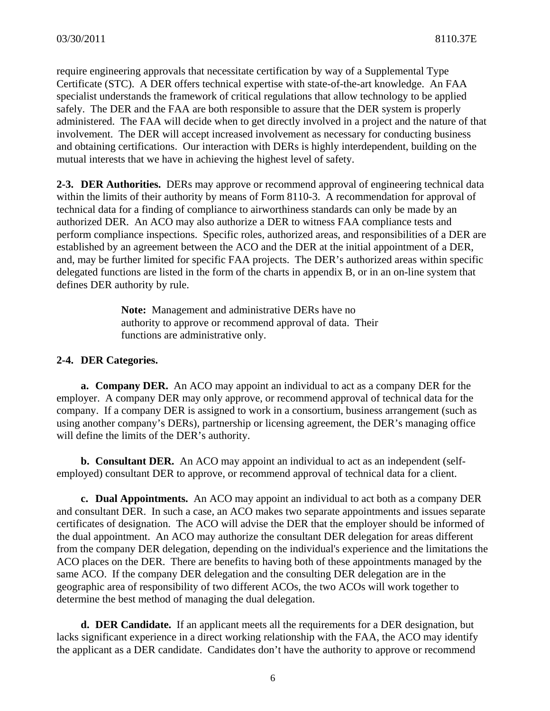require engineering approvals that necessitate certification by way of a Supplemental Type Certificate (STC). A DER offers technical expertise with state-of-the-art knowledge. An FAA specialist understands the framework of critical regulations that allow technology to be applied safely. The DER and the FAA are both responsible to assure that the DER system is properly administered. The FAA will decide when to get directly involved in a project and the nature of that involvement. The DER will accept increased involvement as necessary for conducting business and obtaining certifications. Our interaction with DERs is highly interdependent, building on the mutual interests that we have in achieving the highest level of safety.

**2-3. DER Authorities.** DERs may approve or recommend approval of engineering technical data within the limits of their authority by means of Form 8110-3. A recommendation for approval of technical data for a finding of compliance to airworthiness standards can only be made by an authorized DER. An ACO may also authorize a DER to witness FAA compliance tests and perform compliance inspections. Specific roles, authorized areas, and responsibilities of a DER are established by an agreement between the ACO and the DER at the initial appointment of a DER, and, may be further limited for specific FAA projects. The DER's authorized areas within specific delegated functions are listed in the form of the charts in appendix B, or in an on-line system that defines DER authority by rule.

> **Note:** Management and administrative DERs have no authority to approve or recommend approval of data. Their functions are administrative only.

#### **2-4. DER Categories.**

 **a. Company DER.** An ACO may appoint an individual to act as a company DER for the employer. A company DER may only approve, or recommend approval of technical data for the company. If a company DER is assigned to work in a consortium, business arrangement (such as using another company's DERs), partnership or licensing agreement, the DER's managing office will define the limits of the DER's authority.

**b. Consultant DER.** An ACO may appoint an individual to act as an independent (selfemployed) consultant DER to approve, or recommend approval of technical data for a client.

**c. Dual Appointments.** An ACO may appoint an individual to act both as a company DER and consultant DER. In such a case, an ACO makes two separate appointments and issues separate certificates of designation. The ACO will advise the DER that the employer should be informed of the dual appointment. An ACO may authorize the consultant DER delegation for areas different from the company DER delegation, depending on the individual's experience and the limitations the ACO places on the DER. There are benefits to having both of these appointments managed by the same ACO. If the company DER delegation and the consulting DER delegation are in the geographic area of responsibility of two different ACOs, the two ACOs will work together to determine the best method of managing the dual delegation.

 **d. DER Candidate.** If an applicant meets all the requirements for a DER designation, but lacks significant experience in a direct working relationship with the FAA, the ACO may identify the applicant as a DER candidate. Candidates don't have the authority to approve or recommend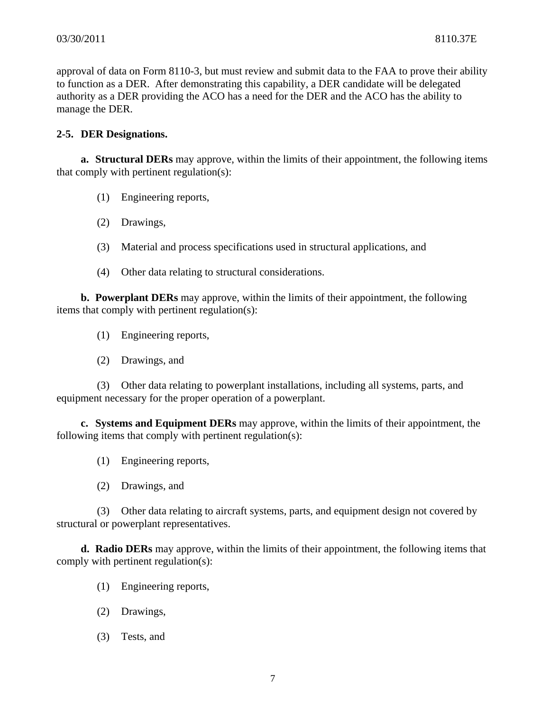approval of data on Form 8110-3, but must review and submit data to the FAA to prove their ability to function as a DER. After demonstrating this capability, a DER candidate will be delegated authority as a DER providing the ACO has a need for the DER and the ACO has the ability to manage the DER.

### **2-5. DER Designations.**

 **a. Structural DERs** may approve, within the limits of their appointment, the following items that comply with pertinent regulation(s):

- (1) Engineering reports,
- (2) Drawings,
- (3) Material and process specifications used in structural applications, and
- (4) Other data relating to structural considerations.

**b. Powerplant DERs** may approve, within the limits of their appointment, the following items that comply with pertinent regulation(s):

- (1) Engineering reports,
- (2) Drawings, and

 (3) Other data relating to powerplant installations, including all systems, parts, and equipment necessary for the proper operation of a powerplant.

**c. Systems and Equipment DERs** may approve, within the limits of their appointment, the following items that comply with pertinent regulation(s):

- (1) Engineering reports,
- (2) Drawings, and

 (3) Other data relating to aircraft systems, parts, and equipment design not covered by structural or powerplant representatives.

**d. Radio DERs** may approve, within the limits of their appointment, the following items that comply with pertinent regulation(s):

- (1) Engineering reports,
- (2) Drawings,
- (3) Tests, and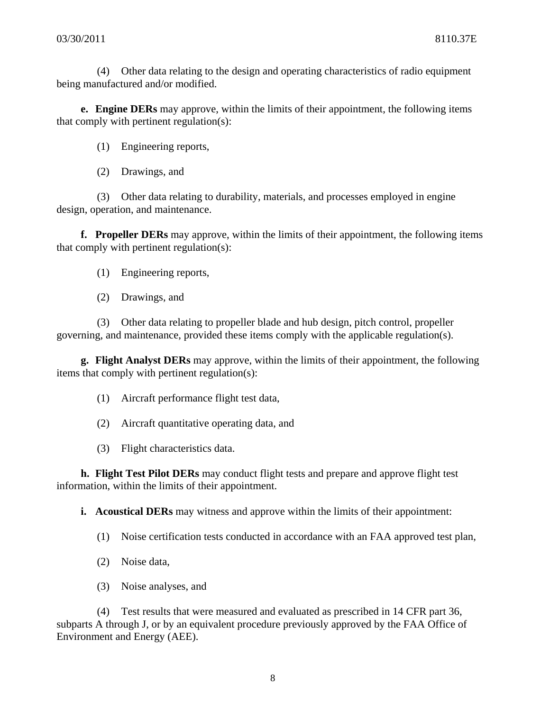(4) Other data relating to the design and operating characteristics of radio equipment being manufactured and/or modified.

**e. Engine DERs** may approve, within the limits of their appointment, the following items that comply with pertinent regulation(s):

(1) Engineering reports,

(2) Drawings, and

 (3) Other data relating to durability, materials, and processes employed in engine design, operation, and maintenance.

 **f. Propeller DERs** may approve, within the limits of their appointment, the following items that comply with pertinent regulation(s):

(1) Engineering reports,

(2) Drawings, and

 (3) Other data relating to propeller blade and hub design, pitch control, propeller governing, and maintenance, provided these items comply with the applicable regulation(s).

**g. Flight Analyst DERs** may approve, within the limits of their appointment, the following items that comply with pertinent regulation(s):

- (1) Aircraft performance flight test data,
- (2) Aircraft quantitative operating data, and
- (3) Flight characteristics data.

**h. Flight Test Pilot DERs** may conduct flight tests and prepare and approve flight test information, within the limits of their appointment.

**i. Acoustical DERs** may witness and approve within the limits of their appointment:

- (1) Noise certification tests conducted in accordance with an FAA approved test plan,
- (2) Noise data,
- (3) Noise analyses, and

 (4) Test results that were measured and evaluated as prescribed in 14 CFR part 36, subparts A through J, or by an equivalent procedure previously approved by the FAA Office of Environment and Energy (AEE).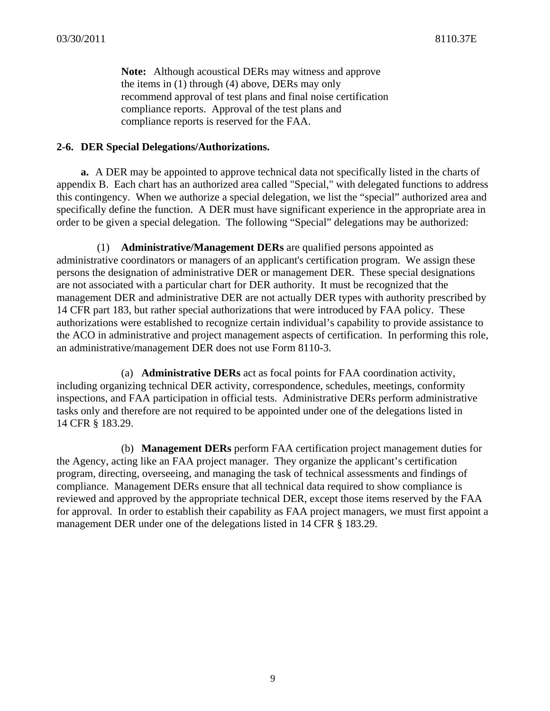**Note:** Although acoustical DERs may witness and approve the items in (1) through (4) above, DERs may only recommend approval of test plans and final noise certification compliance reports. Approval of the test plans and compliance reports is reserved for the FAA.

#### **2-6. DER Special Delegations/Authorizations.**

**a.** A DER may be appointed to approve technical data not specifically listed in the charts of appendix B. Each chart has an authorized area called "Special," with delegated functions to address this contingency. When we authorize a special delegation, we list the "special" authorized area and specifically define the function. A DER must have significant experience in the appropriate area in order to be given a special delegation. The following "Special" delegations may be authorized:

(1) **Administrative/Management DERs** are qualified persons appointed as administrative coordinators or managers of an applicant's certification program. We assign these persons the designation of administrative DER or management DER. These special designations are not associated with a particular chart for DER authority. It must be recognized that the management DER and administrative DER are not actually DER types with authority prescribed by 14 CFR part 183, but rather special authorizations that were introduced by FAA policy. These authorizations were established to recognize certain individual's capability to provide assistance to the ACO in administrative and project management aspects of certification. In performing this role, an administrative/management DER does not use Form 8110-3.

(a) **Administrative DERs** act as focal points for FAA coordination activity, including organizing technical DER activity, correspondence, schedules, meetings, conformity inspections, and FAA participation in official tests. Administrative DERs perform administrative tasks only and therefore are not required to be appointed under one of the delegations listed in 14 CFR § 183.29.

(b) **Management DERs** perform FAA certification project management duties for the Agency, acting like an FAA project manager. They organize the applicant's certification program, directing, overseeing, and managing the task of technical assessments and findings of compliance. Management DERs ensure that all technical data required to show compliance is reviewed and approved by the appropriate technical DER, except those items reserved by the FAA for approval. In order to establish their capability as FAA project managers, we must first appoint a management DER under one of the delegations listed in 14 CFR § 183.29.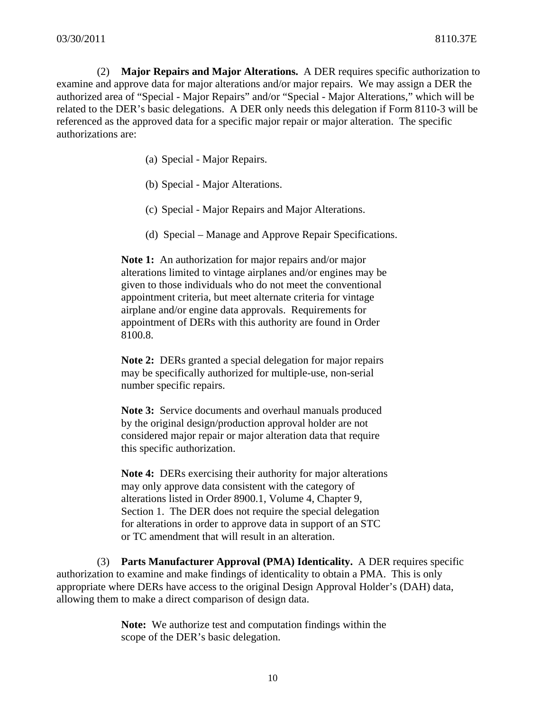(2) **Major Repairs and Major Alterations.** A DER requires specific authorization to examine and approve data for major alterations and/or major repairs. We may assign a DER the authorized area of "Special - Major Repairs" and/or "Special - Major Alterations," which will be related to the DER's basic delegations. A DER only needs this delegation if Form 8110-3 will be referenced as the approved data for a specific major repair or major alteration. The specific authorizations are:

- (a) Special Major Repairs.
- (b) Special Major Alterations.
- (c) Special Major Repairs and Major Alterations.
- (d) Special Manage and Approve Repair Specifications.

**Note 1:** An authorization for major repairs and/or major alterations limited to vintage airplanes and/or engines may be given to those individuals who do not meet the conventional appointment criteria, but meet alternate criteria for vintage airplane and/or engine data approvals. Requirements for appointment of DERs with this authority are found in Order 8100.8.

**Note 2:** DERs granted a special delegation for major repairs may be specifically authorized for multiple-use, non-serial number specific repairs.

**Note 3:** Service documents and overhaul manuals produced by the original design/production approval holder are not considered major repair or major alteration data that require this specific authorization.

 **Note 4:** DERs exercising their authority for major alterations may only approve data consistent with the category of alterations listed in Order 8900.1, Volume 4, Chapter 9, Section 1. The DER does not require the special delegation for alterations in order to approve data in support of an STC or TC amendment that will result in an alteration.

 (3) **Parts Manufacturer Approval (PMA) Identicality.** A DER requires specific authorization to examine and make findings of identicality to obtain a PMA. This is only appropriate where DERs have access to the original Design Approval Holder's (DAH) data, allowing them to make a direct comparison of design data.

> **Note:** We authorize test and computation findings within the scope of the DER's basic delegation.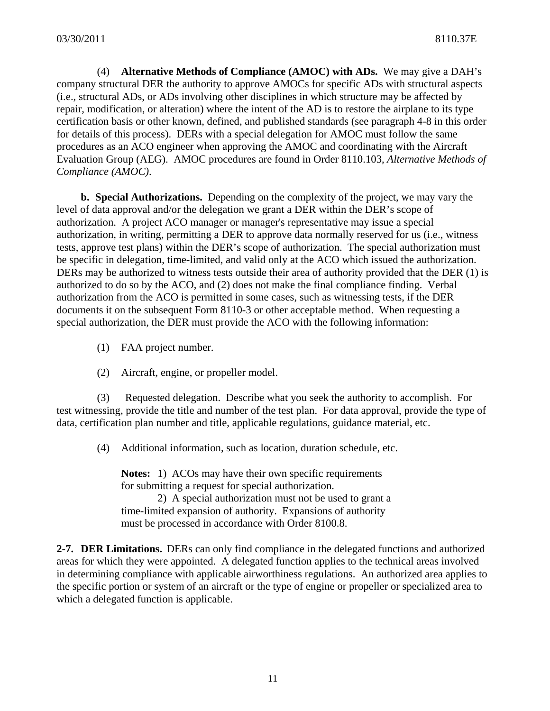(4) **Alternative Methods of Compliance (AMOC) with ADs.** We may give a DAH's company structural DER the authority to approve AMOCs for specific ADs with structural aspects (i.e., structural ADs, or ADs involving other disciplines in which structure may be affected by repair, modification, or alteration) where the intent of the AD is to restore the airplane to its type certification basis or other known, defined, and published standards (see paragraph 4-8 in this order for details of this process). DERs with a special delegation for AMOC must follow the same procedures as an ACO engineer when approving the AMOC and coordinating with the Aircraft Evaluation Group (AEG). AMOC procedures are found in Order 8110.103, *Alternative Methods of Compliance (AMOC)*.

**b. Special Authorizations.** Depending on the complexity of the project, we may vary the level of data approval and/or the delegation we grant a DER within the DER's scope of authorization. A project ACO manager or manager's representative may issue a special authorization, in writing, permitting a DER to approve data normally reserved for us (i.e., witness tests, approve test plans) within the DER's scope of authorization. The special authorization must be specific in delegation, time-limited, and valid only at the ACO which issued the authorization. DERs may be authorized to witness tests outside their area of authority provided that the DER (1) is authorized to do so by the ACO, and (2) does not make the final compliance finding. Verbal authorization from the ACO is permitted in some cases, such as witnessing tests, if the DER documents it on the subsequent Form 8110-3 or other acceptable method. When requesting a special authorization, the DER must provide the ACO with the following information:

- (1) FAA project number.
- (2) Aircraft, engine, or propeller model.

(3) Requested delegation. Describe what you seek the authority to accomplish. For test witnessing, provide the title and number of the test plan. For data approval, provide the type of data, certification plan number and title, applicable regulations, guidance material, etc.

(4) Additional information, such as location, duration schedule, etc.

**Notes:** 1) ACOs may have their own specific requirements for submitting a request for special authorization. 2) A special authorization must not be used to grant a

time-limited expansion of authority. Expansions of authority must be processed in accordance with Order 8100.8.

**2-7. DER Limitations.** DERs can only find compliance in the delegated functions and authorized areas for which they were appointed.A delegated function applies to the technical areas involved in determining compliance with applicable airworthiness regulations. An authorized area applies to the specific portion or system of an aircraft or the type of engine or propeller or specialized area to which a delegated function is applicable.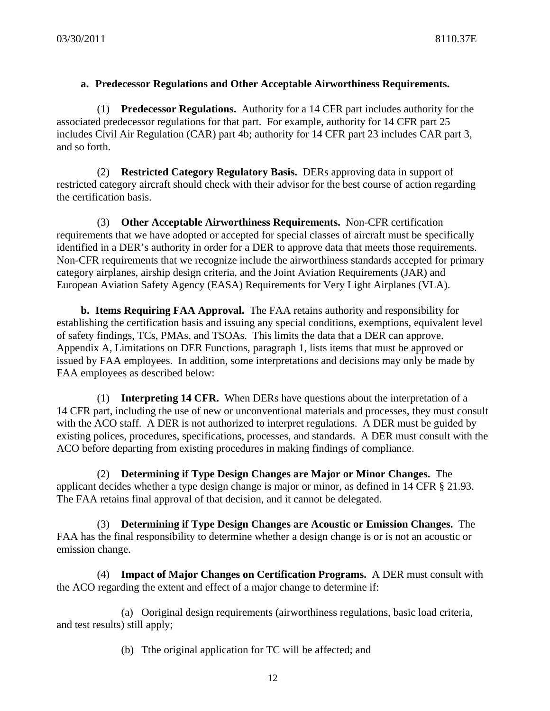### **a. Predecessor Regulations and Other Acceptable Airworthiness Requirements.**

 (1) **Predecessor Regulations.** Authority for a 14 CFR part includes authority for the associated predecessor regulations for that part. For example, authority for 14 CFR part 25 includes Civil Air Regulation (CAR) part 4b; authority for 14 CFR part 23 includes CAR part 3, and so forth.

(2) **Restricted Category Regulatory Basis.** DERs approving data in support of restricted category aircraft should check with their advisor for the best course of action regarding the certification basis.

 (3) **Other Acceptable Airworthiness Requirements.** Non-CFR certification requirements that we have adopted or accepted for special classes of aircraft must be specifically identified in a DER's authority in order for a DER to approve data that meets those requirements. Non-CFR requirements that we recognize include the airworthiness standards accepted for primary category airplanes, airship design criteria, and the Joint Aviation Requirements (JAR) and European Aviation Safety Agency (EASA) Requirements for Very Light Airplanes (VLA).

 **b. Items Requiring FAA Approval.** The FAA retains authority and responsibility for establishing the certification basis and issuing any special conditions, exemptions, equivalent level of safety findings, TCs, PMAs, and TSOAs. This limits the data that a DER can approve. Appendix A, Limitations on DER Functions, paragraph 1, lists items that must be approved or issued by FAA employees. In addition, some interpretations and decisions may only be made by FAA employees as described below:

(1) **Interpreting 14 CFR.** When DERs have questions about the interpretation of a 14 CFR part, including the use of new or unconventional materials and processes, they must consult with the ACO staff. A DER is not authorized to interpret regulations. A DER must be guided by existing polices, procedures, specifications, processes, and standards. A DER must consult with the ACO before departing from existing procedures in making findings of compliance.

(2) **Determining if Type Design Changes are Major or Minor Changes.** The applicant decides whether a type design change is major or minor, as defined in 14 CFR § 21.93. The FAA retains final approval of that decision, and it cannot be delegated.

(3) **Determining if Type Design Changes are Acoustic or Emission Changes.** The FAA has the final responsibility to determine whether a design change is or is not an acoustic or emission change.

(4) **Impact of Major Changes on Certification Programs.** A DER must consult with the ACO regarding the extent and effect of a major change to determine if:

(a) Ooriginal design requirements (airworthiness regulations, basic load criteria, and test results) still apply;

(b) Tthe original application for TC will be affected; and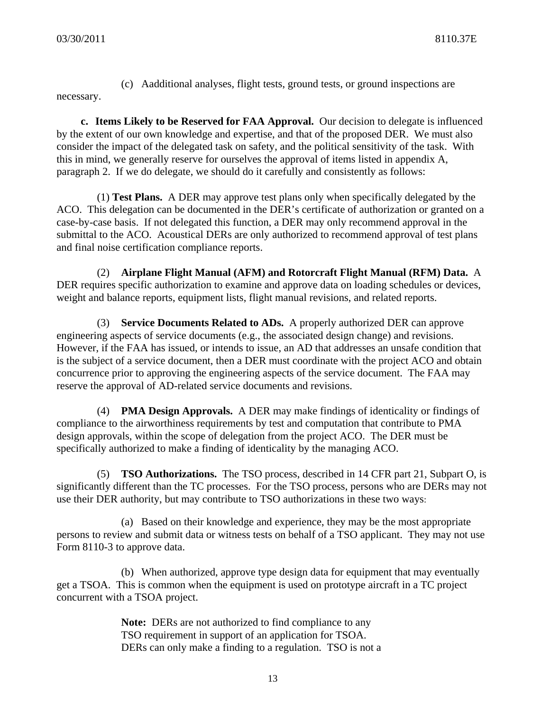(c) Aadditional analyses, flight tests, ground tests, or ground inspections are

necessary.

 **c. Items Likely to be Reserved for FAA Approval.** Our decision to delegate is influenced by the extent of our own knowledge and expertise, and that of the proposed DER. We must also consider the impact of the delegated task on safety, and the political sensitivity of the task. With this in mind, we generally reserve for ourselves the approval of items listed in appendix A, paragraph 2. If we do delegate, we should do it carefully and consistently as follows:

 (1) **Test Plans.** A DER may approve test plans only when specifically delegated by the ACO. This delegation can be documented in the DER's certificate of authorization or granted on a case-by-case basis. If not delegated this function, a DER may only recommend approval in the submittal to the ACO. Acoustical DERs are only authorized to recommend approval of test plans and final noise certification compliance reports.

 (2) **Airplane Flight Manual (AFM) and Rotorcraft Flight Manual (RFM) Data.** A DER requires specific authorization to examine and approve data on loading schedules or devices, weight and balance reports, equipment lists, flight manual revisions, and related reports.

 (3) **Service Documents Related to ADs.** A properly authorized DER can approve engineering aspects of service documents (e.g., the associated design change) and revisions. However, if the FAA has issued, or intends to issue, an AD that addresses an unsafe condition that is the subject of a service document, then a DER must coordinate with the project ACO and obtain concurrence prior to approving the engineering aspects of the service document. The FAA may reserve the approval of AD-related service documents and revisions.

 (4) **PMA Design Approvals.** A DER may make findings of identicality or findings of compliance to the airworthiness requirements by test and computation that contribute to PMA design approvals, within the scope of delegation from the project ACO. The DER must be specifically authorized to make a finding of identicality by the managing ACO.

 (5) **TSO Authorizations.** The TSO process, described in 14 CFR part 21, Subpart O, is significantly different than the TC processes. For the TSO process, persons who are DERs may not use their DER authority, but may contribute to TSO authorizations in these two ways:

(a) Based on their knowledge and experience, they may be the most appropriate persons to review and submit data or witness tests on behalf of a TSO applicant. They may not use Form 8110-3 to approve data.

(b) When authorized, approve type design data for equipment that may eventually get a TSOA. This is common when the equipment is used on prototype aircraft in a TC project concurrent with a TSOA project.

> **Note:** DERs are not authorized to find compliance to any TSO requirement in support of an application for TSOA. DERs can only make a finding to a regulation. TSO is not a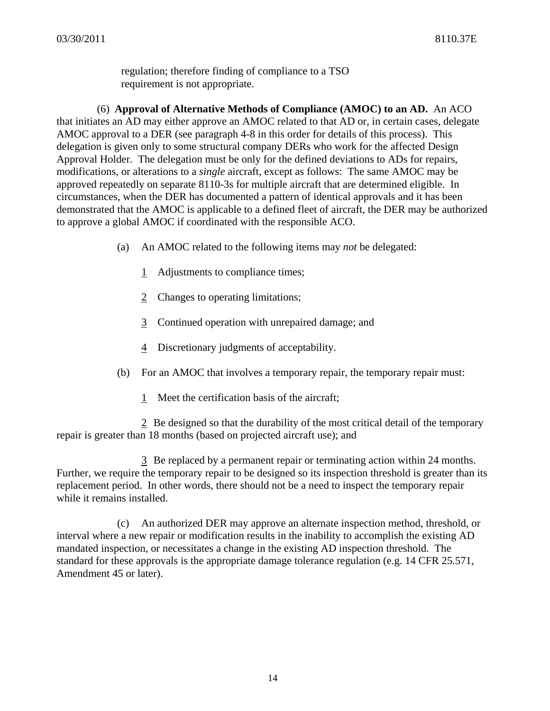regulation; therefore finding of compliance to a TSO requirement is not appropriate.

(6) **Approval of Alternative Methods of Compliance (AMOC) to an AD.** An ACO that initiates an AD may either approve an AMOC related to that AD or, in certain cases, delegate AMOC approval to a DER (see paragraph 4-8 in this order for details of this process). This delegation is given only to some structural company DERs who work for the affected Design Approval Holder. The delegation must be only for the defined deviations to ADs for repairs, modifications, or alterations to a *single* aircraft, except as follows: The same AMOC may be approved repeatedly on separate 8110-3s for multiple aircraft that are determined eligible. In circumstances, when the DER has documented a pattern of identical approvals and it has been demonstrated that the AMOC is applicable to a defined fleet of aircraft, the DER may be authorized to approve a global AMOC if coordinated with the responsible ACO.

- (a) An AMOC related to the following items may *not* be delegated:
	- 1 Adjustments to compliance times;
	- 2 Changes to operating limitations;
	- 3 Continued operation with unrepaired damage; and
	- 4 Discretionary judgments of acceptability.
- (b) For an AMOC that involves a temporary repair, the temporary repair must:
	- 1 Meet the certification basis of the aircraft;

2 Be designed so that the durability of the most critical detail of the temporary repair is greater than 18 months (based on projected aircraft use); and

3 Be replaced by a permanent repair or terminating action within 24 months. Further, we require the temporary repair to be designed so its inspection threshold is greater than its replacement period. In other words, there should not be a need to inspect the temporary repair while it remains installed.

(c) An authorized DER may approve an alternate inspection method, threshold, or interval where a new repair or modification results in the inability to accomplish the existing AD mandated inspection, or necessitates a change in the existing AD inspection threshold. The standard for these approvals is the appropriate damage tolerance regulation (e.g. 14 CFR 25.571, Amendment 45 or later).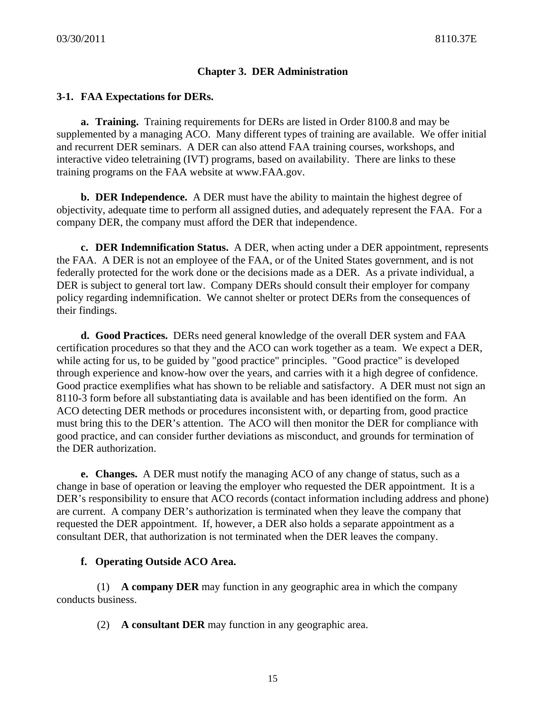# **Chapter 3. DER Administration**

### **3-1. FAA Expectations for DERs.**

**a. Training.** Training requirements for DERs are listed in Order 8100.8 and may be supplemented by a managing ACO. Many different types of training are available. We offer initial and recurrent DER seminars. A DER can also attend FAA training courses, workshops, and interactive video teletraining (IVT) programs, based on availability. There are links to these training programs on the FAA website at www.FAA.gov.

**b. DER Independence.** A DER must have the ability to maintain the highest degree of objectivity, adequate time to perform all assigned duties, and adequately represent the FAA. For a company DER, the company must afford the DER that independence.

 **c. DER Indemnification Status.** A DER, when acting under a DER appointment, represents the FAA. A DER is not an employee of the FAA, or of the United States government, and is not federally protected for the work done or the decisions made as a DER. As a private individual, a DER is subject to general tort law. Company DERs should consult their employer for company policy regarding indemnification. We cannot shelter or protect DERs from the consequences of their findings.

**d. Good Practices.** DERs need general knowledge of the overall DER system and FAA certification procedures so that they and the ACO can work together as a team. We expect a DER, while acting for us, to be guided by "good practice" principles. "Good practice" is developed through experience and know-how over the years, and carries with it a high degree of confidence. Good practice exemplifies what has shown to be reliable and satisfactory. A DER must not sign an 8110-3 form before all substantiating data is available and has been identified on the form. An ACO detecting DER methods or procedures inconsistent with, or departing from, good practice must bring this to the DER's attention. The ACO will then monitor the DER for compliance with good practice, and can consider further deviations as misconduct, and grounds for termination of the DER authorization.

 **e. Changes.** A DER must notify the managing ACO of any change of status, such as a change in base of operation or leaving the employer who requested the DER appointment. It is a DER's responsibility to ensure that ACO records (contact information including address and phone) are current. A company DER's authorization is terminated when they leave the company that requested the DER appointment. If, however, a DER also holds a separate appointment as a consultant DER, that authorization is not terminated when the DER leaves the company.

### **f. Operating Outside ACO Area.**

(1) **A company DER** may function in any geographic area in which the company conducts business.

(2) **A consultant DER** may function in any geographic area.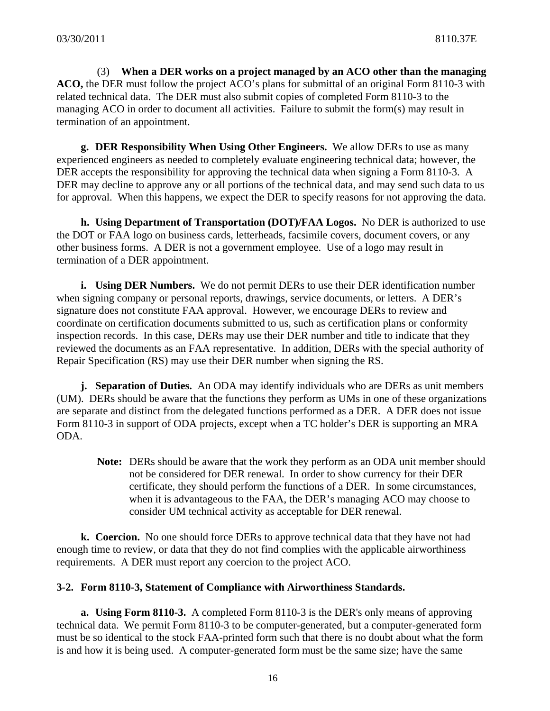(3) **When a DER works on a project managed by an ACO other than the managing ACO,** the DER must follow the project ACO's plans for submittal of an original Form 8110-3 with related technical data. The DER must also submit copies of completed Form 8110-3 to the managing ACO in order to document all activities. Failure to submit the form(s) may result in termination of an appointment.

 **g. DER Responsibility When Using Other Engineers.** We allow DERs to use as many experienced engineers as needed to completely evaluate engineering technical data; however, the DER accepts the responsibility for approving the technical data when signing a Form 8110-3. A DER may decline to approve any or all portions of the technical data, and may send such data to us for approval. When this happens, we expect the DER to specify reasons for not approving the data.

**h. Using Department of Transportation (DOT)/FAA Logos.** No DER is authorized to use the DOT or FAA logo on business cards, letterheads, facsimile covers, document covers, or any other business forms. A DER is not a government employee. Use of a logo may result in termination of a DER appointment.

**i.** Using DER Numbers. We do not permit DERs to use their DER identification number when signing company or personal reports, drawings, service documents, or letters. A DER's signature does not constitute FAA approval. However, we encourage DERs to review and coordinate on certification documents submitted to us, such as certification plans or conformity inspection records. In this case, DERs may use their DER number and title to indicate that they reviewed the documents as an FAA representative. In addition, DERs with the special authority of Repair Specification (RS) may use their DER number when signing the RS.

**j. Separation of Duties.** An ODA may identify individuals who are DERs as unit members (UM). DERs should be aware that the functions they perform as UMs in one of these organizations are separate and distinct from the delegated functions performed as a DER. A DER does not issue Form 8110-3 in support of ODA projects, except when a TC holder's DER is supporting an MRA ODA.

**Note:** DERs should be aware that the work they perform as an ODA unit member should not be considered for DER renewal. In order to show currency for their DER certificate, they should perform the functions of a DER. In some circumstances, when it is advantageous to the FAA, the DER's managing ACO may choose to consider UM technical activity as acceptable for DER renewal.

 **k. Coercion.** No one should force DERs to approve technical data that they have not had enough time to review, or data that they do not find complies with the applicable airworthiness requirements. A DER must report any coercion to the project ACO.

### **3-2. Form 8110-3, Statement of Compliance with Airworthiness Standards.**

**a. Using Form 8110-3.** A completed Form 8110-3 is the DER's only means of approving technical data. We permit Form 8110-3 to be computer-generated, but a computer-generated form must be so identical to the stock FAA-printed form such that there is no doubt about what the form is and how it is being used. A computer-generated form must be the same size; have the same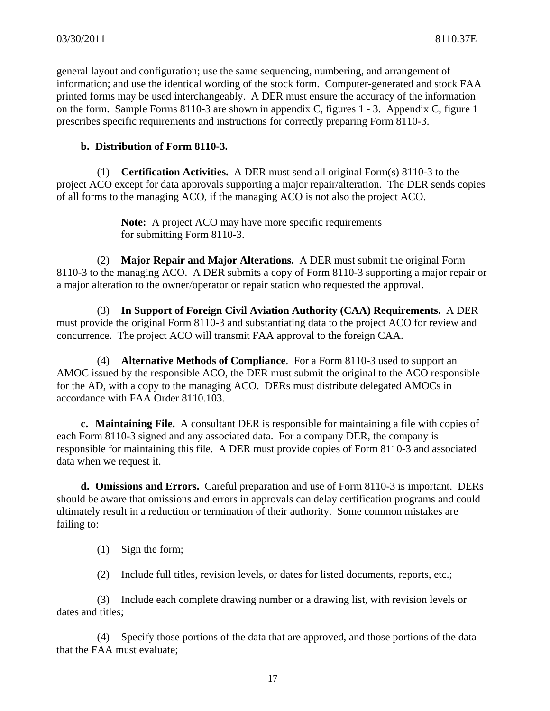general layout and configuration; use the same sequencing, numbering, and arrangement of information; and use the identical wording of the stock form. Computer-generated and stock FAA printed forms may be used interchangeably. A DER must ensure the accuracy of the information on the form. Sample Forms 8110-3 are shown in appendix C, figures 1 - 3. Appendix C, figure 1 prescribes specific requirements and instructions for correctly preparing Form 8110-3.

### **b. Distribution of Form 8110-3.**

 (1) **Certification Activities.** A DER must send all original Form(s) 8110-3 to the project ACO except for data approvals supporting a major repair/alteration. The DER sends copies of all forms to the managing ACO, if the managing ACO is not also the project ACO.

> **Note:** A project ACO may have more specific requirements for submitting Form 8110-3.

 (2) **Major Repair and Major Alterations.** A DER must submit the original Form 8110-3 to the managing ACO. A DER submits a copy of Form 8110-3 supporting a major repair or a major alteration to the owner/operator or repair station who requested the approval.

 (3) **In Support of Foreign Civil Aviation Authority (CAA) Requirements.** A DER must provide the original Form 8110-3 and substantiating data to the project ACO for review and concurrence. The project ACO will transmit FAA approval to the foreign CAA.

 (4) **Alternative Methods of Compliance**. For a Form 8110-3 used to support an AMOC issued by the responsible ACO, the DER must submit the original to the ACO responsible for the AD, with a copy to the managing ACO. DERs must distribute delegated AMOCs in accordance with FAA Order 8110.103.

**c. Maintaining File.** A consultant DER is responsible for maintaining a file with copies of each Form 8110-3 signed and any associated data. For a company DER, the company is responsible for maintaining this file. A DER must provide copies of Form 8110-3 and associated data when we request it.

**d. Omissions and Errors.** Careful preparation and use of Form 8110-3 is important. DERs should be aware that omissions and errors in approvals can delay certification programs and could ultimately result in a reduction or termination of their authority. Some common mistakes are failing to:

- (1) Sign the form;
- (2) Include full titles, revision levels, or dates for listed documents, reports, etc.;

 (3) Include each complete drawing number or a drawing list, with revision levels or dates and titles;

 (4) Specify those portions of the data that are approved, and those portions of the data that the FAA must evaluate;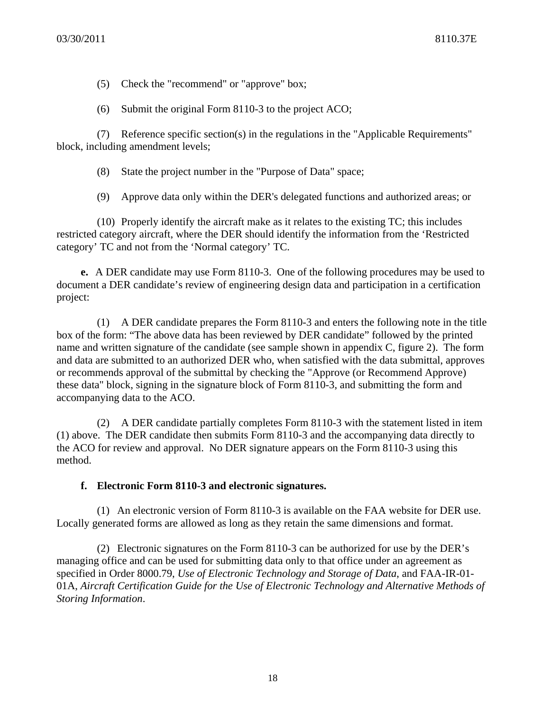- (5) Check the "recommend" or "approve" box;
- (6) Submit the original Form 8110-3 to the project ACO;

 (7) Reference specific section(s) in the regulations in the "Applicable Requirements" block, including amendment levels;

- (8) State the project number in the "Purpose of Data" space;
- (9) Approve data only within the DER's delegated functions and authorized areas; or

 (10) Properly identify the aircraft make as it relates to the existing TC; this includes restricted category aircraft, where the DER should identify the information from the 'Restricted category' TC and not from the 'Normal category' TC.

**e.** A DER candidate may use Form 8110-3. One of the following procedures may be used to document a DER candidate's review of engineering design data and participation in a certification project:

 (1) A DER candidate prepares the Form 8110-3 and enters the following note in the title box of the form: "The above data has been reviewed by DER candidate" followed by the printed name and written signature of the candidate (see sample shown in appendix C, figure 2). The form and data are submitted to an authorized DER who, when satisfied with the data submittal, approves or recommends approval of the submittal by checking the "Approve (or Recommend Approve) these data" block, signing in the signature block of Form 8110-3, and submitting the form and accompanying data to the ACO.

 (2) A DER candidate partially completes Form 8110-3 with the statement listed in item (1) above. The DER candidate then submits Form 8110-3 and the accompanying data directly to the ACO for review and approval. No DER signature appears on the Form 8110-3 using this method.

### **f. Electronic Form 8110-3 and electronic signatures.**

(1) An electronic version of Form 8110-3 is available on the FAA website for DER use. Locally generated forms are allowed as long as they retain the same dimensions and format.

(2) Electronic signatures on the Form 8110-3 can be authorized for use by the DER's managing office and can be used for submitting data only to that office under an agreement as specified in Order 8000.79, *Use of Electronic Technology and Storage of Data*, and FAA-IR-01- 01A, *Aircraft Certification Guide for the Use of Electronic Technology and Alternative Methods of Storing Information*.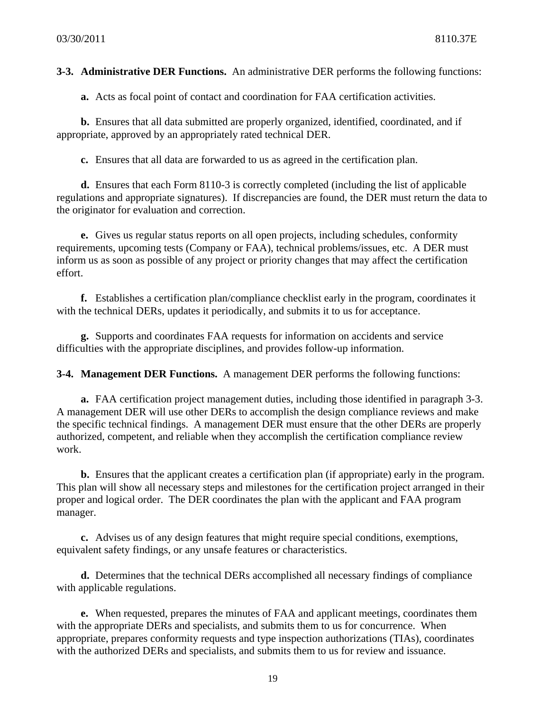**3-3. Administrative DER Functions.** An administrative DER performs the following functions:

 **a.** Acts as focal point of contact and coordination for FAA certification activities.

**b.** Ensures that all data submitted are properly organized, identified, coordinated, and if appropriate, approved by an appropriately rated technical DER.

**c.** Ensures that all data are forwarded to us as agreed in the certification plan.

**d.** Ensures that each Form 8110-3 is correctly completed (including the list of applicable regulations and appropriate signatures). If discrepancies are found, the DER must return the data to the originator for evaluation and correction.

**e.** Gives us regular status reports on all open projects, including schedules, conformity requirements, upcoming tests (Company or FAA), technical problems/issues, etc. A DER must inform us as soon as possible of any project or priority changes that may affect the certification effort.

**f.** Establishes a certification plan/compliance checklist early in the program, coordinates it with the technical DERs, updates it periodically, and submits it to us for acceptance.

**g.** Supports and coordinates FAA requests for information on accidents and service difficulties with the appropriate disciplines, and provides follow-up information.

**3-4. Management DER Functions.** A management DER performs the following functions:

**a.** FAA certification project management duties, including those identified in paragraph 3-3. A management DER will use other DERs to accomplish the design compliance reviews and make the specific technical findings. A management DER must ensure that the other DERs are properly authorized, competent, and reliable when they accomplish the certification compliance review work.

**b.** Ensures that the applicant creates a certification plan (if appropriate) early in the program. This plan will show all necessary steps and milestones for the certification project arranged in their proper and logical order. The DER coordinates the plan with the applicant and FAA program manager.

**c.** Advises us of any design features that might require special conditions, exemptions, equivalent safety findings, or any unsafe features or characteristics.

**d.** Determines that the technical DERs accomplished all necessary findings of compliance with applicable regulations.

 **e.** When requested, prepares the minutes of FAA and applicant meetings, coordinates them with the appropriate DERs and specialists, and submits them to us for concurrence. When appropriate, prepares conformity requests and type inspection authorizations (TIAs), coordinates with the authorized DERs and specialists, and submits them to us for review and issuance.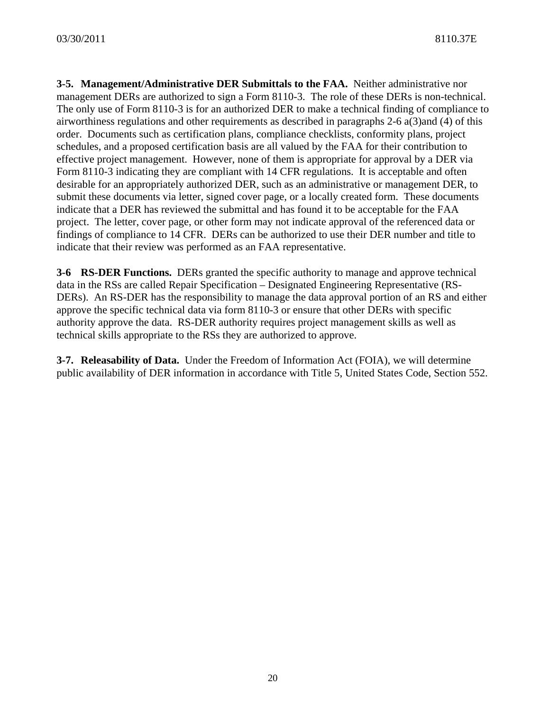**3-5. Management/Administrative DER Submittals to the FAA.** Neither administrative nor management DERs are authorized to sign a Form 8110-3. The role of these DERs is non-technical. The only use of Form 8110-3 is for an authorized DER to make a technical finding of compliance to airworthiness regulations and other requirements as described in paragraphs 2-6 a(3)and (4) of this order. Documents such as certification plans, compliance checklists, conformity plans, project schedules, and a proposed certification basis are all valued by the FAA for their contribution to effective project management. However, none of them is appropriate for approval by a DER via Form 8110-3 indicating they are compliant with 14 CFR regulations. It is acceptable and often desirable for an appropriately authorized DER, such as an administrative or management DER, to submit these documents via letter, signed cover page, or a locally created form. These documents indicate that a DER has reviewed the submittal and has found it to be acceptable for the FAA project. The letter, cover page, or other form may not indicate approval of the referenced data or findings of compliance to 14 CFR. DERs can be authorized to use their DER number and title to indicate that their review was performed as an FAA representative.

**3-6 RS-DER Functions.** DERs granted the specific authority to manage and approve technical data in the RSs are called Repair Specification – Designated Engineering Representative (RS-DERs). An RS-DER has the responsibility to manage the data approval portion of an RS and either approve the specific technical data via form 8110-3 or ensure that other DERs with specific authority approve the data. RS-DER authority requires project management skills as well as technical skills appropriate to the RSs they are authorized to approve.

**3-7. Releasability of Data.** Under the Freedom of Information Act (FOIA), we will determine public availability of DER information in accordance with Title 5, United States Code, Section 552.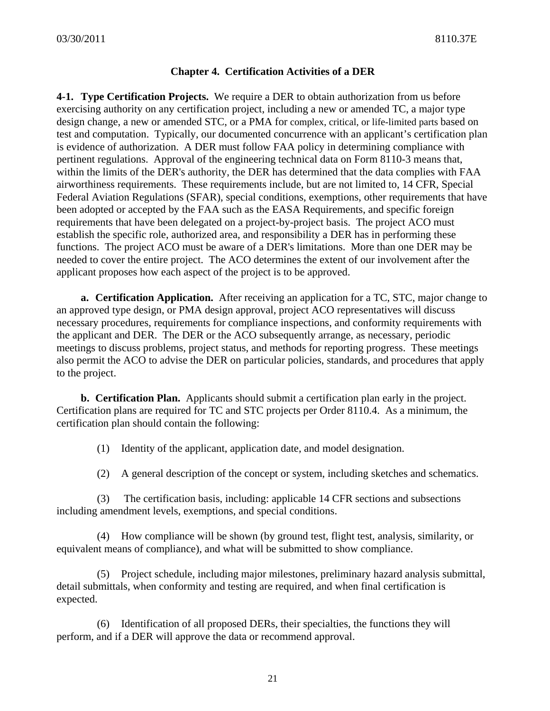### **Chapter 4. Certification Activities of a DER**

**4-1. Type Certification Projects.** We require a DER to obtain authorization from us before exercising authority on any certification project, including a new or amended TC, a major type design change, a new or amended STC, or a PMA for complex, critical, or life-limited parts based on test and computation. Typically, our documented concurrence with an applicant's certification plan is evidence of authorization. A DER must follow FAA policy in determining compliance with pertinent regulations. Approval of the engineering technical data on Form 8110-3 means that, within the limits of the DER's authority, the DER has determined that the data complies with FAA airworthiness requirements. These requirements include, but are not limited to, 14 CFR, Special Federal Aviation Regulations (SFAR), special conditions, exemptions, other requirements that have been adopted or accepted by the FAA such as the EASA Requirements, and specific foreign requirements that have been delegated on a project-by-project basis. The project ACO must establish the specific role, authorized area, and responsibility a DER has in performing these functions. The project ACO must be aware of a DER's limitations. More than one DER may be needed to cover the entire project. The ACO determines the extent of our involvement after the applicant proposes how each aspect of the project is to be approved.

**a. Certification Application.** After receiving an application for a TC, STC, major change to an approved type design, or PMA design approval, project ACO representatives will discuss necessary procedures, requirements for compliance inspections, and conformity requirements with the applicant and DER. The DER or the ACO subsequently arrange, as necessary, periodic meetings to discuss problems, project status, and methods for reporting progress. These meetings also permit the ACO to advise the DER on particular policies, standards, and procedures that apply to the project.

 **b. Certification Plan.** Applicants should submit a certification plan early in the project. Certification plans are required for TC and STC projects per Order 8110.4. As a minimum, the certification plan should contain the following:

(1) Identity of the applicant, application date, and model designation.

(2) A general description of the concept or system, including sketches and schematics.

 (3) The certification basis, including: applicable 14 CFR sections and subsections including amendment levels, exemptions, and special conditions.

 (4) How compliance will be shown (by ground test, flight test, analysis, similarity, or equivalent means of compliance), and what will be submitted to show compliance.

 (5) Project schedule, including major milestones, preliminary hazard analysis submittal, detail submittals, when conformity and testing are required, and when final certification is expected.

 (6) Identification of all proposed DERs, their specialties, the functions they will perform, and if a DER will approve the data or recommend approval.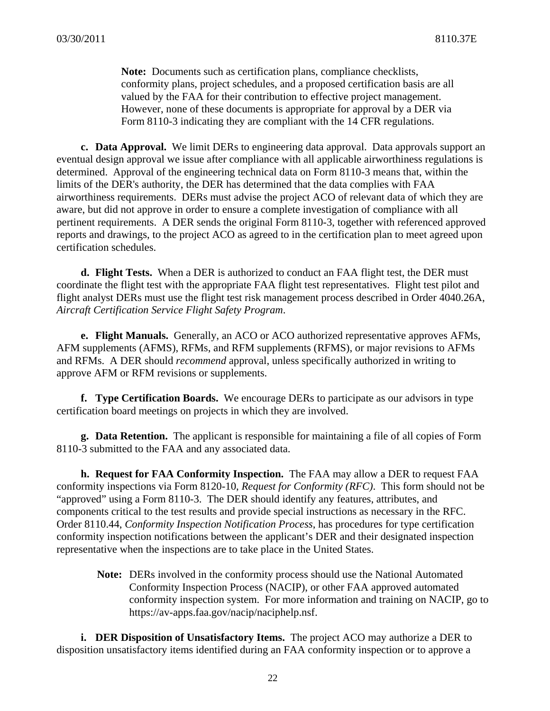**Note:** Documents such as certification plans, compliance checklists, conformity plans, project schedules, and a proposed certification basis are all valued by the FAA for their contribution to effective project management. However, none of these documents is appropriate for approval by a DER via Form 8110-3 indicating they are compliant with the 14 CFR regulations.

 **c. Data Approval.** We limit DERs to engineering data approval. Data approvals support an eventual design approval we issue after compliance with all applicable airworthiness regulations is determined. Approval of the engineering technical data on Form 8110-3 means that, within the limits of the DER's authority, the DER has determined that the data complies with FAA airworthiness requirements. DERs must advise the project ACO of relevant data of which they are aware, but did not approve in order to ensure a complete investigation of compliance with all pertinent requirements. A DER sends the original Form 8110-3, together with referenced approved reports and drawings, to the project ACO as agreed to in the certification plan to meet agreed upon certification schedules.

 **d. Flight Tests.** When a DER is authorized to conduct an FAA flight test, the DER must coordinate the flight test with the appropriate FAA flight test representatives. Flight test pilot and flight analyst DERs must use the flight test risk management process described in Order 4040.26A, *Aircraft Certification Service Flight Safety Program*.

 **e. Flight Manuals.** Generally, an ACO or ACO authorized representative approves AFMs, AFM supplements (AFMS), RFMs, and RFM supplements (RFMS), or major revisions to AFMs and RFMs. A DER should *recommend* approval, unless specifically authorized in writing to approve AFM or RFM revisions or supplements.

 **f. Type Certification Boards.** We encourage DERs to participate as our advisors in type certification board meetings on projects in which they are involved.

 **g. Data Retention.** The applicant is responsible for maintaining a file of all copies of Form 8110-3 submitted to the FAA and any associated data.

 **h. Request for FAA Conformity Inspection.** The FAA may allow a DER to request FAA conformity inspections via Form 8120-10, *Request for Conformity (RFC)*. This form should not be "approved" using a Form 8110-3. The DER should identify any features, attributes, and components critical to the test results and provide special instructions as necessary in the RFC. Order 8110.44, *Conformity Inspection Notification Process*, has procedures for type certification conformity inspection notifications between the applicant's DER and their designated inspection representative when the inspections are to take place in the United States.

**Note:** DERs involved in the conformity process should use the National Automated Conformity Inspection Process (NACIP), or other FAA approved automated conformity inspection system. For more information and training on NACIP, go to https://av-apps.faa.gov/nacip/naciphelp.nsf.

 **i. DER Disposition of Unsatisfactory Items.** The project ACO may authorize a DER to disposition unsatisfactory items identified during an FAA conformity inspection or to approve a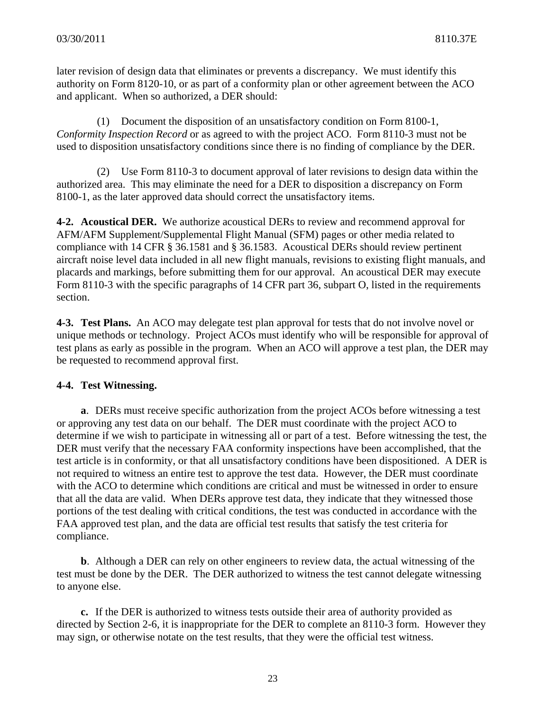later revision of design data that eliminates or prevents a discrepancy. We must identify this authority on Form 8120-10, or as part of a conformity plan or other agreement between the ACO and applicant. When so authorized, a DER should:

(1) Document the disposition of an unsatisfactory condition on Form 8100-1, *Conformity Inspection Record* or as agreed to with the project ACO. Form 8110-3 must not be used to disposition unsatisfactory conditions since there is no finding of compliance by the DER.

(2) Use Form 8110-3 to document approval of later revisions to design data within the authorized area. This may eliminate the need for a DER to disposition a discrepancy on Form 8100-1, as the later approved data should correct the unsatisfactory items.

**4-2. Acoustical DER.** We authorize acoustical DERs to review and recommend approval for AFM/AFM Supplement/Supplemental Flight Manual (SFM) pages or other media related to compliance with 14 CFR § 36.1581 and § 36.1583. Acoustical DERs should review pertinent aircraft noise level data included in all new flight manuals, revisions to existing flight manuals, and placards and markings, before submitting them for our approval. An acoustical DER may execute Form 8110-3 with the specific paragraphs of 14 CFR part 36, subpart O, listed in the requirements section.

**4-3. Test Plans.** An ACO may delegate test plan approval for tests that do not involve novel or unique methods or technology. Project ACOs must identify who will be responsible for approval of test plans as early as possible in the program. When an ACO will approve a test plan, the DER may be requested to recommend approval first.

# **4-4. Test Witnessing.**

**a**. DERs must receive specific authorization from the project ACOs before witnessing a test or approving any test data on our behalf. The DER must coordinate with the project ACO to determine if we wish to participate in witnessing all or part of a test. Before witnessing the test, the DER must verify that the necessary FAA conformity inspections have been accomplished, that the test article is in conformity, or that all unsatisfactory conditions have been dispositioned. A DER is not required to witness an entire test to approve the test data. However, the DER must coordinate with the ACO to determine which conditions are critical and must be witnessed in order to ensure that all the data are valid. When DERs approve test data, they indicate that they witnessed those portions of the test dealing with critical conditions, the test was conducted in accordance with the FAA approved test plan, and the data are official test results that satisfy the test criteria for compliance.

**b**. Although a DER can rely on other engineers to review data, the actual witnessing of the test must be done by the DER. The DER authorized to witness the test cannot delegate witnessing to anyone else.

**c.** If the DER is authorized to witness tests outside their area of authority provided as directed by Section 2-6, it is inappropriate for the DER to complete an 8110-3 form. However they may sign, or otherwise notate on the test results, that they were the official test witness.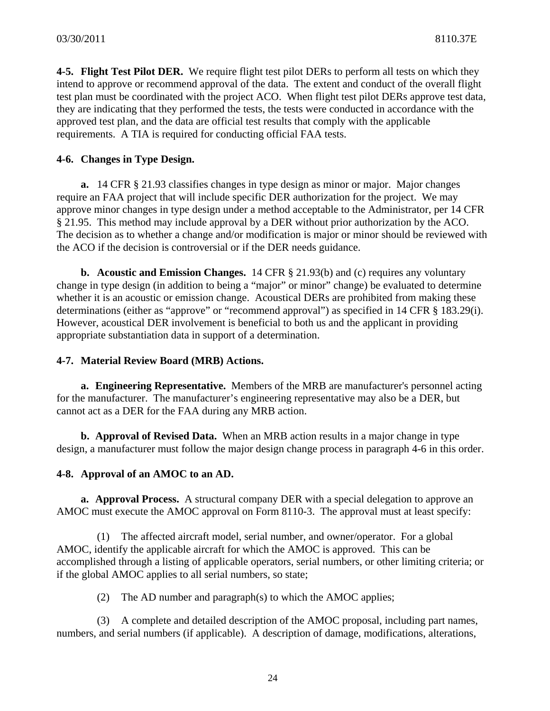**4-5. Flight Test Pilot DER.** We require flight test pilot DERs to perform all tests on which they intend to approve or recommend approval of the data. The extent and conduct of the overall flight test plan must be coordinated with the project ACO. When flight test pilot DERs approve test data, they are indicating that they performed the tests, the tests were conducted in accordance with the approved test plan, and the data are official test results that comply with the applicable requirements. A TIA is required for conducting official FAA tests.

### **4-6. Changes in Type Design.**

**a.** 14 CFR § 21.93 classifies changes in type design as minor or major. Major changes require an FAA project that will include specific DER authorization for the project. We may approve minor changes in type design under a method acceptable to the Administrator, per 14 CFR § 21.95. This method may include approval by a DER without prior authorization by the ACO. The decision as to whether a change and/or modification is major or minor should be reviewed with the ACO if the decision is controversial or if the DER needs guidance.

**b. Acoustic and Emission Changes.** 14 CFR § 21.93(b) and (c) requires any voluntary change in type design (in addition to being a "major" or minor" change) be evaluated to determine whether it is an acoustic or emission change. Acoustical DERs are prohibited from making these determinations (either as "approve" or "recommend approval") as specified in 14 CFR § 183.29(i). However, acoustical DER involvement is beneficial to both us and the applicant in providing appropriate substantiation data in support of a determination.

### **4-7. Material Review Board (MRB) Actions.**

 **a. Engineering Representative.** Members of the MRB are manufacturer's personnel acting for the manufacturer. The manufacturer's engineering representative may also be a DER, but cannot act as a DER for the FAA during any MRB action.

 **b. Approval of Revised Data.** When an MRB action results in a major change in type design, a manufacturer must follow the major design change process in paragraph 4-6 in this order.

### **4-8. Approval of an AMOC to an AD.**

**a. Approval Process.** A structural company DER with a special delegation to approve an AMOC must execute the AMOC approval on Form 8110-3. The approval must at least specify:

(1) The affected aircraft model, serial number, and owner/operator. For a global AMOC, identify the applicable aircraft for which the AMOC is approved. This can be accomplished through a listing of applicable operators, serial numbers, or other limiting criteria; or if the global AMOC applies to all serial numbers, so state;

(2) The AD number and paragraph(s) to which the AMOC applies;

(3) A complete and detailed description of the AMOC proposal, including part names, numbers, and serial numbers (if applicable). A description of damage, modifications, alterations,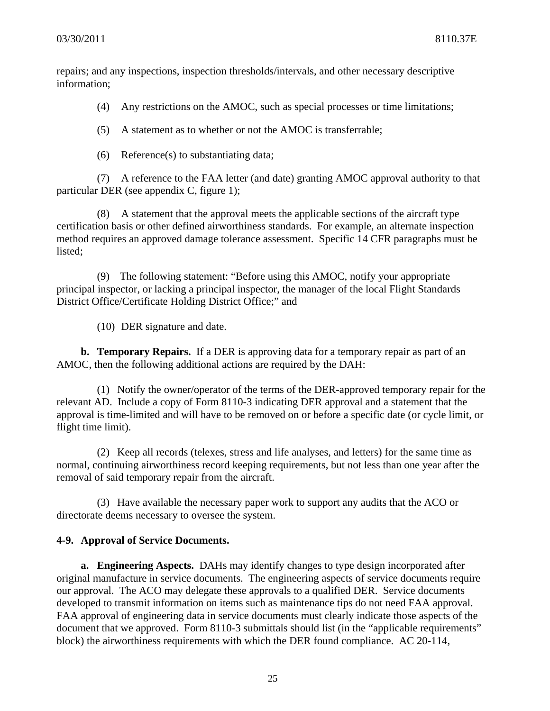repairs; and any inspections, inspection thresholds/intervals, and other necessary descriptive information;

(4) Any restrictions on the AMOC, such as special processes or time limitations;

(5) A statement as to whether or not the AMOC is transferrable;

(6) Reference(s) to substantiating data;

(7) A reference to the FAA letter (and date) granting AMOC approval authority to that particular DER (see appendix C, figure 1);

(8) A statement that the approval meets the applicable sections of the aircraft type certification basis or other defined airworthiness standards. For example, an alternate inspection method requires an approved damage tolerance assessment. Specific 14 CFR paragraphs must be listed;

(9) The following statement: "Before using this AMOC, notify your appropriate principal inspector, or lacking a principal inspector, the manager of the local Flight Standards District Office/Certificate Holding District Office;" and

(10) DER signature and date.

**b. Temporary Repairs.** If a DER is approving data for a temporary repair as part of an AMOC, then the following additional actions are required by the DAH:

(1) Notify the owner/operator of the terms of the DER-approved temporary repair for the relevant AD. Include a copy of Form 8110-3 indicating DER approval and a statement that the approval is time-limited and will have to be removed on or before a specific date (or cycle limit, or flight time limit).

(2) Keep all records (telexes, stress and life analyses, and letters) for the same time as normal, continuing airworthiness record keeping requirements, but not less than one year after the removal of said temporary repair from the aircraft.

(3) Have available the necessary paper work to support any audits that the ACO or directorate deems necessary to oversee the system.

### **4-9. Approval of Service Documents.**

**a. Engineering Aspects.** DAHs may identify changes to type design incorporated after original manufacture in service documents. The engineering aspects of service documents require our approval. The ACO may delegate these approvals to a qualified DER. Service documents developed to transmit information on items such as maintenance tips do not need FAA approval. FAA approval of engineering data in service documents must clearly indicate those aspects of the document that we approved. Form 8110-3 submittals should list (in the "applicable requirements" block) the airworthiness requirements with which the DER found compliance. AC 20-114,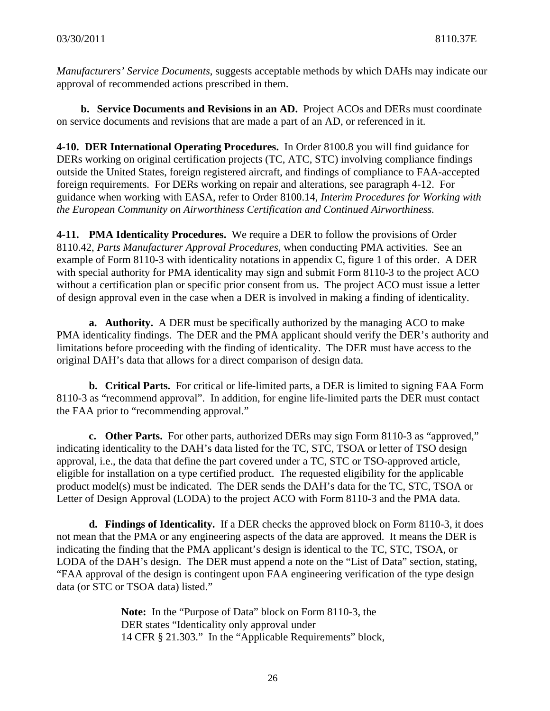*Manufacturers' Service Documents*, suggests acceptable methods by which DAHs may indicate our approval of recommended actions prescribed in them.

**b. Service Documents and Revisions in an AD.** Project ACOs and DERs must coordinate on service documents and revisions that are made a part of an AD, or referenced in it.

**4-10. DER International Operating Procedures.** In Order 8100.8 you will find guidance for DERs working on original certification projects (TC, ATC, STC) involving compliance findings outside the United States, foreign registered aircraft, and findings of compliance to FAA-accepted foreign requirements. For DERs working on repair and alterations, see paragraph 4-12. For guidance when working with EASA, refer to Order 8100.14, *Interim Procedures for Working with the European Community on Airworthiness Certification and Continued Airworthiness.*

**4-11. PMA Identicality Procedures.** We require a DER to follow the provisions of Order 8110.42, *Parts Manufacturer Approval Procedures*, when conducting PMA activities. See an example of Form 8110-3 with identicality notations in appendix C, figure 1 of this order. A DER with special authority for PMA identicality may sign and submit Form 8110-3 to the project ACO without a certification plan or specific prior consent from us. The project ACO must issue a letter of design approval even in the case when a DER is involved in making a finding of identicality.

**a. Authority.** A DER must be specifically authorized by the managing ACO to make PMA identicality findings. The DER and the PMA applicant should verify the DER's authority and limitations before proceeding with the finding of identicality. The DER must have access to the original DAH's data that allows for a direct comparison of design data.

**b. Critical Parts.** For critical or life-limited parts, a DER is limited to signing FAA Form 8110-3 as "recommend approval". In addition, for engine life-limited parts the DER must contact the FAA prior to "recommending approval."

**c. Other Parts.** For other parts, authorized DERs may sign Form 8110-3 as "approved," indicating identicality to the DAH's data listed for the TC, STC, TSOA or letter of TSO design approval, i.e., the data that define the part covered under a TC, STC or TSO-approved article, eligible for installation on a type certified product. The requested eligibility for the applicable product model(s) must be indicated. The DER sends the DAH's data for the TC, STC, TSOA or Letter of Design Approval (LODA) to the project ACO with Form 8110-3 and the PMA data.

**d. Findings of Identicality.** If a DER checks the approved block on Form 8110-3, it does not mean that the PMA or any engineering aspects of the data are approved. It means the DER is indicating the finding that the PMA applicant's design is identical to the TC, STC, TSOA, or LODA of the DAH's design. The DER must append a note on the "List of Data" section, stating, "FAA approval of the design is contingent upon FAA engineering verification of the type design data (or STC or TSOA data) listed."

> **Note:** In the "Purpose of Data" block on Form 8110-3, the DER states "Identicality only approval under 14 CFR § 21.303." In the "Applicable Requirements" block,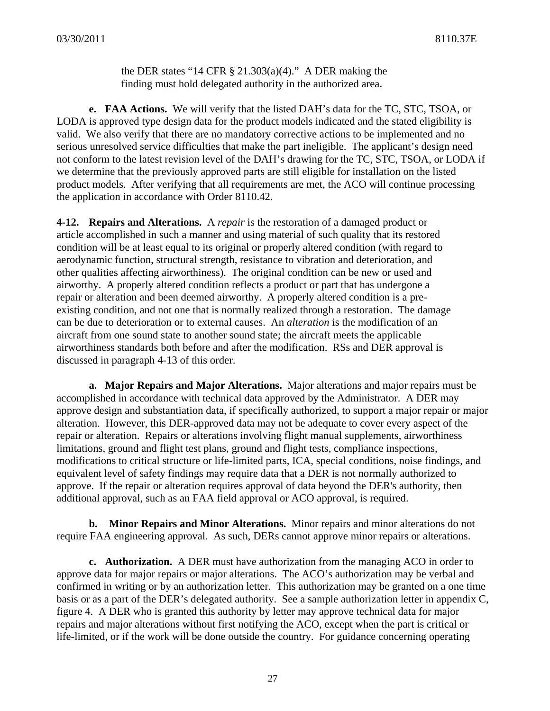the DER states "14 CFR  $\S 21.303(a)(4)$ ." A DER making the finding must hold delegated authority in the authorized area.

**e. FAA Actions.** We will verify that the listed DAH's data for the TC, STC, TSOA, or LODA is approved type design data for the product models indicated and the stated eligibility is valid. We also verify that there are no mandatory corrective actions to be implemented and no serious unresolved service difficulties that make the part ineligible. The applicant's design need not conform to the latest revision level of the DAH's drawing for the TC, STC, TSOA, or LODA if we determine that the previously approved parts are still eligible for installation on the listed product models. After verifying that all requirements are met, the ACO will continue processing the application in accordance with Order 8110.42.

**4-12. Repairs and Alterations.** A *repair* is the restoration of a damaged product or article accomplished in such a manner and using material of such quality that its restored condition will be at least equal to its original or properly altered condition (with regard to aerodynamic function, structural strength, resistance to vibration and deterioration, and other qualities affecting airworthiness). The original condition can be new or used and airworthy. A properly altered condition reflects a product or part that has undergone a repair or alteration and been deemed airworthy. A properly altered condition is a preexisting condition, and not one that is normally realized through a restoration. The damage can be due to deterioration or to external causes. An *alteration* is the modification of an aircraft from one sound state to another sound state; the aircraft meets the applicable airworthiness standards both before and after the modification. RSs and DER approval is discussed in paragraph 4-13 of this order.

**a. Major Repairs and Major Alterations.** Major alterations and major repairs must be accomplished in accordance with technical data approved by the Administrator. A DER may approve design and substantiation data, if specifically authorized, to support a major repair or major alteration. However, this DER-approved data may not be adequate to cover every aspect of the repair or alteration. Repairs or alterations involving flight manual supplements, airworthiness limitations, ground and flight test plans, ground and flight tests, compliance inspections, modifications to critical structure or life-limited parts, ICA, special conditions, noise findings, and equivalent level of safety findings may require data that a DER is not normally authorized to approve. If the repair or alteration requires approval of data beyond the DER's authority, then additional approval, such as an FAA field approval or ACO approval, is required.

**b. Minor Repairs and Minor Alterations.** Minor repairs and minor alterations do not require FAA engineering approval. As such, DERs cannot approve minor repairs or alterations.

**c. Authorization.** A DER must have authorization from the managing ACO in order to approve data for major repairs or major alterations. The ACO's authorization may be verbal and confirmed in writing or by an authorization letter. This authorization may be granted on a one time basis or as a part of the DER's delegated authority. See a sample authorization letter in appendix C, figure 4. A DER who is granted this authority by letter may approve technical data for major repairs and major alterations without first notifying the ACO, except when the part is critical or life-limited, or if the work will be done outside the country. For guidance concerning operating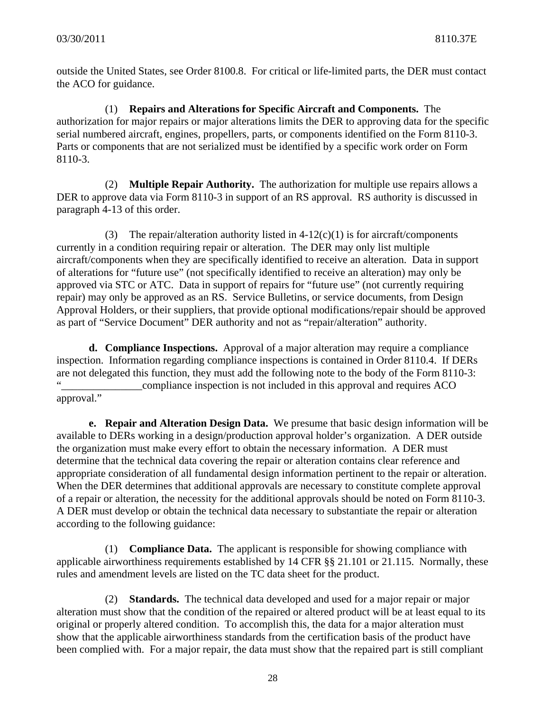outside the United States, see Order 8100.8. For critical or life-limited parts, the DER must contact the ACO for guidance.

(1) **Repairs and Alterations for Specific Aircraft and Components.** The authorization for major repairs or major alterations limits the DER to approving data for the specific serial numbered aircraft, engines, propellers, parts, or components identified on the Form 8110-3. Parts or components that are not serialized must be identified by a specific work order on Form 8110-3.

(2) **Multiple Repair Authority.** The authorization for multiple use repairs allows a DER to approve data via Form 8110-3 in support of an RS approval. RS authority is discussed in paragraph 4-13 of this order.

(3) The repair/alteration authority listed in  $4-12(c)(1)$  is for aircraft/components currently in a condition requiring repair or alteration. The DER may only list multiple aircraft/components when they are specifically identified to receive an alteration. Data in support of alterations for "future use" (not specifically identified to receive an alteration) may only be approved via STC or ATC. Data in support of repairs for "future use" (not currently requiring repair) may only be approved as an RS. Service Bulletins, or service documents, from Design Approval Holders, or their suppliers, that provide optional modifications/repair should be approved as part of "Service Document" DER authority and not as "repair/alteration" authority.

**d. Compliance Inspections.** Approval of a major alteration may require a compliance inspection. Information regarding compliance inspections is contained in Order 8110.4. If DERs are not delegated this function, they must add the following note to the body of the Form 8110-3: " compliance inspection is not included in this approval and requires ACO

approval."

**e. Repair and Alteration Design Data.** We presume that basic design information will be available to DERs working in a design/production approval holder's organization. A DER outside the organization must make every effort to obtain the necessary information. A DER must determine that the technical data covering the repair or alteration contains clear reference and appropriate consideration of all fundamental design information pertinent to the repair or alteration. When the DER determines that additional approvals are necessary to constitute complete approval of a repair or alteration, the necessity for the additional approvals should be noted on Form 8110-3. A DER must develop or obtain the technical data necessary to substantiate the repair or alteration according to the following guidance:

(1) **Compliance Data.** The applicant is responsible for showing compliance with applicable airworthiness requirements established by 14 CFR §§ 21.101 or 21.115. Normally, these rules and amendment levels are listed on the TC data sheet for the product.

(2) **Standards.** The technical data developed and used for a major repair or major alteration must show that the condition of the repaired or altered product will be at least equal to its original or properly altered condition. To accomplish this, the data for a major alteration must show that the applicable airworthiness standards from the certification basis of the product have been complied with. For a major repair, the data must show that the repaired part is still compliant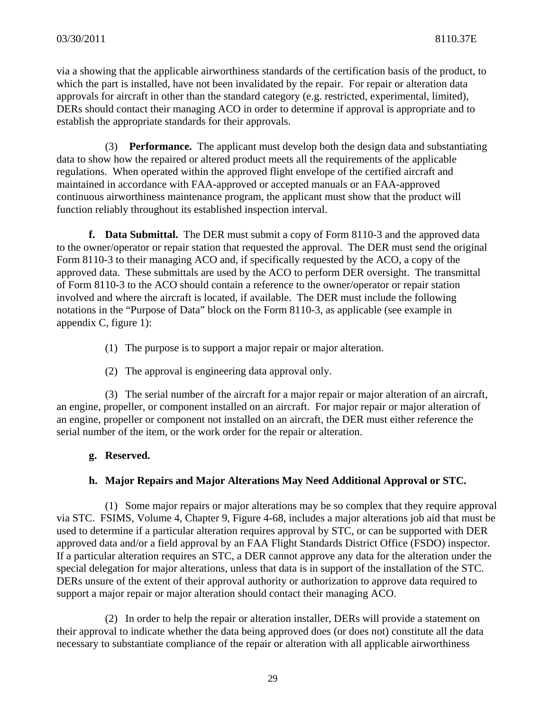via a showing that the applicable airworthiness standards of the certification basis of the product, to which the part is installed, have not been invalidated by the repair. For repair or alteration data approvals for aircraft in other than the standard category (e.g. restricted, experimental, limited), DERs should contact their managing ACO in order to determine if approval is appropriate and to establish the appropriate standards for their approvals.

(3) **Performance.** The applicant must develop both the design data and substantiating data to show how the repaired or altered product meets all the requirements of the applicable regulations. When operated within the approved flight envelope of the certified aircraft and maintained in accordance with FAA-approved or accepted manuals or an FAA-approved continuous airworthiness maintenance program, the applicant must show that the product will function reliably throughout its established inspection interval.

**f. Data Submittal.** The DER must submit a copy of Form 8110-3 and the approved data to the owner/operator or repair station that requested the approval. The DER must send the original Form 8110-3 to their managing ACO and, if specifically requested by the ACO, a copy of the approved data. These submittals are used by the ACO to perform DER oversight. The transmittal of Form 8110-3 to the ACO should contain a reference to the owner/operator or repair station involved and where the aircraft is located, if available. The DER must include the following notations in the "Purpose of Data" block on the Form 8110-3, as applicable (see example in appendix C, figure 1):

- (1) The purpose is to support a major repair or major alteration.
- (2) The approval is engineering data approval only.

(3) The serial number of the aircraft for a major repair or major alteration of an aircraft, an engine, propeller, or component installed on an aircraft. For major repair or major alteration of an engine, propeller or component not installed on an aircraft, the DER must either reference the serial number of the item, or the work order for the repair or alteration.

### **g. Reserved.**

### **h. Major Repairs and Major Alterations May Need Additional Approval or STC.**

(1) Some major repairs or major alterations may be so complex that they require approval via STC. FSIMS, Volume 4, Chapter 9, Figure 4-68, includes a major alterations job aid that must be used to determine if a particular alteration requires approval by STC, or can be supported with DER approved data and/or a field approval by an FAA Flight Standards District Office (FSDO) inspector. If a particular alteration requires an STC, a DER cannot approve any data for the alteration under the special delegation for major alterations, unless that data is in support of the installation of the STC. DERs unsure of the extent of their approval authority or authorization to approve data required to support a major repair or major alteration should contact their managing ACO.

(2) In order to help the repair or alteration installer, DERs will provide a statement on their approval to indicate whether the data being approved does (or does not) constitute all the data necessary to substantiate compliance of the repair or alteration with all applicable airworthiness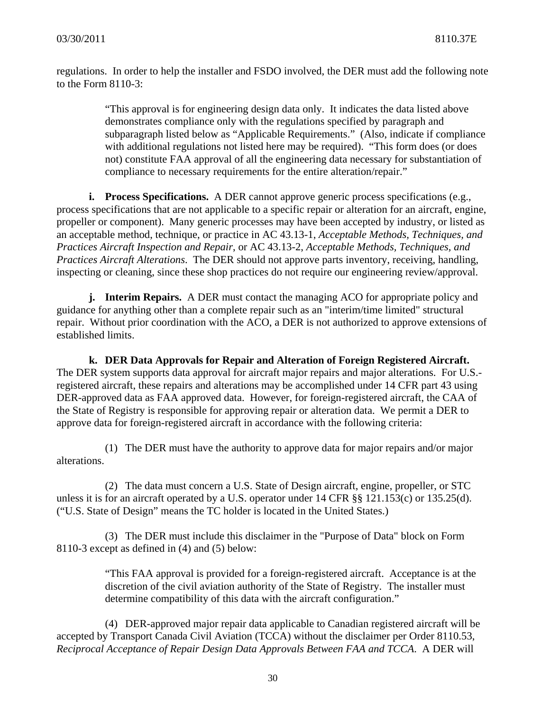regulations. In order to help the installer and FSDO involved, the DER must add the following note to the Form 8110-3:

> "This approval is for engineering design data only. It indicates the data listed above demonstrates compliance only with the regulations specified by paragraph and subparagraph listed below as "Applicable Requirements." (Also, indicate if compliance with additional regulations not listed here may be required). "This form does (or does not) constitute FAA approval of all the engineering data necessary for substantiation of compliance to necessary requirements for the entire alteration/repair."

**i. Process Specifications.** A DER cannot approve generic process specifications (e.g., process specifications that are not applicable to a specific repair or alteration for an aircraft, engine, propeller or component). Many generic processes may have been accepted by industry, or listed as an acceptable method, technique, or practice in AC 43.13-1, *Acceptable Methods, Techniques, and Practices Aircraft Inspection and Repair*, or AC 43.13-2, *Acceptable Methods, Techniques, and Practices Aircraft Alterations*. The DER should not approve parts inventory, receiving, handling, inspecting or cleaning, since these shop practices do not require our engineering review/approval.

**j. Interim Repairs.** A DER must contact the managing ACO for appropriate policy and guidance for anything other than a complete repair such as an "interim/time limited" structural repair. Without prior coordination with the ACO, a DER is not authorized to approve extensions of established limits.

**k. DER Data Approvals for Repair and Alteration of Foreign Registered Aircraft.** The DER system supports data approval for aircraft major repairs and major alterations. For U.S. registered aircraft, these repairs and alterations may be accomplished under 14 CFR part 43 using DER-approved data as FAA approved data. However, for foreign-registered aircraft, the CAA of the State of Registry is responsible for approving repair or alteration data. We permit a DER to approve data for foreign-registered aircraft in accordance with the following criteria:

(1) The DER must have the authority to approve data for major repairs and/or major alterations.

(2) The data must concern a U.S. State of Design aircraft, engine, propeller, or STC unless it is for an aircraft operated by a U.S. operator under 14 CFR §§ 121.153(c) or 135.25(d). ("U.S. State of Design" means the TC holder is located in the United States.)

(3) The DER must include this disclaimer in the "Purpose of Data" block on Form 8110-3 except as defined in (4) and (5) below:

> "This FAA approval is provided for a foreign-registered aircraft. Acceptance is at the discretion of the civil aviation authority of the State of Registry. The installer must determine compatibility of this data with the aircraft configuration."

(4) DER-approved major repair data applicable to Canadian registered aircraft will be accepted by Transport Canada Civil Aviation (TCCA) without the disclaimer per Order 8110.53, *Reciprocal Acceptance of Repair Design Data Approvals Between FAA and TCCA*. A DER will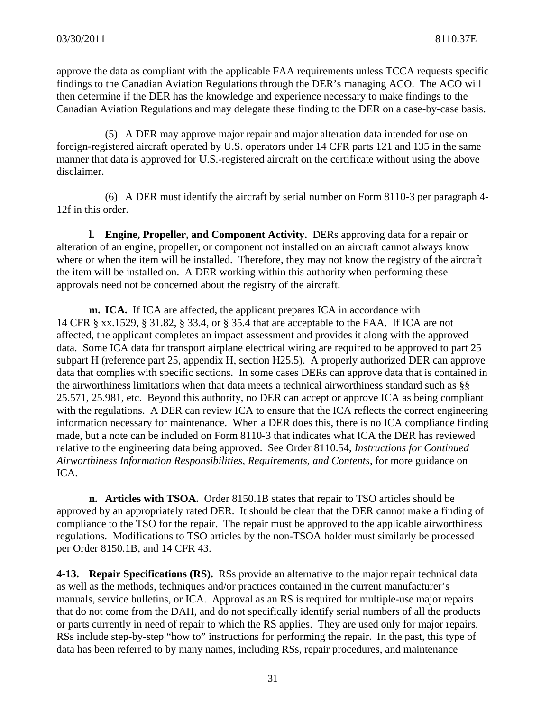approve the data as compliant with the applicable FAA requirements unless TCCA requests specific findings to the Canadian Aviation Regulations through the DER's managing ACO. The ACO will then determine if the DER has the knowledge and experience necessary to make findings to the Canadian Aviation Regulations and may delegate these finding to the DER on a case-by-case basis.

(5) A DER may approve major repair and major alteration data intended for use on foreign-registered aircraft operated by U.S. operators under 14 CFR parts 121 and 135 in the same manner that data is approved for U.S.-registered aircraft on the certificate without using the above disclaimer.

(6) A DER must identify the aircraft by serial number on Form 8110-3 per paragraph 4- 12f in this order.

**l. Engine, Propeller, and Component Activity.** DERs approving data for a repair or alteration of an engine, propeller, or component not installed on an aircraft cannot always know where or when the item will be installed. Therefore, they may not know the registry of the aircraft the item will be installed on. A DER working within this authority when performing these approvals need not be concerned about the registry of the aircraft.

**m. ICA.** If ICA are affected, the applicant prepares ICA in accordance with 14 CFR § xx.1529, § 31.82, § 33.4, or § 35.4 that are acceptable to the FAA. If ICA are not affected, the applicant completes an impact assessment and provides it along with the approved data. Some ICA data for transport airplane electrical wiring are required to be approved to part 25 subpart H (reference part 25, appendix H, section H25.5). A properly authorized DER can approve data that complies with specific sections. In some cases DERs can approve data that is contained in the airworthiness limitations when that data meets a technical airworthiness standard such as §§ 25.571, 25.981, etc. Beyond this authority, no DER can accept or approve ICA as being compliant with the regulations. A DER can review ICA to ensure that the ICA reflects the correct engineering information necessary for maintenance. When a DER does this, there is no ICA compliance finding made, but a note can be included on Form 8110-3 that indicates what ICA the DER has reviewed relative to the engineering data being approved. See Order 8110.54, *Instructions for Continued Airworthiness Information Responsibilities, Requirements, and Contents*, for more guidance on ICA.

**n. Articles with TSOA.** Order 8150.1B states that repair to TSO articles should be approved by an appropriately rated DER. It should be clear that the DER cannot make a finding of compliance to the TSO for the repair. The repair must be approved to the applicable airworthiness regulations. Modifications to TSO articles by the non-TSOA holder must similarly be processed per Order 8150.1B, and 14 CFR 43.

**4-13. Repair Specifications (RS).** RSs provide an alternative to the major repair technical data as well as the methods, techniques and/or practices contained in the current manufacturer's manuals, service bulletins, or ICA. Approval as an RS is required for multiple-use major repairs that do not come from the DAH, and do not specifically identify serial numbers of all the products or parts currently in need of repair to which the RS applies. They are used only for major repairs. RSs include step-by-step "how to" instructions for performing the repair. In the past, this type of data has been referred to by many names, including RSs, repair procedures, and maintenance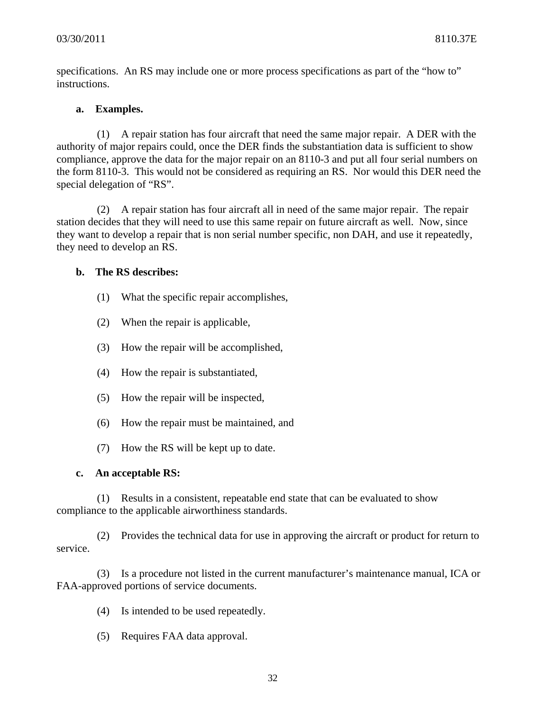specifications. An RS may include one or more process specifications as part of the "how to" instructions.

### **a. Examples.**

(1) A repair station has four aircraft that need the same major repair. A DER with the authority of major repairs could, once the DER finds the substantiation data is sufficient to show compliance, approve the data for the major repair on an 8110-3 and put all four serial numbers on the form 8110-3. This would not be considered as requiring an RS. Nor would this DER need the special delegation of "RS".

(2) A repair station has four aircraft all in need of the same major repair. The repair station decides that they will need to use this same repair on future aircraft as well. Now, since they want to develop a repair that is non serial number specific, non DAH, and use it repeatedly, they need to develop an RS.

### **b. The RS describes:**

- (1) What the specific repair accomplishes,
- (2) When the repair is applicable,
- (3) How the repair will be accomplished,
- (4) How the repair is substantiated,
- (5) How the repair will be inspected,
- (6) How the repair must be maintained, and
- (7) How the RS will be kept up to date.

#### **c. An acceptable RS:**

(1) Results in a consistent, repeatable end state that can be evaluated to show compliance to the applicable airworthiness standards.

(2) Provides the technical data for use in approving the aircraft or product for return to service.

(3) Is a procedure not listed in the current manufacturer's maintenance manual, ICA or FAA-approved portions of service documents.

- (4) Is intended to be used repeatedly.
- (5) Requires FAA data approval.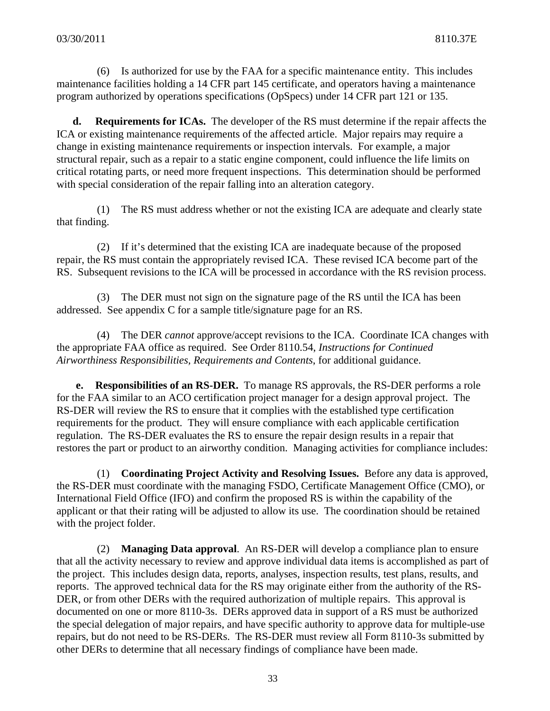(6) Is authorized for use by the FAA for a specific maintenance entity. This includes maintenance facilities holding a 14 CFR part 145 certificate, and operators having a maintenance program authorized by operations specifications (OpSpecs) under 14 CFR part 121 or 135.

**d. Requirements for ICAs.** The developer of the RS must determine if the repair affects the ICA or existing maintenance requirements of the affected article. Major repairs may require a change in existing maintenance requirements or inspection intervals. For example, a major structural repair, such as a repair to a static engine component, could influence the life limits on critical rotating parts, or need more frequent inspections. This determination should be performed with special consideration of the repair falling into an alteration category.

(1) The RS must address whether or not the existing ICA are adequate and clearly state that finding.

(2) If it's determined that the existing ICA are inadequate because of the proposed repair, the RS must contain the appropriately revised ICA. These revised ICA become part of the RS. Subsequent revisions to the ICA will be processed in accordance with the RS revision process.

(3) The DER must not sign on the signature page of the RS until the ICA has been addressed. See appendix C for a sample title/signature page for an RS.

(4) The DER *cannot* approve/accept revisions to the ICA. Coordinate ICA changes with the appropriate FAA office as required. See Order 8110.54, *Instructions for Continued Airworthiness Responsibilities, Requirements and Contents*, for additional guidance.

**e. Responsibilities of an RS-DER.** To manage RS approvals, the RS-DER performs a role for the FAA similar to an ACO certification project manager for a design approval project. The RS-DER will review the RS to ensure that it complies with the established type certification requirements for the product. They will ensure compliance with each applicable certification regulation. The RS-DER evaluates the RS to ensure the repair design results in a repair that restores the part or product to an airworthy condition. Managing activities for compliance includes:

(1) **Coordinating Project Activity and Resolving Issues.** Before any data is approved, the RS-DER must coordinate with the managing FSDO, Certificate Management Office (CMO), or International Field Office (IFO) and confirm the proposed RS is within the capability of the applicant or that their rating will be adjusted to allow its use. The coordination should be retained with the project folder.

(2) **Managing Data approval**. An RS-DER will develop a compliance plan to ensure that all the activity necessary to review and approve individual data items is accomplished as part of the project. This includes design data, reports, analyses, inspection results, test plans, results, and reports. The approved technical data for the RS may originate either from the authority of the RS-DER, or from other DERs with the required authorization of multiple repairs. This approval is documented on one or more 8110-3s. DERs approved data in support of a RS must be authorized the special delegation of major repairs, and have specific authority to approve data for multiple-use repairs, but do not need to be RS-DERs. The RS-DER must review all Form 8110-3s submitted by other DERs to determine that all necessary findings of compliance have been made.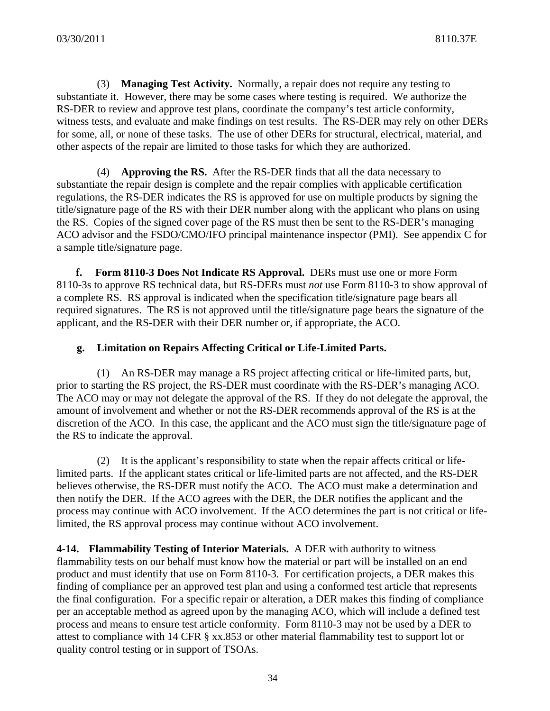(3) **Managing Test Activity.** Normally, a repair does not require any testing to substantiate it. However, there may be some cases where testing is required. We authorize the RS-DER to review and approve test plans, coordinate the company's test article conformity, witness tests, and evaluate and make findings on test results. The RS-DER may rely on other DERs for some, all, or none of these tasks. The use of other DERs for structural, electrical, material, and other aspects of the repair are limited to those tasks for which they are authorized.

(4) **Approving the RS.** After the RS-DER finds that all the data necessary to substantiate the repair design is complete and the repair complies with applicable certification regulations, the RS-DER indicates the RS is approved for use on multiple products by signing the title/signature page of the RS with their DER number along with the applicant who plans on using the RS. Copies of the signed cover page of the RS must then be sent to the RS-DER's managing ACO advisor and the FSDO/CMO/IFO principal maintenance inspector (PMI). See appendix C for a sample title/signature page.

**f. Form 8110-3 Does Not Indicate RS Approval.** DERs must use one or more Form 8110-3s to approve RS technical data, but RS-DERs must *not* use Form 8110-3 to show approval of a complete RS. RS approval is indicated when the specification title/signature page bears all required signatures. The RS is not approved until the title/signature page bears the signature of the applicant, and the RS-DER with their DER number or, if appropriate, the ACO.

### **g. Limitation on Repairs Affecting Critical or Life-Limited Parts.**

(1) An RS-DER may manage a RS project affecting critical or life-limited parts, but, prior to starting the RS project, the RS-DER must coordinate with the RS-DER's managing ACO. The ACO may or may not delegate the approval of the RS. If they do not delegate the approval, the amount of involvement and whether or not the RS-DER recommends approval of the RS is at the discretion of the ACO. In this case, the applicant and the ACO must sign the title/signature page of the RS to indicate the approval.

(2) It is the applicant's responsibility to state when the repair affects critical or lifelimited parts. If the applicant states critical or life-limited parts are not affected, and the RS-DER believes otherwise, the RS-DER must notify the ACO. The ACO must make a determination and then notify the DER. If the ACO agrees with the DER, the DER notifies the applicant and the process may continue with ACO involvement. If the ACO determines the part is not critical or lifelimited, the RS approval process may continue without ACO involvement.

**4-14. Flammability Testing of Interior Materials.** A DER with authority to witness flammability tests on our behalf must know how the material or part will be installed on an end product and must identify that use on Form 8110-3. For certification projects, a DER makes this finding of compliance per an approved test plan and using a conformed test article that represents the final configuration. For a specific repair or alteration, a DER makes this finding of compliance per an acceptable method as agreed upon by the managing ACO, which will include a defined test process and means to ensure test article conformity. Form 8110-3 may not be used by a DER to attest to compliance with 14 CFR § xx.853 or other material flammability test to support lot or quality control testing or in support of TSOAs.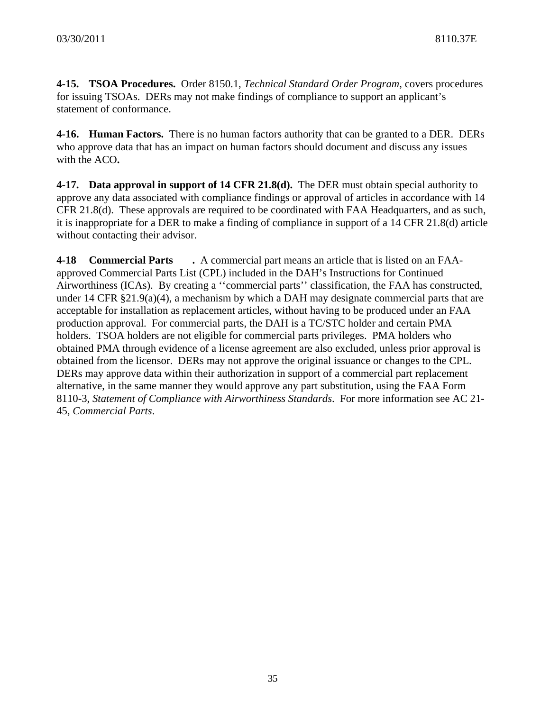**4-15. TSOA Procedures.** Order 8150.1, *Technical Standard Order Program*, covers procedures for issuing TSOAs. DERs may not make findings of compliance to support an applicant's statement of conformance.

**4-16. Human Factors.** There is no human factors authority that can be granted to a DER. DERs who approve data that has an impact on human factors should document and discuss any issues with the ACO**.** 

**4-17. Data approval in support of 14 CFR 21.8(d).** The DER must obtain special authority to approve any data associated with compliance findings or approval of articles in accordance with 14 CFR 21.8(d). These approvals are required to be coordinated with FAA Headquarters, and as such, it is inappropriate for a DER to make a finding of compliance in support of a 14 CFR 21.8(d) article without contacting their advisor.

**4-18 Commercial Parts .** A commercial part means an article that is listed on an FAAapproved Commercial Parts List (CPL) included in the DAH's Instructions for Continued Airworthiness (ICAs). By creating a ''commercial parts'' classification, the FAA has constructed, under 14 CFR  $\S 21.9(a)(4)$ , a mechanism by which a DAH may designate commercial parts that are acceptable for installation as replacement articles, without having to be produced under an FAA production approval. For commercial parts, the DAH is a TC/STC holder and certain PMA holders. TSOA holders are not eligible for commercial parts privileges. PMA holders who obtained PMA through evidence of a license agreement are also excluded, unless prior approval is obtained from the licensor. DERs may not approve the original issuance or changes to the CPL. DERs may approve data within their authorization in support of a commercial part replacement alternative, in the same manner they would approve any part substitution, using the FAA Form 8110-3, *Statement of Compliance with Airworthiness Standards*. For more information see AC 21- 45, *Commercial Parts*.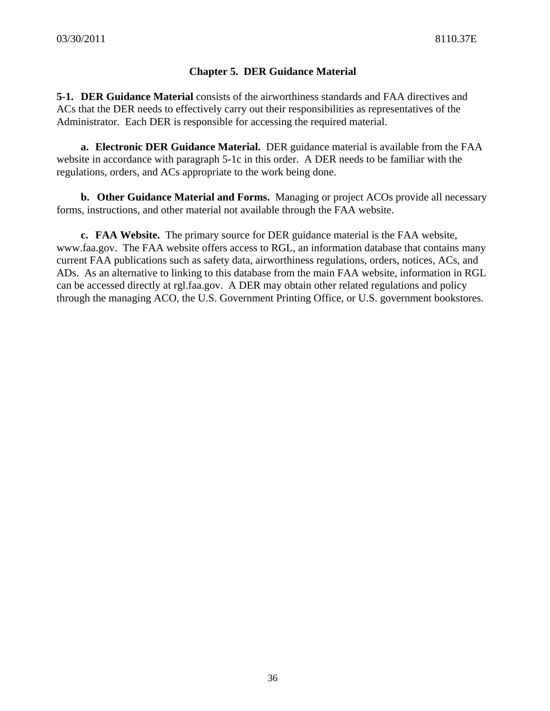# **Chapter 5. DER Guidance Material**

**5-1. DER Guidance Material** consists of the airworthiness standards and FAA directives and ACs that the DER needs to effectively carry out their responsibilities as representatives of the Administrator. Each DER is responsible for accessing the required material.

 **a. Electronic DER Guidance Material.** DER guidance material is available from the FAA website in accordance with paragraph 5-1c in this order. A DER needs to be familiar with the regulations, orders, and ACs appropriate to the work being done.

**b. Other Guidance Material and Forms.** Managing or project ACOs provide all necessary forms, instructions, and other material not available through the FAA website.

 **c. FAA Website.** The primary source for DER guidance material is the FAA website, www.faa.gov. The FAA website offers access to RGL, an information database that contains many current FAA publications such as safety data, airworthiness regulations, orders, notices, ACs, and ADs. As an alternative to linking to this database from the main FAA website, information in RGL can be accessed directly at rgl.faa.gov. A DER may obtain other related regulations and policy through the managing ACO, the U.S. Government Printing Office, or U.S. government bookstores.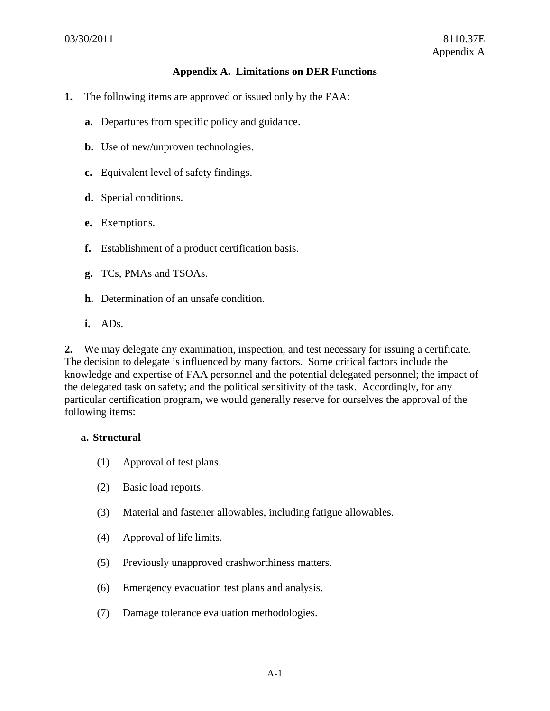### **Appendix A. Limitations on DER Functions**

- **1.** The following items are approved or issued only by the FAA:
	- **a.** Departures from specific policy and guidance.
	- **b.** Use of new/unproven technologies.
	- **c.** Equivalent level of safety findings.
	- **d.** Special conditions.
	- **e.** Exemptions.
	- **f.** Establishment of a product certification basis.
	- **g.** TCs, PMAs and TSOAs.
	- **h.** Determination of an unsafe condition.
	- **i.** ADs.

**2.** We may delegate any examination, inspection, and test necessary for issuing a certificate. The decision to delegate is influenced by many factors. Some critical factors include the knowledge and expertise of FAA personnel and the potential delegated personnel; the impact of the delegated task on safety; and the political sensitivity of the task. Accordingly, for any particular certification program**,** we would generally reserve for ourselves the approval of the following items:

#### **a. Structural**

- (1) Approval of test plans.
- (2) Basic load reports.
- (3) Material and fastener allowables, including fatigue allowables.
- (4) Approval of life limits.
- (5) Previously unapproved crashworthiness matters.
- (6) Emergency evacuation test plans and analysis.
- (7) Damage tolerance evaluation methodologies.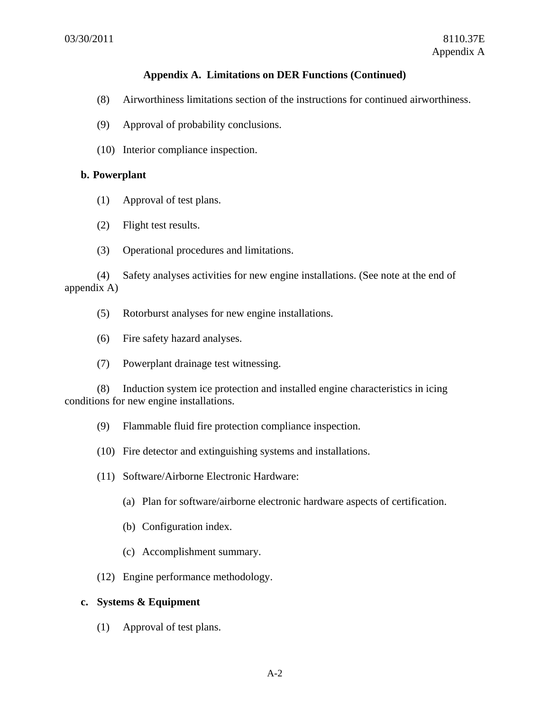- (8) Airworthiness limitations section of the instructions for continued airworthiness.
- (9) Approval of probability conclusions.
- (10) Interior compliance inspection.

#### **b. Powerplant**

- (1) Approval of test plans.
- (2) Flight test results.
- (3) Operational procedures and limitations.

(4) Safety analyses activities for new engine installations. (See note at the end of appendix A)

- (5) Rotorburst analyses for new engine installations.
- (6) Fire safety hazard analyses.
- (7) Powerplant drainage test witnessing.

(8) Induction system ice protection and installed engine characteristics in icing conditions for new engine installations.

- (9) Flammable fluid fire protection compliance inspection.
- (10) Fire detector and extinguishing systems and installations.
- (11) Software/Airborne Electronic Hardware:
	- (a) Plan for software/airborne electronic hardware aspects of certification.
	- (b) Configuration index.
	- (c) Accomplishment summary.
- (12) Engine performance methodology.

### **c. Systems & Equipment**

(1) Approval of test plans.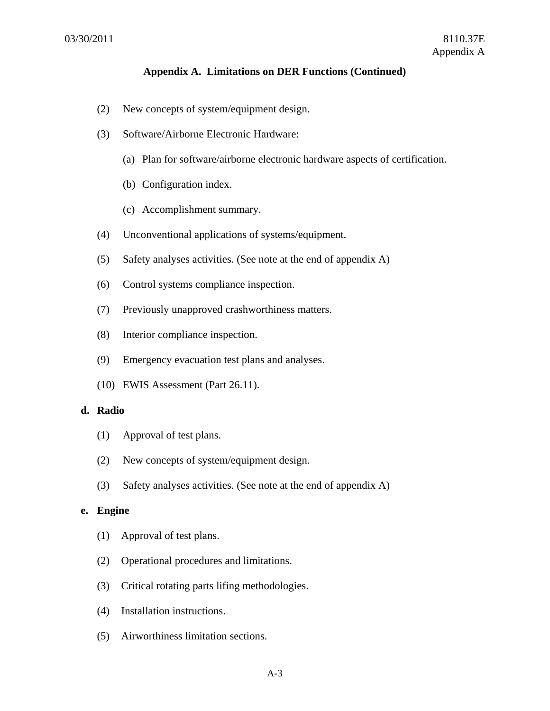- (2) New concepts of system/equipment design.
- (3) Software/Airborne Electronic Hardware:
	- (a) Plan for software/airborne electronic hardware aspects of certification.
	- (b) Configuration index.
	- (c) Accomplishment summary.
- (4) Unconventional applications of systems/equipment.
- (5) Safety analyses activities. (See note at the end of appendix A)
- (6) Control systems compliance inspection.
- (7) Previously unapproved crashworthiness matters.
- (8) Interior compliance inspection.
- (9) Emergency evacuation test plans and analyses.
- (10) EWIS Assessment (Part 26.11).

### **d. Radio**

- (1) Approval of test plans.
- (2) New concepts of system/equipment design.
- (3) Safety analyses activities. (See note at the end of appendix A)

# **e. Engine**

- (1) Approval of test plans.
- (2) Operational procedures and limitations.
- (3) Critical rotating parts lifing methodologies.
- (4) Installation instructions.
- (5) Airworthiness limitation sections.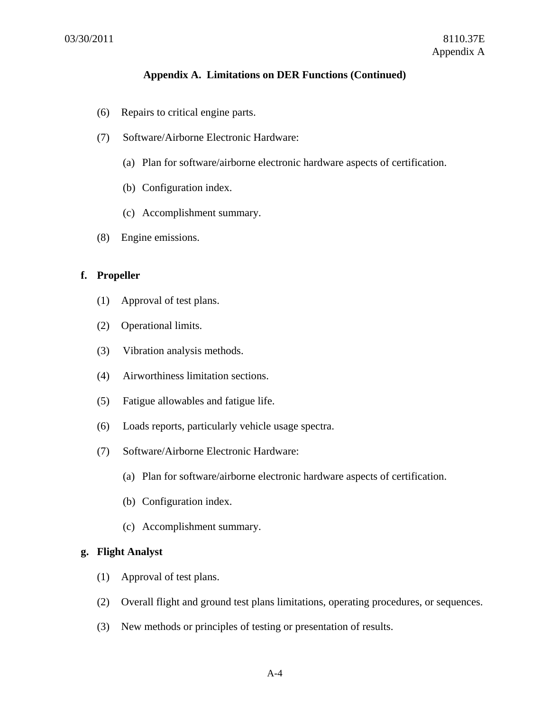- (6) Repairs to critical engine parts.
- (7) Software/Airborne Electronic Hardware:
	- (a) Plan for software/airborne electronic hardware aspects of certification.
	- (b) Configuration index.
	- (c) Accomplishment summary.
- (8) Engine emissions.

#### **f. Propeller**

- (1) Approval of test plans.
- (2) Operational limits.
- (3) Vibration analysis methods.
- (4) Airworthiness limitation sections.
- (5) Fatigue allowables and fatigue life.
- (6) Loads reports, particularly vehicle usage spectra.
- (7) Software/Airborne Electronic Hardware:
	- (a) Plan for software/airborne electronic hardware aspects of certification.
	- (b) Configuration index.
	- (c) Accomplishment summary.

### **g. Flight Analyst**

- (1) Approval of test plans.
- (2) Overall flight and ground test plans limitations, operating procedures, or sequences.
- (3) New methods or principles of testing or presentation of results.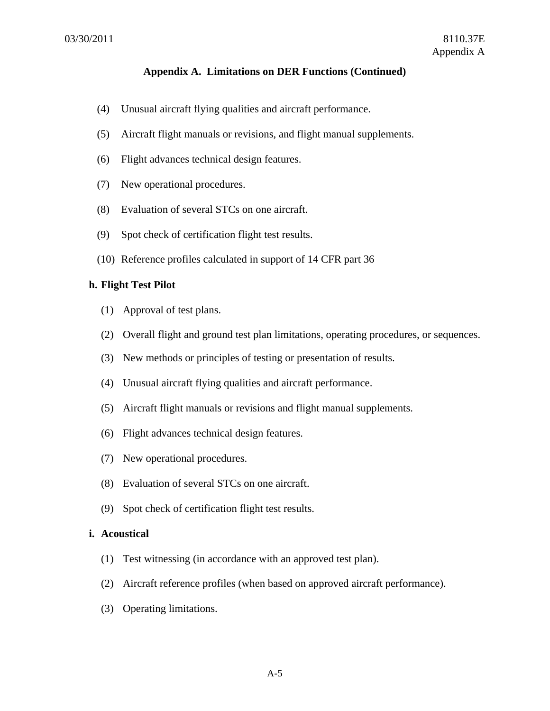- (4) Unusual aircraft flying qualities and aircraft performance.
- (5) Aircraft flight manuals or revisions, and flight manual supplements.
- (6) Flight advances technical design features.
- (7) New operational procedures.
- (8) Evaluation of several STCs on one aircraft.
- (9) Spot check of certification flight test results.
- (10) Reference profiles calculated in support of 14 CFR part 36

#### **h. Flight Test Pilot**

- (1) Approval of test plans.
- (2) Overall flight and ground test plan limitations, operating procedures, or sequences.
- (3) New methods or principles of testing or presentation of results.
- (4) Unusual aircraft flying qualities and aircraft performance.
- (5) Aircraft flight manuals or revisions and flight manual supplements.
- (6) Flight advances technical design features.
- (7) New operational procedures.
- (8) Evaluation of several STCs on one aircraft.
- (9) Spot check of certification flight test results.

### **i. Acoustical**

- (1) Test witnessing (in accordance with an approved test plan).
- (2) Aircraft reference profiles (when based on approved aircraft performance).
- (3) Operating limitations.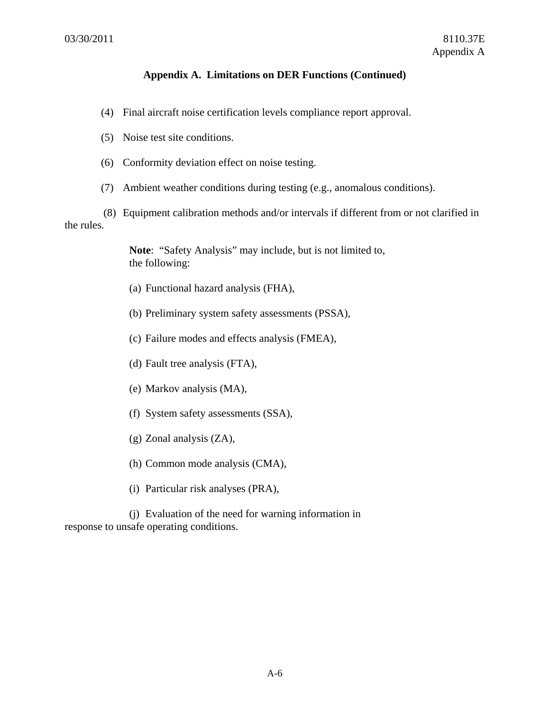- (4) Final aircraft noise certification levels compliance report approval.
- (5) Noise test site conditions.
- (6) Conformity deviation effect on noise testing.
- (7) Ambient weather conditions during testing (e.g., anomalous conditions).

(8) Equipment calibration methods and/or intervals if different from or not clarified in the rules.

> **Note**: "Safety Analysis" may include, but is not limited to, the following:

- (a) Functional hazard analysis (FHA),
- (b) Preliminary system safety assessments (PSSA),
- (c) Failure modes and effects analysis (FMEA),
- (d) Fault tree analysis (FTA),
- (e) Markov analysis (MA),
- (f) System safety assessments (SSA),
- (g) Zonal analysis (ZA),
- (h) Common mode analysis (CMA),
- (i) Particular risk analyses (PRA),

(j) Evaluation of the need for warning information in response to unsafe operating conditions.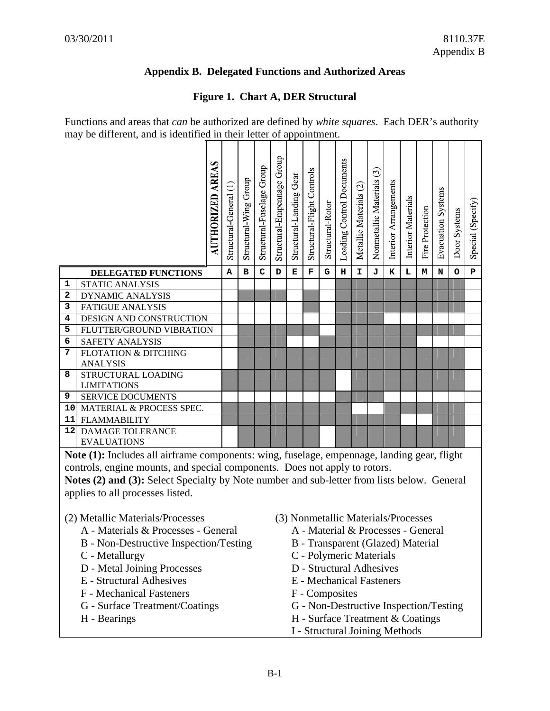# **Appendix B. Delegated Functions and Authorized Areas**

# **Figure 1. Chart A, DER Structural**

|                 |                                                                                             | <b>AUTHORIZED AREAS</b> | Structural-General (1) | Structural Wing Group | Structural-Fuselage Group | Structural-Empennage Group | Structural-Landing Gear | Structural-Flight Controls | Structural-Rotor | Loading Control Documents | Metallic Materials (2) | Nonmetallic Materials (3) | Interior Arrangements               | <b>Interior Materials</b> | Fire Protection | <b>Evacuation Systems</b> | Door Systems | Special (Specify) |
|-----------------|---------------------------------------------------------------------------------------------|-------------------------|------------------------|-----------------------|---------------------------|----------------------------|-------------------------|----------------------------|------------------|---------------------------|------------------------|---------------------------|-------------------------------------|---------------------------|-----------------|---------------------------|--------------|-------------------|
|                 | <b>DELEGATED FUNCTIONS</b>                                                                  |                         | Α                      | в                     | $\mathbf C$               | D                          | Е                       | F                          | G                | н                         | I                      | J                         | к                                   | L                         | М               | N                         | o            | P                 |
| $\mathbf 1$     | <b>STATIC ANALYSIS</b>                                                                      |                         |                        |                       |                           |                            |                         |                            |                  |                           |                        |                           |                                     |                           |                 |                           |              |                   |
| 2               | <b>DYNAMIC ANALYSIS</b>                                                                     |                         |                        |                       |                           |                            |                         |                            |                  |                           |                        |                           |                                     |                           |                 |                           |              |                   |
| 3               | <b>FATIGUE ANALYSIS</b>                                                                     |                         |                        |                       |                           |                            |                         |                            |                  |                           |                        |                           |                                     |                           |                 |                           |              |                   |
| 4               | DESIGN AND CONSTRUCTION                                                                     |                         |                        |                       |                           |                            |                         |                            |                  |                           |                        |                           |                                     |                           |                 |                           |              |                   |
| 5<br>6          | FLUTTER/GROUND VIBRATION                                                                    |                         |                        |                       |                           |                            |                         |                            |                  |                           |                        |                           |                                     |                           |                 |                           |              |                   |
| 7               | <b>SAFETY ANALYSIS</b><br><b>FLOTATION &amp; DITCHING</b>                                   |                         |                        |                       |                           |                            |                         |                            |                  |                           |                        |                           |                                     |                           |                 |                           |              |                   |
|                 | <b>ANALYSIS</b>                                                                             |                         |                        |                       |                           |                            |                         |                            |                  |                           |                        |                           |                                     |                           |                 |                           |              |                   |
| 8               | STRUCTURAL LOADING                                                                          |                         |                        |                       |                           |                            |                         |                            |                  |                           |                        |                           |                                     |                           |                 |                           |              |                   |
|                 | <b>LIMITATIONS</b>                                                                          |                         |                        |                       |                           |                            |                         |                            |                  |                           |                        |                           |                                     |                           |                 |                           |              |                   |
| 9               | SERVICE DOCUMENTS                                                                           |                         |                        |                       |                           |                            |                         |                            |                  |                           |                        |                           |                                     |                           |                 |                           |              |                   |
| 10 <sup>1</sup> | MATERIAL & PROCESS SPEC.                                                                    |                         |                        |                       |                           |                            |                         |                            |                  |                           |                        |                           |                                     |                           |                 |                           |              |                   |
| 11              | <b>FLAMMABILITY</b>                                                                         |                         |                        |                       |                           |                            |                         |                            |                  |                           |                        |                           |                                     |                           |                 |                           |              |                   |
| 12              | <b>DAMAGE TOLERANCE</b>                                                                     |                         |                        |                       |                           |                            |                         |                            |                  |                           |                        |                           |                                     |                           |                 |                           |              |                   |
|                 | <b>EVALUATIONS</b>                                                                          |                         |                        |                       |                           |                            |                         |                            |                  |                           |                        |                           |                                     |                           |                 |                           |              |                   |
|                 | Note (1): Includes all airframe components: wing, fuselage, empennage, landing gear, flight |                         |                        |                       |                           |                            |                         |                            |                  |                           |                        |                           |                                     |                           |                 |                           |              |                   |
|                 | controls, engine mounts, and special components. Does not apply to rotors.                  |                         |                        |                       |                           |                            |                         |                            |                  |                           |                        |                           |                                     |                           |                 |                           |              |                   |
|                 | Notes (2) and (3): Select Specialty by Note number and sub-letter from lists below. General |                         |                        |                       |                           |                            |                         |                            |                  |                           |                        |                           |                                     |                           |                 |                           |              |                   |
|                 | applies to all processes listed.                                                            |                         |                        |                       |                           |                            |                         |                            |                  |                           |                        |                           |                                     |                           |                 |                           |              |                   |
|                 |                                                                                             |                         |                        |                       |                           |                            |                         |                            |                  |                           |                        |                           |                                     |                           |                 |                           |              |                   |
|                 | (2) Metallic Materials/Processes                                                            |                         |                        |                       |                           |                            |                         |                            |                  |                           |                        |                           | (3) Nonmetallic Materials/Processes |                           |                 |                           |              |                   |
|                 | A - Materials & Processes - General                                                         |                         |                        |                       |                           |                            |                         |                            |                  |                           |                        |                           | A - Material & Processes - General  |                           |                 |                           |              |                   |

- B Non-Destructive Inspection/Testing
- C Metallurgy
- D Metal Joining Processes
- E Structural Adhesives
- F Mechanical Fasteners
- G Surface Treatment/Coatings
- H Bearings
- A Material & Processes General
	- B Transparent (Glazed) Material
	- C Polymeric Materials
	- D Structural Adhesives
	- E Mechanical Fasteners
	- F Composites
	- G Non-Destructive Inspection/Testing
	- H Surface Treatment & Coatings
	- I Structural Joining Methods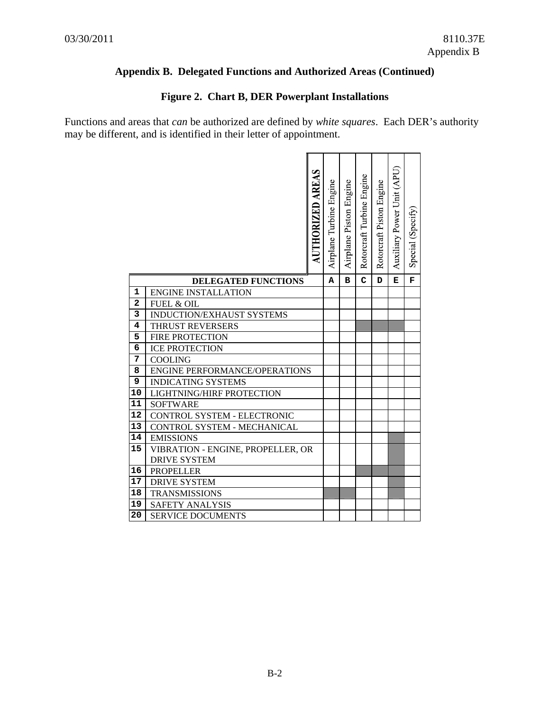# **Figure 2. Chart B, DER Powerplant Installations**

|                |                                                 | AUTHORIZED AREAS | Airplane Turbine Engine | Airplane Piston Engine | Rotorcraft Turbine Engine | Rotorcraft Piston Engine | Auxiliary Power Unit (APU) | Special (Specify) |
|----------------|-------------------------------------------------|------------------|-------------------------|------------------------|---------------------------|--------------------------|----------------------------|-------------------|
|                |                                                 |                  |                         |                        |                           |                          |                            |                   |
|                | <b>DELEGATED FUNCTIONS</b>                      |                  | А                       | в                      | $\mathbf C$               | D                        | Е                          | F                 |
| 1              | <b>ENGINE INSTALLATION</b>                      |                  |                         |                        |                           |                          |                            |                   |
| $\overline{a}$ | FUEL & OIL                                      |                  |                         |                        |                           |                          |                            |                   |
| 3<br>4         | INDUCTION/EXHAUST SYSTEMS                       |                  |                         |                        |                           |                          |                            |                   |
| 5              | <b>THRUST REVERSERS</b>                         |                  |                         |                        |                           |                          |                            |                   |
| 6              | <b>FIRE PROTECTION</b><br><b>ICE PROTECTION</b> |                  |                         |                        |                           |                          |                            |                   |
| 7              | <b>COOLING</b>                                  |                  |                         |                        |                           |                          |                            |                   |
| 8              | <b>ENGINE PERFORMANCE/OPERATIONS</b>            |                  |                         |                        |                           |                          |                            |                   |
| 9              | <b>INDICATING SYSTEMS</b>                       |                  |                         |                        |                           |                          |                            |                   |
| 10             | LIGHTNING/HIRF PROTECTION                       |                  |                         |                        |                           |                          |                            |                   |
| 11             | <b>SOFTWARE</b>                                 |                  |                         |                        |                           |                          |                            |                   |
| 12             | CONTROL SYSTEM - ELECTRONIC                     |                  |                         |                        |                           |                          |                            |                   |
| 13             | CONTROL SYSTEM - MECHANICAL                     |                  |                         |                        |                           |                          |                            |                   |
| 14             | <b>EMISSIONS</b>                                |                  |                         |                        |                           |                          |                            |                   |
| 15             | VIBRATION - ENGINE, PROPELLER, OR               |                  |                         |                        |                           |                          |                            |                   |
|                | <b>DRIVE SYSTEM</b>                             |                  |                         |                        |                           |                          |                            |                   |
| 16             | <b>PROPELLER</b>                                |                  |                         |                        |                           |                          |                            |                   |
| 17             | <b>DRIVE SYSTEM</b>                             |                  |                         |                        |                           |                          |                            |                   |
| 18             | <b>TRANSMISSIONS</b>                            |                  |                         |                        |                           |                          |                            |                   |
| 19             | SAFETY ANALYSIS                                 |                  |                         |                        |                           |                          |                            |                   |
| 20             | <b>SERVICE DOCUMENTS</b>                        |                  |                         |                        |                           |                          |                            |                   |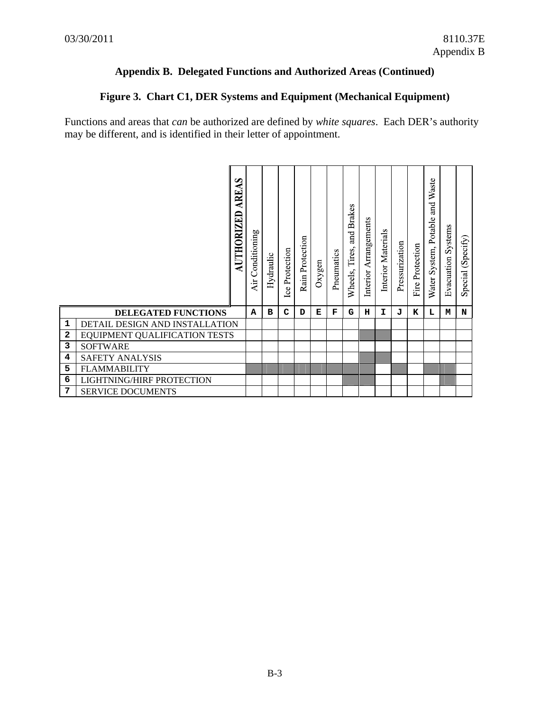# **Figure 3. Chart C1, DER Systems and Equipment (Mechanical Equipment)**

|              | AREAS<br>AUTHORIZED            | Conditioning<br>Air | Hydraulic | <b>Ice Protection</b> | Rain Protection | Oxygen | Pneumatics | and Brakes<br>Tires,<br>Wheels, | Arrangements<br>Interior | Interior Materials | Pressurization | Fire Protection | Waste<br>and<br>$\circ$<br>Potabl<br>Water System, | <b>Evacuation Systems</b> | (Specify)<br>Special |
|--------------|--------------------------------|---------------------|-----------|-----------------------|-----------------|--------|------------|---------------------------------|--------------------------|--------------------|----------------|-----------------|----------------------------------------------------|---------------------------|----------------------|
|              | <b>DELEGATED FUNCTIONS</b>     | A                   | в         | C                     | D               | Е      | F          | G                               | н                        | I                  | T.             | к               | L                                                  | м                         | N                    |
| 1            | DETAIL DESIGN AND INSTALLATION |                     |           |                       |                 |        |            |                                 |                          |                    |                |                 |                                                    |                           |                      |
| $\mathbf{2}$ | EQUIPMENT QUALIFICATION TESTS  |                     |           |                       |                 |        |            |                                 |                          |                    |                |                 |                                                    |                           |                      |
| 3            | <b>SOFTWARE</b>                |                     |           |                       |                 |        |            |                                 |                          |                    |                |                 |                                                    |                           |                      |
| 4            | <b>SAFETY ANALYSIS</b>         |                     |           |                       |                 |        |            |                                 |                          |                    |                |                 |                                                    |                           |                      |
| 5            | <b>FLAMMABILITY</b>            |                     |           |                       |                 |        |            |                                 |                          |                    |                |                 |                                                    |                           |                      |
| 6            | LIGHTNING/HIRF PROTECTION      |                     |           |                       |                 |        |            |                                 |                          |                    |                |                 |                                                    |                           |                      |
| 7            | <b>SERVICE DOCUMENTS</b>       |                     |           |                       |                 |        |            |                                 |                          |                    |                |                 |                                                    |                           |                      |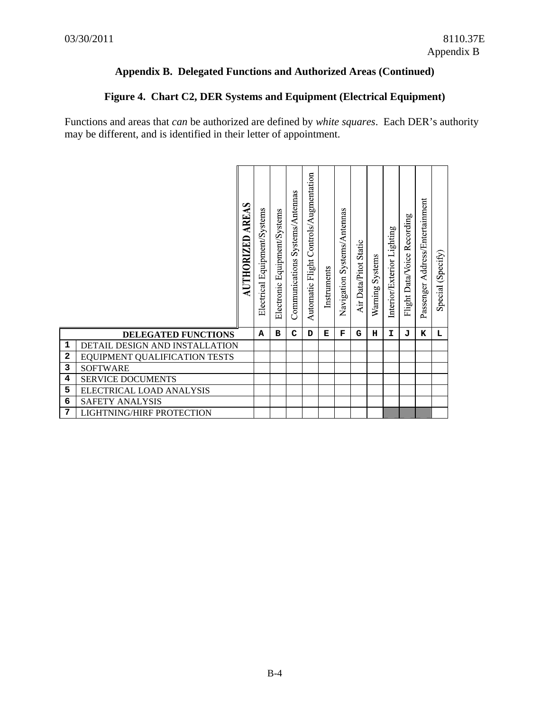# **Figure 4. Chart C2, DER Systems and Equipment (Electrical Equipment)**

|   |                                  | AREAS<br>AUTHORIZED | Equipment/Systems<br>Electrical | Electronic Equipment/Systems | Systems/Antennas<br>Communications | Automatic Flight Controls/Augmentation | Instruments | Systems/Antennas<br>Navigation | Air Data/Pitot Static | Systems<br>Warning | Interior/Exterior Lighting | Recording<br>Data/Voice<br>Flight 1 | Passenger Address/Entertainment | Special (Specify) |
|---|----------------------------------|---------------------|---------------------------------|------------------------------|------------------------------------|----------------------------------------|-------------|--------------------------------|-----------------------|--------------------|----------------------------|-------------------------------------|---------------------------------|-------------------|
|   | <b>DELEGATED FUNCTIONS</b>       |                     | A                               | в                            | C                                  | D                                      | Е           | F                              | G                     | н                  | I.                         | ъT.                                 | к                               | L                 |
| 1 | DETAIL DESIGN AND INSTALLATION   |                     |                                 |                              |                                    |                                        |             |                                |                       |                    |                            |                                     |                                 |                   |
| 2 | EQUIPMENT QUALIFICATION TESTS    |                     |                                 |                              |                                    |                                        |             |                                |                       |                    |                            |                                     |                                 |                   |
| 3 | <b>SOFTWARE</b>                  |                     |                                 |                              |                                    |                                        |             |                                |                       |                    |                            |                                     |                                 |                   |
| 4 | <b>SERVICE DOCUMENTS</b>         |                     |                                 |                              |                                    |                                        |             |                                |                       |                    |                            |                                     |                                 |                   |
| 5 | ELECTRICAL LOAD ANALYSIS         |                     |                                 |                              |                                    |                                        |             |                                |                       |                    |                            |                                     |                                 |                   |
| 6 | <b>SAFETY ANALYSIS</b>           |                     |                                 |                              |                                    |                                        |             |                                |                       |                    |                            |                                     |                                 |                   |
| 7 | <b>LIGHTNING/HIRF PROTECTION</b> |                     |                                 |                              |                                    |                                        |             |                                |                       |                    |                            |                                     |                                 |                   |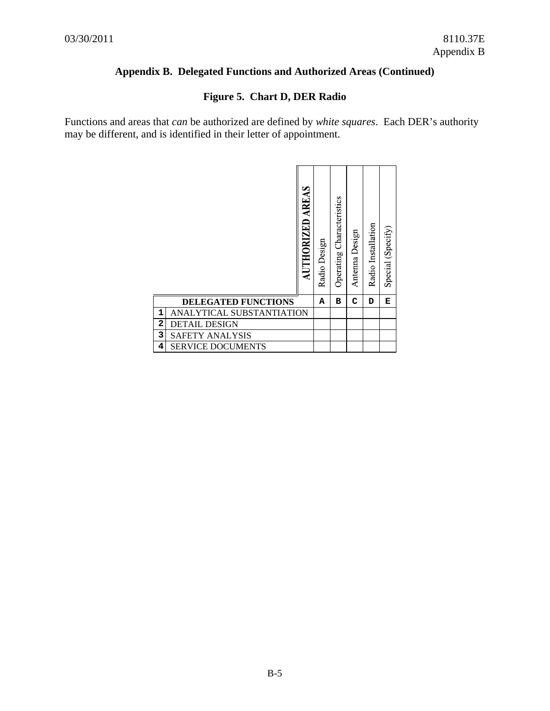# **Figure 5. Chart D, DER Radio**

|   |                            | AREAS<br>AUTHORIZED | Radio Design | Characteristics<br>Operating | Antenna Design | Radio Installation | Special (Specify) |
|---|----------------------------|---------------------|--------------|------------------------------|----------------|--------------------|-------------------|
|   | <b>DELEGATED FUNCTIONS</b> |                     | Α            | в                            | C              | D                  | Е                 |
| 1 | ANALYTICAL SUBSTANTIATION  |                     |              |                              |                |                    |                   |
| 2 | <b>DETAIL DESIGN</b>       |                     |              |                              |                |                    |                   |
| 3 | <b>SAFETY ANALYSIS</b>     |                     |              |                              |                |                    |                   |
| 4 | <b>SERVICE DOCUMENTS</b>   |                     |              |                              |                |                    |                   |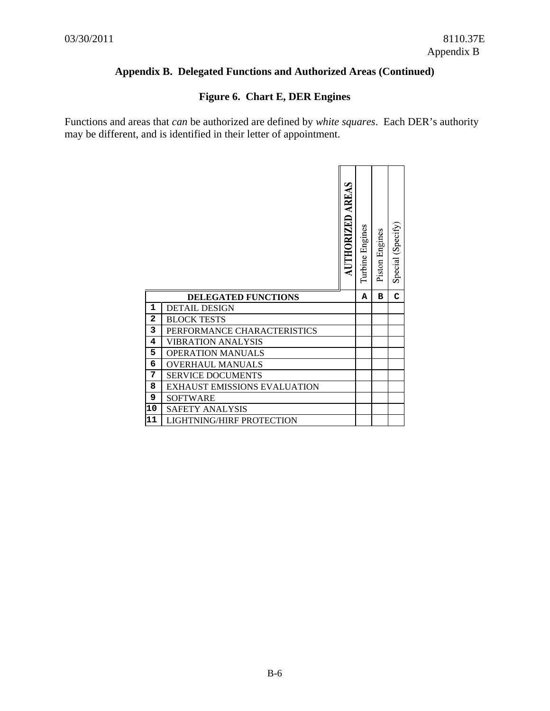# **Figure 6. Chart E, DER Engines**

|                |                              | <b>AUTHORIZED AREAS</b> | Turbine Engines | Piston Engines | Special (Specify) |
|----------------|------------------------------|-------------------------|-----------------|----------------|-------------------|
|                | <b>DELEGATED FUNCTIONS</b>   |                         | A               | в              | C                 |
| $\mathbf{1}$   | <b>DETAIL DESIGN</b>         |                         |                 |                |                   |
| $\overline{a}$ | <b>BLOCK TESTS</b>           |                         |                 |                |                   |
| 3              | PERFORMANCE CHARACTERISTICS  |                         |                 |                |                   |
| 4              | VIBRATION ANALYSIS           |                         |                 |                |                   |
|                |                              |                         |                 |                |                   |
| 5              | <b>OPERATION MANUALS</b>     |                         |                 |                |                   |
| 6              | <b>OVERHAUL MANUALS</b>      |                         |                 |                |                   |
| 7              | <b>SERVICE DOCUMENTS</b>     |                         |                 |                |                   |
| 8              | EXHAUST EMISSIONS EVALUATION |                         |                 |                |                   |
| 9              | <b>SOFTWARE</b>              |                         |                 |                |                   |
| 10             | <b>SAFETY ANALYSIS</b>       |                         |                 |                |                   |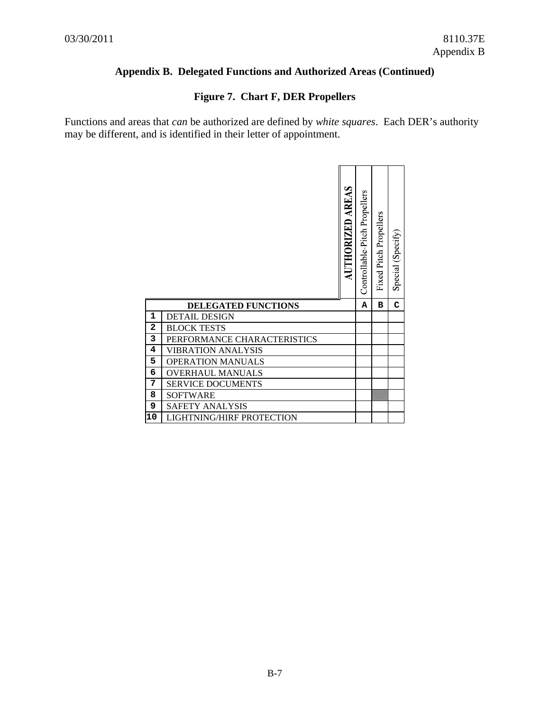# **Figure 7. Chart F, DER Propellers**

|                |                             | <b>AUTHORIZED AREAS</b> | Controllable-Pitch Propellers | Fixed Pitch Propellers | Special (Specify) |
|----------------|-----------------------------|-------------------------|-------------------------------|------------------------|-------------------|
|                | <b>DELEGATED FUNCTIONS</b>  |                         | Α                             | в                      | C                 |
| 1              | <b>DETAIL DESIGN</b>        |                         |                               |                        |                   |
| $\overline{a}$ | <b>BLOCK TESTS</b>          |                         |                               |                        |                   |
| 3              | PERFORMANCE CHARACTERISTICS |                         |                               |                        |                   |
| 4              | <b>VIBRATION ANALYSIS</b>   |                         |                               |                        |                   |
| 5              | <b>OPERATION MANUALS</b>    |                         |                               |                        |                   |
| 6              | <b>OVERHAUL MANUALS</b>     |                         |                               |                        |                   |
| 7              |                             |                         |                               |                        |                   |
|                | <b>SERVICE DOCUMENTS</b>    |                         |                               |                        |                   |
| 8              | <b>SOFTWARE</b>             |                         |                               |                        |                   |
| 9              | <b>SAFETY ANALYSIS</b>      |                         |                               |                        |                   |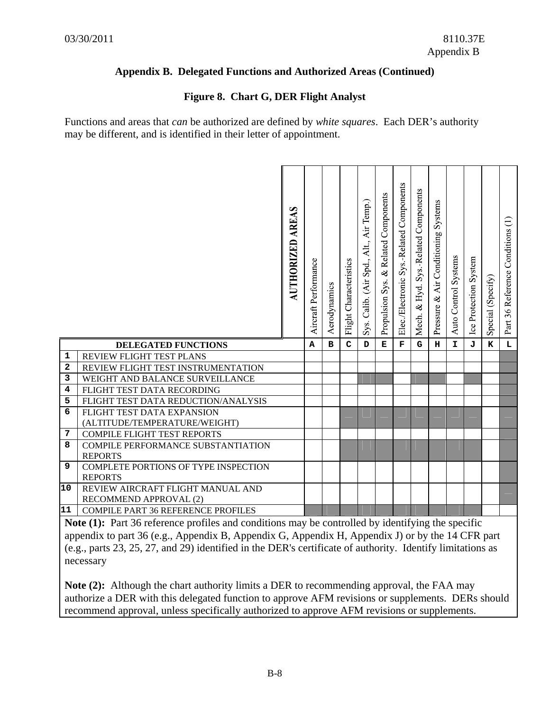# **Figure 8. Chart G, DER Flight Analyst**

Functions and areas that *can* be authorized are defined by *white squares*. Each DER's authority may be different, and is identified in their letter of appointment.

|             |                                                        | <b>AUTHORIZED AREAS</b> | Aircraft Performance | Aerodynamics | Flight Characteristics | Sys. Calib. (Air Spd., Alt., Air Temp.) | & Related Components<br>Propulsion Sys. | Elec./Electronic Sys.-Related Components | Components<br>Sys.-Related<br>Hyd.<br>$\infty$<br>Mech. | Systems<br>Air Conditioning<br>Pressure & | Auto Control Systems | Ice Protection System | Special (Specify) | Part 36 Reference Conditions (1) |
|-------------|--------------------------------------------------------|-------------------------|----------------------|--------------|------------------------|-----------------------------------------|-----------------------------------------|------------------------------------------|---------------------------------------------------------|-------------------------------------------|----------------------|-----------------------|-------------------|----------------------------------|
|             | DELEGATED FUNCTIONS                                    |                         | A                    | $\mathbf B$  | $\mathbf C$            | D                                       | $\mathbf E$                             | F                                        | G                                                       | н                                         | I.                   | J                     | K                 | L                                |
| $\mathbf 1$ | REVIEW FLIGHT TEST PLANS                               |                         |                      |              |                        |                                         |                                         |                                          |                                                         |                                           |                      |                       |                   |                                  |
| 2           | REVIEW FLIGHT TEST INSTRUMENTATION                     |                         |                      |              |                        |                                         |                                         |                                          |                                                         |                                           |                      |                       |                   |                                  |
| 3           | WEIGHT AND BALANCE SURVEILLANCE                        |                         |                      |              |                        |                                         |                                         |                                          |                                                         |                                           |                      |                       |                   |                                  |
| 4           | FLIGHT TEST DATA RECORDING                             |                         |                      |              |                        |                                         |                                         |                                          |                                                         |                                           |                      |                       |                   |                                  |
| 5           | FLIGHT TEST DATA REDUCTION/ANALYSIS                    |                         |                      |              |                        |                                         |                                         |                                          |                                                         |                                           |                      |                       |                   |                                  |
| 6           | FLIGHT TEST DATA EXPANSION                             |                         |                      |              |                        |                                         |                                         |                                          |                                                         |                                           |                      |                       |                   |                                  |
|             | (ALTITUDE/TEMPERATURE/WEIGHT)                          |                         |                      |              |                        |                                         |                                         |                                          |                                                         |                                           |                      |                       |                   |                                  |
| 7           | <b>COMPILE FLIGHT TEST REPORTS</b>                     |                         |                      |              |                        |                                         |                                         |                                          |                                                         |                                           |                      |                       |                   |                                  |
| 8           | <b>COMPILE PERFORMANCE SUBSTANTIATION</b>              |                         |                      |              |                        |                                         |                                         |                                          |                                                         |                                           |                      |                       |                   |                                  |
| 9           | <b>REPORTS</b><br>COMPLETE PORTIONS OF TYPE INSPECTION |                         |                      |              |                        |                                         |                                         |                                          |                                                         |                                           |                      |                       |                   |                                  |
|             | <b>REPORTS</b>                                         |                         |                      |              |                        |                                         |                                         |                                          |                                                         |                                           |                      |                       |                   |                                  |
| 10          | REVIEW AIRCRAFT FLIGHT MANUAL AND                      |                         |                      |              |                        |                                         |                                         |                                          |                                                         |                                           |                      |                       |                   |                                  |
|             | RECOMMEND APPROVAL (2)                                 |                         |                      |              |                        |                                         |                                         |                                          |                                                         |                                           |                      |                       |                   |                                  |
|             |                                                        |                         |                      |              |                        |                                         |                                         |                                          |                                                         |                                           |                      |                       |                   |                                  |
| 11          | <b>COMPILE PART 36 REFERENCE PROFILES</b>              |                         |                      |              |                        |                                         |                                         |                                          |                                                         |                                           |                      |                       |                   |                                  |

**Note (1):** Part 36 reference profiles and conditions may be controlled by identifying the specific appendix to part 36 (e.g., Appendix B, Appendix G, Appendix H, Appendix J) or by the 14 CFR part (e.g., parts 23, 25, 27, and 29) identified in the DER's certificate of authority. Identify limitations as necessary

**Note (2):** Although the chart authority limits a DER to recommending approval, the FAA may authorize a DER with this delegated function to approve AFM revisions or supplements. DERs should recommend approval, unless specifically authorized to approve AFM revisions or supplements.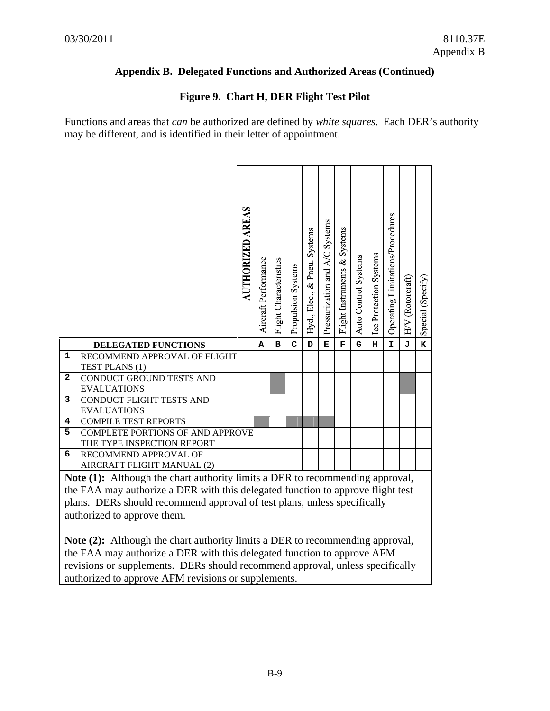# **Figure 9. Chart H, DER Flight Test Pilot**

|                         |                                                                                      | <b>AUTHORIZED AREAS</b> | Aircraft Performance | Flight Characteristics | Propulsion Systems | Hyd., Elec., & Pneu. Systems | Pressurization and A/C Systems | Systems<br>Flight Instruments & | Auto Control Systems | Ice Protection Systems | Operating Limitations/Procedures | HV (Rotorcraft) | Special (Specify) |
|-------------------------|--------------------------------------------------------------------------------------|-------------------------|----------------------|------------------------|--------------------|------------------------------|--------------------------------|---------------------------------|----------------------|------------------------|----------------------------------|-----------------|-------------------|
| $\mathbf{1}$            | DELEGATED FUNCTIONS                                                                  |                         | A                    | в                      | C                  | D                            | Е                              | F                               | G                    | н                      | I.                               | J               | K                 |
|                         | RECOMMEND APPROVAL OF FLIGHT<br>TEST PLANS (1)                                       |                         |                      |                        |                    |                              |                                |                                 |                      |                        |                                  |                 |                   |
| $\overline{\mathbf{2}}$ | CONDUCT GROUND TESTS AND                                                             |                         |                      |                        |                    |                              |                                |                                 |                      |                        |                                  |                 |                   |
|                         | <b>EVALUATIONS</b>                                                                   |                         |                      |                        |                    |                              |                                |                                 |                      |                        |                                  |                 |                   |
| 3                       | CONDUCT FLIGHT TESTS AND                                                             |                         |                      |                        |                    |                              |                                |                                 |                      |                        |                                  |                 |                   |
| 4                       | <b>EVALUATIONS</b><br><b>COMPILE TEST REPORTS</b>                                    |                         |                      |                        |                    |                              |                                |                                 |                      |                        |                                  |                 |                   |
| 5                       | <b>COMPLETE PORTIONS OF AND APPROVE</b>                                              |                         |                      |                        |                    |                              |                                |                                 |                      |                        |                                  |                 |                   |
|                         | THE TYPE INSPECTION REPORT                                                           |                         |                      |                        |                    |                              |                                |                                 |                      |                        |                                  |                 |                   |
| 6                       | RECOMMEND APPROVAL OF                                                                |                         |                      |                        |                    |                              |                                |                                 |                      |                        |                                  |                 |                   |
|                         | AIRCRAFT FLIGHT MANUAL (2)                                                           |                         |                      |                        |                    |                              |                                |                                 |                      |                        |                                  |                 |                   |
|                         | Note (1): Although the chart authority limits a DER to recommending approval,        |                         |                      |                        |                    |                              |                                |                                 |                      |                        |                                  |                 |                   |
|                         | the FAA may authorize a DER with this delegated function to approve flight test      |                         |                      |                        |                    |                              |                                |                                 |                      |                        |                                  |                 |                   |
|                         | plans. DERs should recommend approval of test plans, unless specifically             |                         |                      |                        |                    |                              |                                |                                 |                      |                        |                                  |                 |                   |
|                         | authorized to approve them.                                                          |                         |                      |                        |                    |                              |                                |                                 |                      |                        |                                  |                 |                   |
|                         |                                                                                      |                         |                      |                        |                    |                              |                                |                                 |                      |                        |                                  |                 |                   |
|                         | <b>Note (2):</b> Although the chart authority limits a DER to recommending approval, |                         |                      |                        |                    |                              |                                |                                 |                      |                        |                                  |                 |                   |
|                         | the FAA may authorize a DER with this delegated function to approve AFM              |                         |                      |                        |                    |                              |                                |                                 |                      |                        |                                  |                 |                   |
|                         | revisions or supplements. DERs should recommend approval, unless specifically        |                         |                      |                        |                    |                              |                                |                                 |                      |                        |                                  |                 |                   |
|                         | authorized to approve AFM revisions or supplements.                                  |                         |                      |                        |                    |                              |                                |                                 |                      |                        |                                  |                 |                   |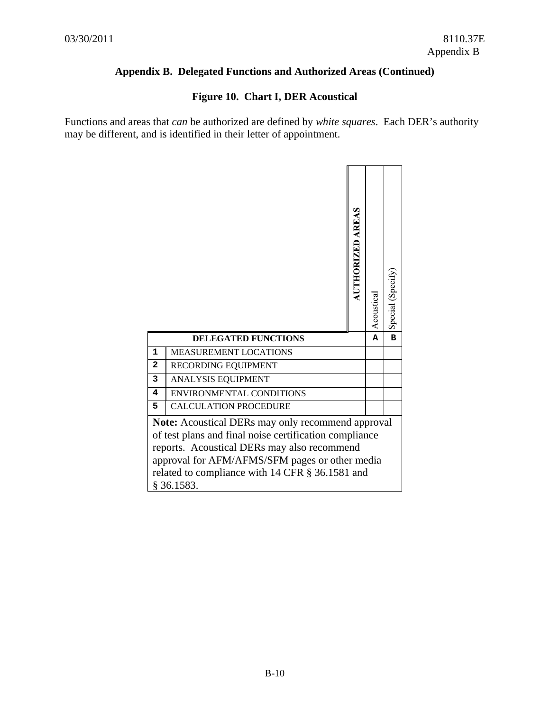# **Figure 10. Chart I, DER Acoustical**

|              |                                 | <b>AUTHORIZED AREAS</b> | Acoustica | Special (Specify |
|--------------|---------------------------------|-------------------------|-----------|------------------|
|              | <b>DELEGATED FUNCTIONS</b>      |                         | Α         | $\mathbf B$      |
| $\mathbf{1}$ | <b>MEASUREMENT LOCATIONS</b>    |                         |           |                  |
|              |                                 |                         |           |                  |
| $\mathbf{2}$ | RECORDING EQUIPMENT             |                         |           |                  |
| 3            | <b>ANALYSIS EQUIPMENT</b>       |                         |           |                  |
| 4            | <b>ENVIRONMENTAL CONDITIONS</b> |                         |           |                  |
| 5            | <b>CALCULATION PROCEDURE</b>    |                         |           |                  |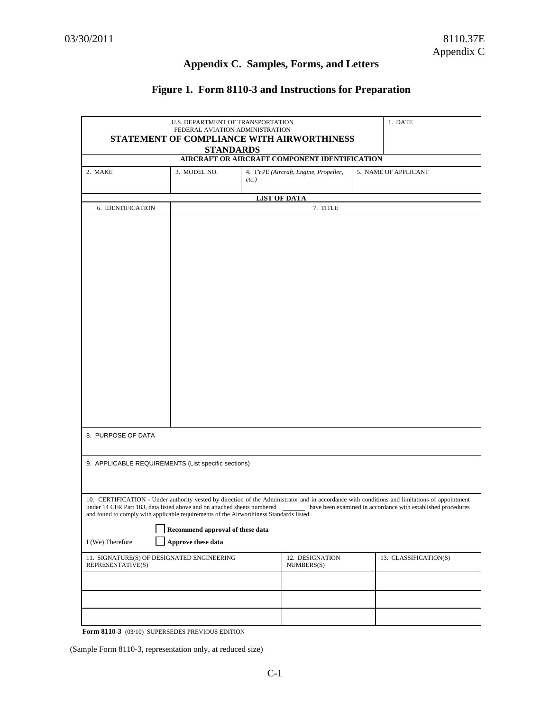# **Appendix C. Samples, Forms, and Letters**

# **Figure 1. Form 8110-3 and Instructions for Preparation**

|                                                                                         | U.S. DEPARTMENT OF TRANSPORTATION |                  |                                               |  | 1. DATE                                                                                                                                                                                                       |
|-----------------------------------------------------------------------------------------|-----------------------------------|------------------|-----------------------------------------------|--|---------------------------------------------------------------------------------------------------------------------------------------------------------------------------------------------------------------|
| FEDERAL AVIATION ADMINISTRATION<br>STATEMENT OF COMPLIANCE WITH AIRWORTHINESS           |                                   |                  |                                               |  |                                                                                                                                                                                                               |
|                                                                                         |                                   | <b>STANDARDS</b> |                                               |  |                                                                                                                                                                                                               |
|                                                                                         |                                   |                  | AIRCRAFT OR AIRCRAFT COMPONENT IDENTIFICATION |  |                                                                                                                                                                                                               |
| 2. MAKE                                                                                 | 3. MODEL NO.                      |                  | 4. TYPE (Aircraft, Engine, Propeller,         |  | 5. NAME OF APPLICANT                                                                                                                                                                                          |
|                                                                                         |                                   | $etc.$ )         |                                               |  |                                                                                                                                                                                                               |
|                                                                                         |                                   |                  |                                               |  |                                                                                                                                                                                                               |
| 6. IDENTIFICATION                                                                       |                                   |                  | <b>LIST OF DATA</b><br>7. TITLE               |  |                                                                                                                                                                                                               |
|                                                                                         |                                   |                  |                                               |  |                                                                                                                                                                                                               |
|                                                                                         |                                   |                  |                                               |  |                                                                                                                                                                                                               |
|                                                                                         |                                   |                  |                                               |  |                                                                                                                                                                                                               |
|                                                                                         |                                   |                  |                                               |  |                                                                                                                                                                                                               |
|                                                                                         |                                   |                  |                                               |  |                                                                                                                                                                                                               |
|                                                                                         |                                   |                  |                                               |  |                                                                                                                                                                                                               |
|                                                                                         |                                   |                  |                                               |  |                                                                                                                                                                                                               |
|                                                                                         |                                   |                  |                                               |  |                                                                                                                                                                                                               |
|                                                                                         |                                   |                  |                                               |  |                                                                                                                                                                                                               |
|                                                                                         |                                   |                  |                                               |  |                                                                                                                                                                                                               |
|                                                                                         |                                   |                  |                                               |  |                                                                                                                                                                                                               |
|                                                                                         |                                   |                  |                                               |  |                                                                                                                                                                                                               |
|                                                                                         |                                   |                  |                                               |  |                                                                                                                                                                                                               |
|                                                                                         |                                   |                  |                                               |  |                                                                                                                                                                                                               |
|                                                                                         |                                   |                  |                                               |  |                                                                                                                                                                                                               |
|                                                                                         |                                   |                  |                                               |  |                                                                                                                                                                                                               |
|                                                                                         |                                   |                  |                                               |  |                                                                                                                                                                                                               |
|                                                                                         |                                   |                  |                                               |  |                                                                                                                                                                                                               |
|                                                                                         |                                   |                  |                                               |  |                                                                                                                                                                                                               |
|                                                                                         |                                   |                  |                                               |  |                                                                                                                                                                                                               |
| 8. PURPOSE OF DATA                                                                      |                                   |                  |                                               |  |                                                                                                                                                                                                               |
|                                                                                         |                                   |                  |                                               |  |                                                                                                                                                                                                               |
| 9. APPLICABLE REQUIREMENTS (List specific sections)                                     |                                   |                  |                                               |  |                                                                                                                                                                                                               |
|                                                                                         |                                   |                  |                                               |  |                                                                                                                                                                                                               |
|                                                                                         |                                   |                  |                                               |  |                                                                                                                                                                                                               |
|                                                                                         |                                   |                  |                                               |  |                                                                                                                                                                                                               |
| under 14 CFR Part 183, data listed above and on attached sheets numbered                |                                   |                  |                                               |  | 10. CERTIFICATION - Under authority vested by direction of the Administrator and in accordance with conditions and limitations of appointment<br>have been examined in accordance with established procedures |
| and found to comply with applicable requirements of the Airworthiness Standards listed. |                                   |                  |                                               |  |                                                                                                                                                                                                               |
|                                                                                         | Recommend approval of these data  |                  |                                               |  |                                                                                                                                                                                                               |
|                                                                                         |                                   |                  |                                               |  |                                                                                                                                                                                                               |
| I (We) Therefore                                                                        | Approve these data                |                  |                                               |  |                                                                                                                                                                                                               |
| 11. SIGNATURE(S) OF DESIGNATED ENGINEERING                                              |                                   |                  | 12. DESIGNATION                               |  | 13. CLASSIFICATION(S)                                                                                                                                                                                         |
| REPRESENTATIVE(S)                                                                       |                                   |                  | NUMBERS(S)                                    |  |                                                                                                                                                                                                               |
|                                                                                         |                                   |                  |                                               |  |                                                                                                                                                                                                               |
|                                                                                         |                                   |                  |                                               |  |                                                                                                                                                                                                               |
|                                                                                         |                                   |                  |                                               |  |                                                                                                                                                                                                               |
|                                                                                         |                                   |                  |                                               |  |                                                                                                                                                                                                               |
|                                                                                         |                                   |                  |                                               |  |                                                                                                                                                                                                               |

**Form 8110-3** (03/10) SUPERSEDES PREVIOUS EDITION

(Sample Form 8110-3, representation only, at reduced size)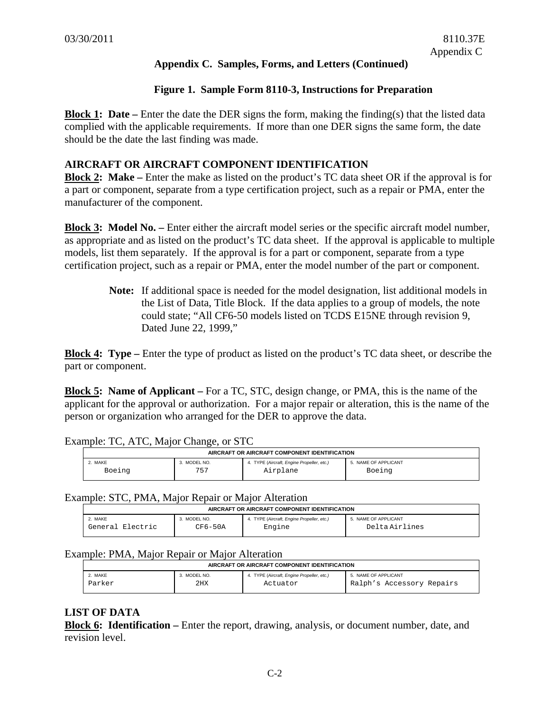### **Figure 1. Sample Form 8110-3, Instructions for Preparation**

**Block 1: Date** – Enter the date the DER signs the form, making the finding(s) that the listed data complied with the applicable requirements. If more than one DER signs the same form, the date should be the date the last finding was made.

### **AIRCRAFT OR AIRCRAFT COMPONENT IDENTIFICATION**

**Block 2: Make** – Enter the make as listed on the product's TC data sheet OR if the approval is for a part or component, separate from a type certification project, such as a repair or PMA, enter the manufacturer of the component.

**Block 3: Model No.** – Enter either the aircraft model series or the specific aircraft model number, as appropriate and as listed on the product's TC data sheet. If the approval is applicable to multiple models, list them separately. If the approval is for a part or component, separate from a type certification project, such as a repair or PMA, enter the model number of the part or component.

> **Note:** If additional space is needed for the model designation, list additional models in the List of Data, Title Block. If the data applies to a group of models, the note could state; "All CF6-50 models listed on TCDS E15NE through revision 9, Dated June 22, 1999,"

**Block 4: Type –** Enter the type of product as listed on the product's TC data sheet, or describe the part or component.

**Block 5: Name of Applicant –** For a TC, STC, design change, or PMA, this is the name of the applicant for the approval or authorization. For a major repair or alteration, this is the name of the person or organization who arranged for the DER to approve the data.

| AIRCRAFT OR AIRCRAFT COMPONENT IDENTIFICATION |              |                                            |                      |  |  |
|-----------------------------------------------|--------------|--------------------------------------------|----------------------|--|--|
| 2. MAKE                                       | 3. MODEL NO. | 4. TYPE (Aircraft, Engine Propeller, etc.) | 5. NAME OF APPLICANT |  |  |
| Boeing                                        | 757          | Airplane                                   | Boeing               |  |  |

Example: TC, ATC, Major Change, or STC

#### Example: STC, PMA, Major Repair or Major Alteration

| AIRCRAFT OR AIRCRAFT COMPONENT IDENTIFICATION |           |                                            |                      |  |  |
|-----------------------------------------------|-----------|--------------------------------------------|----------------------|--|--|
| 2. MAKE                                       | MODEL NO. | 4. TYPE (Aircraft, Engine Propeller, etc.) | 5. NAME OF APPLICANT |  |  |
| General Electric                              | CF6-50A   | Engine                                     | Delta Airlines       |  |  |

#### Example: PMA, Major Repair or Major Alteration

| AIRCRAFT OR AIRCRAFT COMPONENT IDENTIFICATION |              |                                            |                           |  |
|-----------------------------------------------|--------------|--------------------------------------------|---------------------------|--|
| 2. MAKE                                       | 3. MODEL NO. | 4. TYPE (Aircraft, Engine Propeller, etc.) | 5. NAME OF APPLICANT      |  |
| Parker                                        | 2HX          | Actuator                                   | Ralph's Accessory Repairs |  |

### **LIST OF DATA**

**Block 6: Identification –** Enter the report, drawing, analysis, or document number, date, and revision level.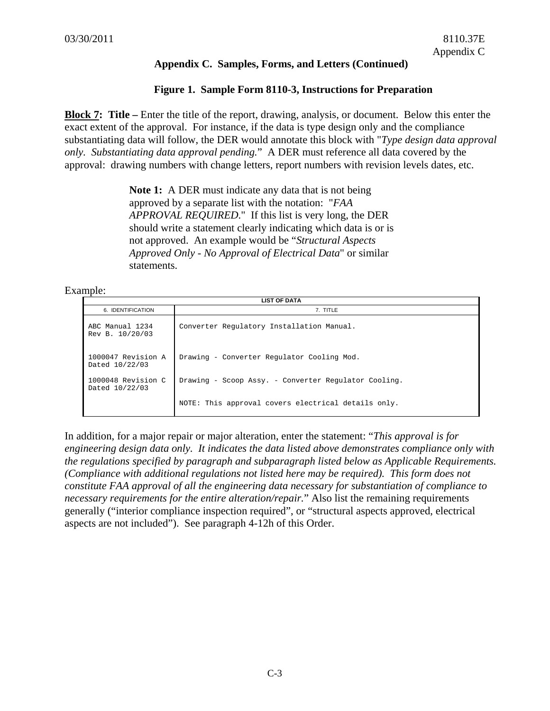### **Figure 1. Sample Form 8110-3, Instructions for Preparation**

**Block 7: Title** – Enter the title of the report, drawing, analysis, or document. Below this enter the exact extent of the approval. For instance, if the data is type design only and the compliance substantiating data will follow, the DER would annotate this block with "*Type design data approval only. Substantiating data approval pending.*" A DER must reference all data covered by the approval: drawing numbers with change letters, report numbers with revision levels dates, etc.

> **Note 1:** A DER must indicate any data that is not being approved by a separate list with the notation: "*FAA APPROVAL REQUIRED*." If this list is very long, the DER should write a statement clearly indicating which data is or is not approved. An example would be "*Structural Aspects Approved Only - No Approval of Electrical Data*" or similar statements.

#### Example:

| <b>LIST OF DATA</b>                  |                                                      |  |  |  |
|--------------------------------------|------------------------------------------------------|--|--|--|
| 6. IDENTIFICATION                    | 7. TITLE                                             |  |  |  |
| ABC Manual 1234<br>Rev B. 10/20/03   | Converter Regulatory Installation Manual.            |  |  |  |
| 1000047 Revision A<br>Dated 10/22/03 | Drawing - Converter Regulator Cooling Mod.           |  |  |  |
| 1000048 Revision C<br>Dated 10/22/03 | Drawing - Scoop Assy. - Converter Requiator Cooling. |  |  |  |
|                                      | NOTE: This approval covers electrical details only.  |  |  |  |

In addition, for a major repair or major alteration, enter the statement: "*This approval is for engineering design data only. It indicates the data listed above demonstrates compliance only with the regulations specified by paragraph and subparagraph listed below as Applicable Requirements. (Compliance with additional regulations not listed here may be required). This form does not constitute FAA approval of all the engineering data necessary for substantiation of compliance to necessary requirements for the entire alteration/repair.*" Also list the remaining requirements generally ("interior compliance inspection required", or "structural aspects approved, electrical aspects are not included"). See paragraph 4-12h of this Order.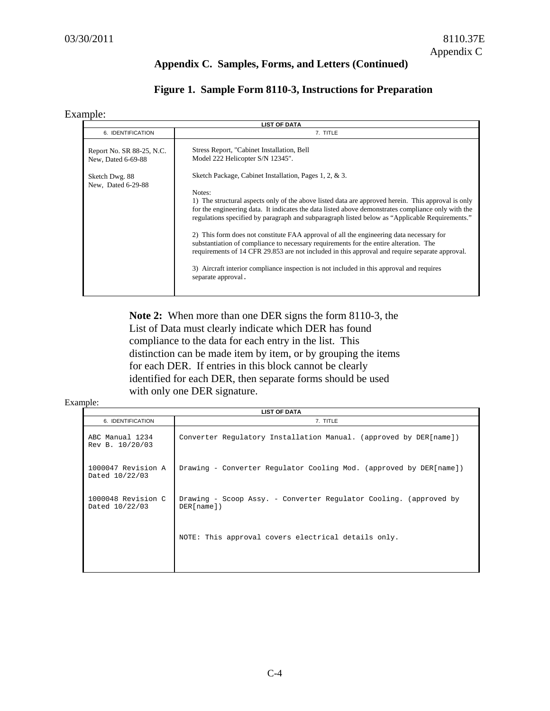# **Figure 1. Sample Form 8110-3, Instructions for Preparation**

#### Example:

| <b>LIST OF DATA</b>                                                                     |                                                                                                                                                                                                                                                                                                                                                                                                                                                                                                                                                                                                                                                                                                                                                                                                                                                                          |  |  |  |
|-----------------------------------------------------------------------------------------|--------------------------------------------------------------------------------------------------------------------------------------------------------------------------------------------------------------------------------------------------------------------------------------------------------------------------------------------------------------------------------------------------------------------------------------------------------------------------------------------------------------------------------------------------------------------------------------------------------------------------------------------------------------------------------------------------------------------------------------------------------------------------------------------------------------------------------------------------------------------------|--|--|--|
| 6. IDENTIFICATION                                                                       | 7. TITLE                                                                                                                                                                                                                                                                                                                                                                                                                                                                                                                                                                                                                                                                                                                                                                                                                                                                 |  |  |  |
| Report No. SR 88-25, N.C.<br>New, Dated 6-69-88<br>Sketch Dwg. 88<br>New, Dated 6-29-88 | Stress Report, "Cabinet Installation, Bell<br>Model 222 Helicopter S/N 12345".<br>Sketch Package, Cabinet Installation, Pages 1, 2, & 3.<br>Notes:<br>1) The structural aspects only of the above listed data are approved herein. This approval is only<br>for the engineering data. It indicates the data listed above demonstrates compliance only with the<br>regulations specified by paragraph and subparagraph listed below as "Applicable Requirements."<br>2) This form does not constitute FAA approval of all the engineering data necessary for<br>substantiation of compliance to necessary requirements for the entire alteration. The<br>requirements of 14 CFR 29.853 are not included in this approval and require separate approval.<br>3) Aircraft interior compliance inspection is not included in this approval and requires<br>separate approval. |  |  |  |
|                                                                                         |                                                                                                                                                                                                                                                                                                                                                                                                                                                                                                                                                                                                                                                                                                                                                                                                                                                                          |  |  |  |

**Note 2:** When more than one DER signs the form 8110-3, the List of Data must clearly indicate which DER has found compliance to the data for each entry in the list. This distinction can be made item by item, or by grouping the items for each DER. If entries in this block cannot be clearly identified for each DER, then separate forms should be used with only one DER signature.

#### Example:

| <b>LIST OF DATA</b>                  |                                                                                    |  |  |  |
|--------------------------------------|------------------------------------------------------------------------------------|--|--|--|
| 6. IDENTIFICATION                    | 7. TITLE                                                                           |  |  |  |
| ABC Manual 1234<br>Rev B. 10/20/03   | Converter Requlatory Installation Manual. (approved by DER[name])                  |  |  |  |
| 1000047 Revision A<br>Dated 10/22/03 | Drawing - Converter Regulator Cooling Mod. (approved by DER[name])                 |  |  |  |
| 1000048 Revision C<br>Dated 10/22/03 | Drawing - Scoop Assy. - Converter Regulator Cooling. (approved by<br>$DER[name]$ ) |  |  |  |
|                                      | NOTE: This approval covers electrical details only.                                |  |  |  |
|                                      |                                                                                    |  |  |  |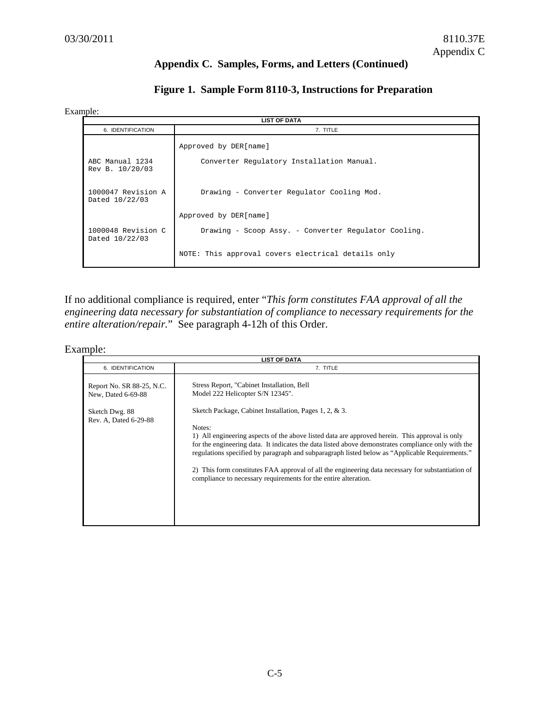# **Figure 1. Sample Form 8110-3, Instructions for Preparation**

#### Example:

| <b>LIST OF DATA</b>                  |                                                      |  |  |  |
|--------------------------------------|------------------------------------------------------|--|--|--|
| 6. IDENTIFICATION                    | 7. TITLE                                             |  |  |  |
|                                      | Approved by DER[name]                                |  |  |  |
| ABC Manual 1234<br>Rev B. 10/20/03   | Converter Regulatory Installation Manual.            |  |  |  |
| 1000047 Revision A<br>Dated 10/22/03 | Drawing - Converter Regulator Cooling Mod.           |  |  |  |
|                                      | Approved by DER[name]                                |  |  |  |
| 1000048 Revision C<br>Dated 10/22/03 | Drawing - Scoop Assy. - Converter Requiator Cooling. |  |  |  |
|                                      | NOTE: This approval covers electrical details only   |  |  |  |

If no additional compliance is required, enter "*This form constitutes FAA approval of all the engineering data necessary for substantiation of compliance to necessary requirements for the entire alteration/repair.*" See paragraph 4-12h of this Order.

### Example:

| <b>LIST OF DATA</b>                                                                        |                                                                                                                                                                                                                                                                                                                                                                                                                                                                                                                                                                                                                                      |  |  |  |
|--------------------------------------------------------------------------------------------|--------------------------------------------------------------------------------------------------------------------------------------------------------------------------------------------------------------------------------------------------------------------------------------------------------------------------------------------------------------------------------------------------------------------------------------------------------------------------------------------------------------------------------------------------------------------------------------------------------------------------------------|--|--|--|
| 6. IDENTIFICATION                                                                          | 7. TITLE                                                                                                                                                                                                                                                                                                                                                                                                                                                                                                                                                                                                                             |  |  |  |
| Report No. SR 88-25, N.C.<br>New, Dated 6-69-88<br>Sketch Dwg. 88<br>Rev. A, Dated 6-29-88 | Stress Report, "Cabinet Installation, Bell<br>Model 222 Helicopter S/N 12345".<br>Sketch Package, Cabinet Installation, Pages 1, 2, & 3.<br>Notes:<br>1) All engineering aspects of the above listed data are approved herein. This approval is only<br>for the engineering data. It indicates the data listed above demonstrates compliance only with the<br>regulations specified by paragraph and subparagraph listed below as "Applicable Requirements."<br>2) This form constitutes FAA approval of all the engineering data necessary for substantiation of<br>compliance to necessary requirements for the entire alteration. |  |  |  |
|                                                                                            |                                                                                                                                                                                                                                                                                                                                                                                                                                                                                                                                                                                                                                      |  |  |  |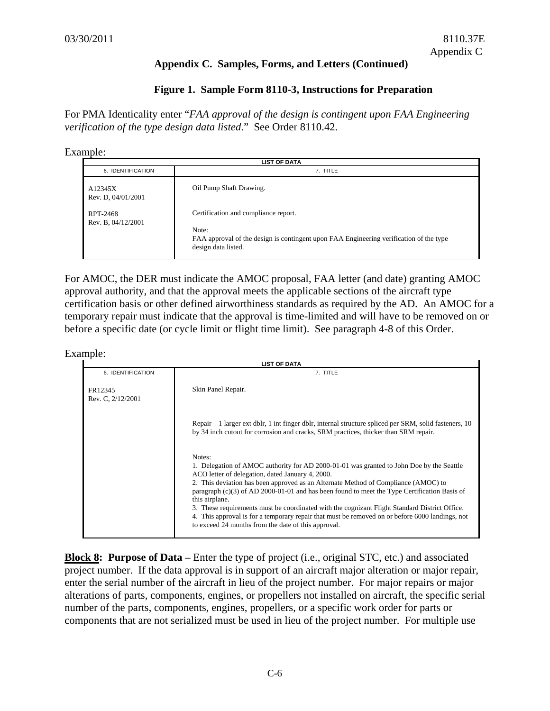### **Figure 1. Sample Form 8110-3, Instructions for Preparation**

For PMA Identicality enter "*FAA approval of the design is contingent upon FAA Engineering verification of the type design data listed*." See Order 8110.42.

#### Example:

| <b>LIST OF DATA</b>            |                                                                                                                                                                |  |  |  |
|--------------------------------|----------------------------------------------------------------------------------------------------------------------------------------------------------------|--|--|--|
| 6. IDENTIFICATION              | 7. TITLE                                                                                                                                                       |  |  |  |
| A12345X<br>Rev. D, 04/01/2001  | Oil Pump Shaft Drawing.                                                                                                                                        |  |  |  |
| RPT-2468<br>Rev. B, 04/12/2001 | Certification and compliance report.<br>Note:<br>FAA approval of the design is contingent upon FAA Engineering verification of the type<br>design data listed. |  |  |  |

For AMOC, the DER must indicate the AMOC proposal, FAA letter (and date) granting AMOC approval authority, and that the approval meets the applicable sections of the aircraft type certification basis or other defined airworthiness standards as required by the AD. An AMOC for a temporary repair must indicate that the approval is time-limited and will have to be removed on or before a specific date (or cycle limit or flight time limit). See paragraph 4-8 of this Order.

Example:

| <b>LIST OF DATA</b>          |                                                                                                                                                                                                                                                                                                                                                                                                                                                                                                                                                                                                                             |  |  |  |
|------------------------------|-----------------------------------------------------------------------------------------------------------------------------------------------------------------------------------------------------------------------------------------------------------------------------------------------------------------------------------------------------------------------------------------------------------------------------------------------------------------------------------------------------------------------------------------------------------------------------------------------------------------------------|--|--|--|
| 6. IDENTIFICATION            | 7. TITLE                                                                                                                                                                                                                                                                                                                                                                                                                                                                                                                                                                                                                    |  |  |  |
| FR12345<br>Rev. C, 2/12/2001 | Skin Panel Repair.                                                                                                                                                                                                                                                                                                                                                                                                                                                                                                                                                                                                          |  |  |  |
|                              | $\ell$ Repair – 1 larger ext dblr, 1 int finger dblr, internal structure spliced per SRM, solid fasteners, 10<br>by 34 inch cutout for corrosion and cracks, SRM practices, thicker than SRM repair.                                                                                                                                                                                                                                                                                                                                                                                                                        |  |  |  |
|                              | Notes:<br>1. Delegation of AMOC authority for AD 2000-01-01 was granted to John Doe by the Seattle<br>ACO letter of delegation, dated January 4, 2000.<br>2. This deviation has been approved as an Alternate Method of Compliance (AMOC) to<br>paragraph $(c)(3)$ of AD 2000-01-01 and has been found to meet the Type Certification Basis of<br>this airplane.<br>3. These requirements must be coordinated with the cognizant Flight Standard District Office.<br>4. This approval is for a temporary repair that must be removed on or before 6000 landings, not<br>to exceed 24 months from the date of this approval. |  |  |  |

**Block 8: Purpose of Data** – Enter the type of project (i.e., original STC, etc.) and associated project number. If the data approval is in support of an aircraft major alteration or major repair, enter the serial number of the aircraft in lieu of the project number. For major repairs or major alterations of parts, components, engines, or propellers not installed on aircraft, the specific serial number of the parts, components, engines, propellers, or a specific work order for parts or components that are not serialized must be used in lieu of the project number. For multiple use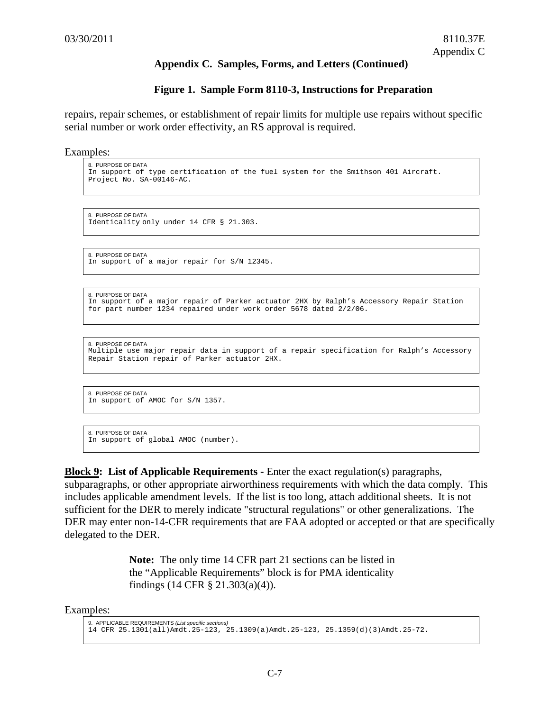#### **Figure 1. Sample Form 8110-3, Instructions for Preparation**

repairs, repair schemes, or establishment of repair limits for multiple use repairs without specific serial number or work order effectivity, an RS approval is required.

Examples:

```
8. PURPOSE OF DATA 
In support of type certification of the fuel system for the Smithson 401 Aircraft. 
Project No. SA-00146-AC.
```
8. PURPOSE OF DATA Identicality only under 14 CFR § 21.303.

8. PURPOSE OF DATA In support of a major repair for S/N 12345.

```
8. PURPOSE OF DATA 
In support of a major repair of Parker actuator 2HX by Ralph's Accessory Repair Station 
for part number 1234 repaired under work order 5678 dated 2/2/06.
```

```
8. PURPOSE OF DATA 
Multiple use major repair data in support of a repair specification for Ralph's Accessory 
Repair Station repair of Parker actuator 2HX.
```
8. PURPOSE OF DATA In support of AMOC for S/N 1357.

```
8. PURPOSE OF DATA 
In support of global AMOC (number).
```
**Block 9:** List of Applicable Requirements - Enter the exact regulation(s) paragraphs, subparagraphs, or other appropriate airworthiness requirements with which the data comply. This includes applicable amendment levels. If the list is too long, attach additional sheets. It is not sufficient for the DER to merely indicate "structural regulations" or other generalizations. The DER may enter non-14-CFR requirements that are FAA adopted or accepted or that are specifically delegated to the DER.

> **Note:** The only time 14 CFR part 21 sections can be listed in the "Applicable Requirements" block is for PMA identicality findings (14 CFR § 21.303(a)(4)).

Examples:

```
9. APPLICABLE REQUIREMENTS (List specific sections) 
14 CFR 25.1301(all)Amdt.25-123, 25.1309(a)Amdt.25-123, 25.1359(d)(3)Amdt.25-72.
```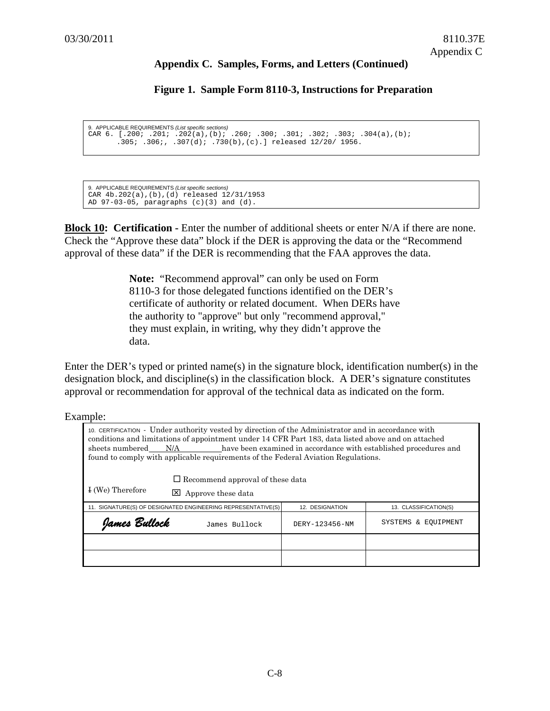#### **Figure 1. Sample Form 8110-3, Instructions for Preparation**

```
9. APPLICABLE REQUIREMENTS (List specific sections) 
CAR 6. [.200; .201; .202(a),(b); .260; .300; .301; .302; .303; .304(a),(b); 
       .305; .306;, .307(d); .730(b),(c).] released 12/20/ 1956.
```

```
9. APPLICABLE REQUIREMENTS (List specific sections) 
CAR 4b.202(a),(b),(d) released 12/31/1953 
AD 97-03-05, paragraphs (c)(3) and (d).
```
**Block 10: Certification -** Enter the number of additional sheets or enter N/A if there are none. Check the "Approve these data" block if the DER is approving the data or the "Recommend approval of these data" if the DER is recommending that the FAA approves the data.

> **Note:** "Recommend approval" can only be used on Form 8110-3 for those delegated functions identified on the DER's certificate of authority or related document. When DERs have the authority to "approve" but only "recommend approval," they must explain, in writing, why they didn't approve the data.

Enter the DER's typed or printed name(s) in the signature block, identification number(s) in the designation block, and discipline(s) in the classification block. A DER's signature constitutes approval or recommendation for approval of the technical data as indicated on the form.

Example:

| 10. CERTIFICATION - Under authority vested by direction of the Administrator and in accordance with<br>conditions and limitations of appointment under 14 CFR Part 183, data listed above and on attached<br>sheets numbered N/A have been examined in accordance with established procedures and<br>found to comply with applicable requirements of the Federal Aviation Regulations. |                                                                                                          |                |                     |  |  |
|----------------------------------------------------------------------------------------------------------------------------------------------------------------------------------------------------------------------------------------------------------------------------------------------------------------------------------------------------------------------------------------|----------------------------------------------------------------------------------------------------------|----------------|---------------------|--|--|
|                                                                                                                                                                                                                                                                                                                                                                                        | $\Box$ Recommend approval of these data                                                                  |                |                     |  |  |
| I (We) Therefore<br>l×l                                                                                                                                                                                                                                                                                                                                                                | Approve these data                                                                                       |                |                     |  |  |
|                                                                                                                                                                                                                                                                                                                                                                                        | 11. SIGNATURE(S) OF DESIGNATED ENGINEERING REPRESENTATIVE(S)<br>12. DESIGNATION<br>13. CLASSIFICATION(S) |                |                     |  |  |
| Yames Bullock                                                                                                                                                                                                                                                                                                                                                                          | James Bullock                                                                                            | DERY-123456-NM | SYSTEMS & EOUIPMENT |  |  |
|                                                                                                                                                                                                                                                                                                                                                                                        |                                                                                                          |                |                     |  |  |
|                                                                                                                                                                                                                                                                                                                                                                                        |                                                                                                          |                |                     |  |  |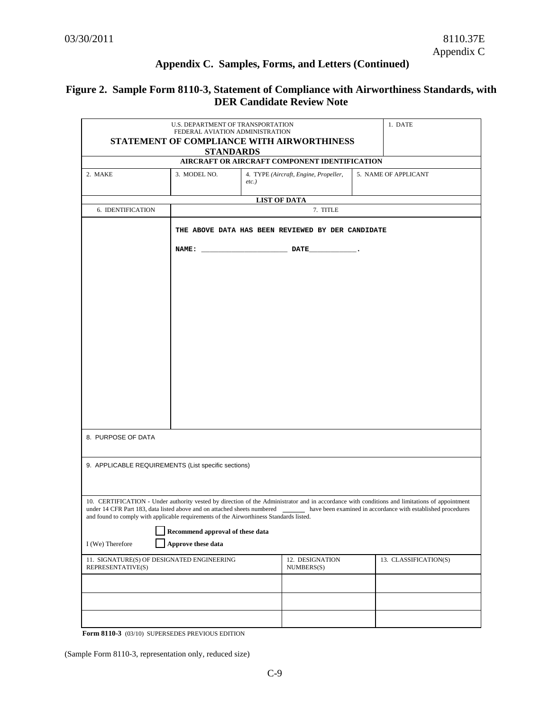# **Figure 2. Sample Form 8110-3, Statement of Compliance with Airworthiness Standards, with DER Candidate Review Note**

|                                                                                                                                                                     | U.S. DEPARTMENT OF TRANSPORTATION |                                                                                                                       |                                                   | 1. DATE                                                                                                                                                                                                       |
|---------------------------------------------------------------------------------------------------------------------------------------------------------------------|-----------------------------------|-----------------------------------------------------------------------------------------------------------------------|---------------------------------------------------|---------------------------------------------------------------------------------------------------------------------------------------------------------------------------------------------------------------|
|                                                                                                                                                                     | FEDERAL AVIATION ADMINISTRATION   |                                                                                                                       | STATEMENT OF COMPLIANCE WITH AIRWORTHINESS        |                                                                                                                                                                                                               |
|                                                                                                                                                                     | <b>STANDARDS</b>                  |                                                                                                                       |                                                   |                                                                                                                                                                                                               |
|                                                                                                                                                                     |                                   |                                                                                                                       | AIRCRAFT OR AIRCRAFT COMPONENT IDENTIFICATION     |                                                                                                                                                                                                               |
| 2. MAKE                                                                                                                                                             | 3. MODEL NO.                      | $etc.$ )                                                                                                              | 4. TYPE (Aircraft, Engine, Propeller,             | 5. NAME OF APPLICANT                                                                                                                                                                                          |
|                                                                                                                                                                     |                                   |                                                                                                                       | <b>LIST OF DATA</b>                               |                                                                                                                                                                                                               |
| 6. IDENTIFICATION                                                                                                                                                   |                                   |                                                                                                                       | 7. TITLE                                          |                                                                                                                                                                                                               |
|                                                                                                                                                                     |                                   |                                                                                                                       | THE ABOVE DATA HAS BEEN REVIEWED BY DER CANDIDATE |                                                                                                                                                                                                               |
|                                                                                                                                                                     | <b>NAME:</b>                      | <u>no control de la propincia de la propincia de la propincia de la propincia de la propincia de la propincia de </u> |                                                   |                                                                                                                                                                                                               |
|                                                                                                                                                                     |                                   |                                                                                                                       |                                                   |                                                                                                                                                                                                               |
|                                                                                                                                                                     |                                   |                                                                                                                       |                                                   |                                                                                                                                                                                                               |
|                                                                                                                                                                     |                                   |                                                                                                                       |                                                   |                                                                                                                                                                                                               |
|                                                                                                                                                                     |                                   |                                                                                                                       |                                                   |                                                                                                                                                                                                               |
|                                                                                                                                                                     |                                   |                                                                                                                       |                                                   |                                                                                                                                                                                                               |
|                                                                                                                                                                     |                                   |                                                                                                                       |                                                   |                                                                                                                                                                                                               |
|                                                                                                                                                                     |                                   |                                                                                                                       |                                                   |                                                                                                                                                                                                               |
|                                                                                                                                                                     |                                   |                                                                                                                       |                                                   |                                                                                                                                                                                                               |
|                                                                                                                                                                     |                                   |                                                                                                                       |                                                   |                                                                                                                                                                                                               |
|                                                                                                                                                                     |                                   |                                                                                                                       |                                                   |                                                                                                                                                                                                               |
|                                                                                                                                                                     |                                   |                                                                                                                       |                                                   |                                                                                                                                                                                                               |
|                                                                                                                                                                     |                                   |                                                                                                                       |                                                   |                                                                                                                                                                                                               |
| 8. PURPOSE OF DATA                                                                                                                                                  |                                   |                                                                                                                       |                                                   |                                                                                                                                                                                                               |
| 9. APPLICABLE REQUIREMENTS (List specific sections)                                                                                                                 |                                   |                                                                                                                       |                                                   |                                                                                                                                                                                                               |
|                                                                                                                                                                     |                                   |                                                                                                                       |                                                   |                                                                                                                                                                                                               |
|                                                                                                                                                                     |                                   |                                                                                                                       |                                                   |                                                                                                                                                                                                               |
| under 14 CFR Part 183, data listed above and on attached sheets numbered<br>and found to comply with applicable requirements of the Airworthiness Standards listed. |                                   |                                                                                                                       |                                                   | 10. CERTIFICATION - Under authority vested by direction of the Administrator and in accordance with conditions and limitations of appointment<br>have been examined in accordance with established procedures |
|                                                                                                                                                                     | Recommend approval of these data  |                                                                                                                       |                                                   |                                                                                                                                                                                                               |
| I (We) Therefore                                                                                                                                                    | Approve these data                |                                                                                                                       |                                                   |                                                                                                                                                                                                               |
| 11. SIGNATURE(S) OF DESIGNATED ENGINEERING<br>REPRESENTATIVE(S)                                                                                                     |                                   |                                                                                                                       | 12. DESIGNATION<br>NUMBERS(S)                     | 13. CLASSIFICATION(S)                                                                                                                                                                                         |
|                                                                                                                                                                     |                                   |                                                                                                                       |                                                   |                                                                                                                                                                                                               |
|                                                                                                                                                                     |                                   |                                                                                                                       |                                                   |                                                                                                                                                                                                               |
|                                                                                                                                                                     |                                   |                                                                                                                       |                                                   |                                                                                                                                                                                                               |
|                                                                                                                                                                     |                                   |                                                                                                                       |                                                   |                                                                                                                                                                                                               |

**Form 8110-3** (03/10) SUPERSEDES PREVIOUS EDITION

(Sample Form 8110-3, representation only, reduced size)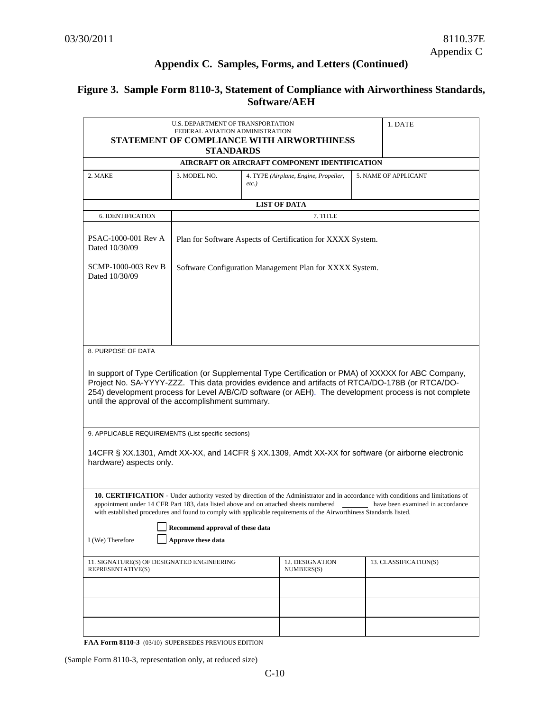# **Figure 3. Sample Form 8110-3, Statement of Compliance with Airworthiness Standards, Software/AEH**

|                                                                                                                                                                                                                                                                                                                                                                                                                                                                                  | U.S. DEPARTMENT OF TRANSPORTATION<br>FEDERAL AVIATION ADMINISTRATION | 1. DATE                                                                   |                       |  |  |  |  |
|----------------------------------------------------------------------------------------------------------------------------------------------------------------------------------------------------------------------------------------------------------------------------------------------------------------------------------------------------------------------------------------------------------------------------------------------------------------------------------|----------------------------------------------------------------------|---------------------------------------------------------------------------|-----------------------|--|--|--|--|
| STATEMENT OF COMPLIANCE WITH AIRWORTHINESS                                                                                                                                                                                                                                                                                                                                                                                                                                       |                                                                      |                                                                           |                       |  |  |  |  |
| <b>STANDARDS</b><br>AIRCRAFT OR AIRCRAFT COMPONENT IDENTIFICATION                                                                                                                                                                                                                                                                                                                                                                                                                |                                                                      |                                                                           |                       |  |  |  |  |
| 2. MAKE                                                                                                                                                                                                                                                                                                                                                                                                                                                                          | 3. MODEL NO.                                                         | 5. NAME OF APPLICANT<br>4. TYPE (Airplane, Engine, Propeller,<br>$etc.$ ) |                       |  |  |  |  |
|                                                                                                                                                                                                                                                                                                                                                                                                                                                                                  |                                                                      | <b>LIST OF DATA</b>                                                       |                       |  |  |  |  |
| 6. IDENTIFICATION                                                                                                                                                                                                                                                                                                                                                                                                                                                                |                                                                      | 7. TITLE                                                                  |                       |  |  |  |  |
| PSAC-1000-001 Rev A<br>Dated 10/30/09                                                                                                                                                                                                                                                                                                                                                                                                                                            | Plan for Software Aspects of Certification for XXXX System.          |                                                                           |                       |  |  |  |  |
| SCMP-1000-003 Rev B<br>Dated 10/30/09                                                                                                                                                                                                                                                                                                                                                                                                                                            | Software Configuration Management Plan for XXXX System.              |                                                                           |                       |  |  |  |  |
|                                                                                                                                                                                                                                                                                                                                                                                                                                                                                  |                                                                      |                                                                           |                       |  |  |  |  |
| 8. PURPOSE OF DATA                                                                                                                                                                                                                                                                                                                                                                                                                                                               |                                                                      |                                                                           |                       |  |  |  |  |
| In support of Type Certification (or Supplemental Type Certification or PMA) of XXXXX for ABC Company,<br>Project No. SA-YYYY-ZZZ. This data provides evidence and artifacts of RTCA/DO-178B (or RTCA/DO-<br>254) development process for Level A/B/C/D software (or AEH). The development process is not complete<br>until the approval of the accomplishment summary.                                                                                                          |                                                                      |                                                                           |                       |  |  |  |  |
| 9. APPLICABLE REQUIREMENTS (List specific sections)                                                                                                                                                                                                                                                                                                                                                                                                                              |                                                                      |                                                                           |                       |  |  |  |  |
| 14CFR § XX.1301, Amdt XX-XX, and 14CFR § XX.1309, Amdt XX-XX for software (or airborne electronic<br>hardware) aspects only.                                                                                                                                                                                                                                                                                                                                                     |                                                                      |                                                                           |                       |  |  |  |  |
| <b>10. CERTIFICATION -</b> Under authority vested by direction of the Administrator and in accordance with conditions and limitations of<br>appointment under 14 CFR Part 183, data listed above and on attached sheets numbered<br>have been examined in accordance<br>with established procedures and found to comply with applicable requirements of the Airworthiness Standards listed.<br>Recommend approval of these data<br>I (We) Therefore<br><b>Approve these data</b> |                                                                      |                                                                           |                       |  |  |  |  |
| 11. SIGNATURE(S) OF DESIGNATED ENGINEERING<br>REPRESENTATIVE(S)                                                                                                                                                                                                                                                                                                                                                                                                                  |                                                                      | 12. DESIGNATION<br>NUMBERS(S)                                             | 13. CLASSIFICATION(S) |  |  |  |  |
|                                                                                                                                                                                                                                                                                                                                                                                                                                                                                  |                                                                      |                                                                           |                       |  |  |  |  |
|                                                                                                                                                                                                                                                                                                                                                                                                                                                                                  |                                                                      |                                                                           |                       |  |  |  |  |
|                                                                                                                                                                                                                                                                                                                                                                                                                                                                                  |                                                                      |                                                                           |                       |  |  |  |  |

**FAA Form 8110-3** (03/10) SUPERSEDES PREVIOUS EDITION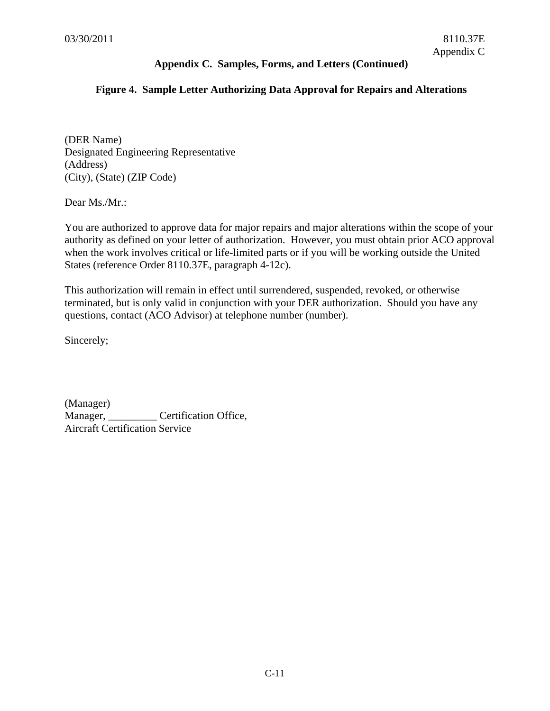### **Figure 4. Sample Letter Authorizing Data Approval for Repairs and Alterations**

(DER Name) Designated Engineering Representative (Address) (City), (State) (ZIP Code)

Dear Ms./Mr.:

You are authorized to approve data for major repairs and major alterations within the scope of your authority as defined on your letter of authorization. However, you must obtain prior ACO approval when the work involves critical or life-limited parts or if you will be working outside the United States (reference Order 8110.37E, paragraph 4-12c).

This authorization will remain in effect until surrendered, suspended, revoked, or otherwise terminated, but is only valid in conjunction with your DER authorization. Should you have any questions, contact (ACO Advisor) at telephone number (number).

Sincerely;

(Manager) Manager, Certification Office, Aircraft Certification Service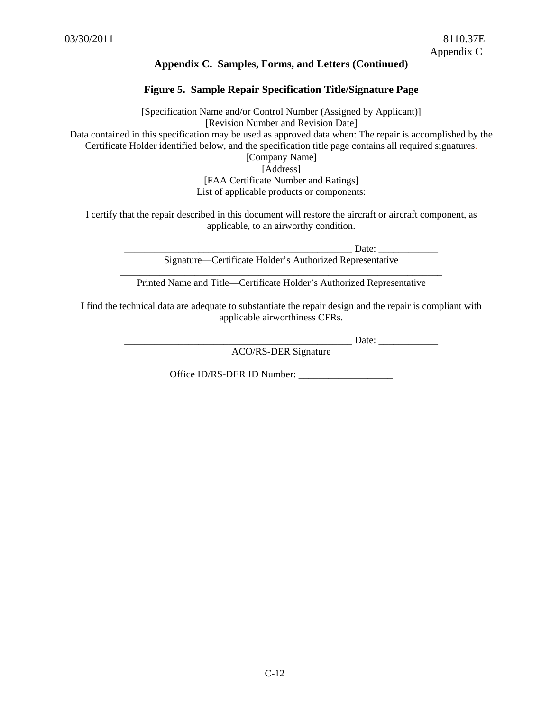### **Figure 5. Sample Repair Specification Title/Signature Page**

[Specification Name and/or Control Number (Assigned by Applicant)] [Revision Number and Revision Date] Data contained in this specification may be used as approved data when: The repair is accomplished by the Certificate Holder identified below, and the specification title page contains all required signatures. [Company Name] [Address] [FAA Certificate Number and Ratings]

List of applicable products or components:

I certify that the repair described in this document will restore the aircraft or aircraft component, as applicable, to an airworthy condition.

> \_\_\_\_\_\_\_\_\_\_\_\_\_\_\_\_\_\_\_\_\_\_\_\_\_\_\_\_\_\_\_\_\_\_\_\_\_\_\_\_\_\_\_\_\_\_ Date: \_\_\_\_\_\_\_\_\_\_\_\_ Signature—Certificate Holder's Authorized Representative

\_\_\_\_\_\_\_\_\_\_\_\_\_\_\_\_\_\_\_\_\_\_\_\_\_\_\_\_\_\_\_\_\_\_\_\_\_\_\_\_\_\_\_\_\_\_\_\_\_\_\_\_\_\_\_\_\_\_\_\_\_\_\_\_\_ Printed Name and Title—Certificate Holder's Authorized Representative

I find the technical data are adequate to substantiate the repair design and the repair is compliant with applicable airworthiness CFRs.

\_\_\_\_\_\_\_\_\_\_\_\_\_\_\_\_\_\_\_\_\_\_\_\_\_\_\_\_\_\_\_\_\_\_\_\_\_\_\_\_\_\_\_\_\_\_ Date: \_\_\_\_\_\_\_\_\_\_\_\_

ACO/RS-DER Signature

Office ID/RS-DER ID Number: \_\_\_\_\_\_\_\_\_\_\_\_\_\_\_\_\_\_\_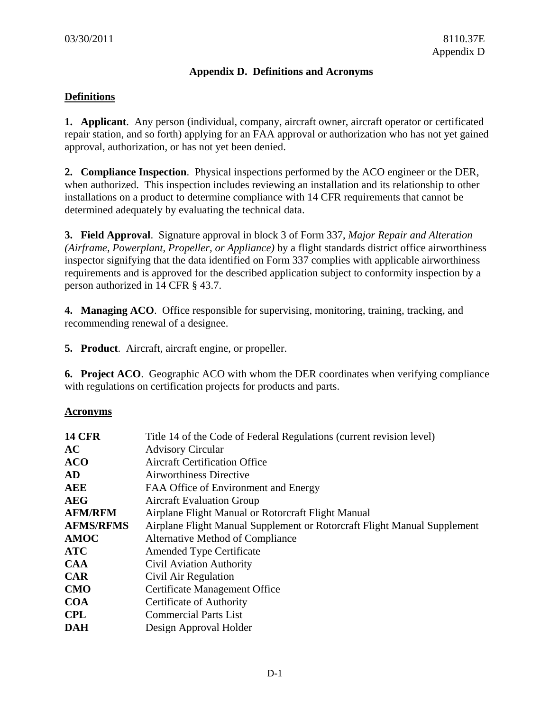### **Appendix D. Definitions and Acronyms**

### **Definitions**

**1. Applicant**. Any person (individual, company, aircraft owner, aircraft operator or certificated repair station, and so forth) applying for an FAA approval or authorization who has not yet gained approval, authorization, or has not yet been denied.

**2. Compliance Inspection**. Physical inspections performed by the ACO engineer or the DER, when authorized. This inspection includes reviewing an installation and its relationship to other installations on a product to determine compliance with 14 CFR requirements that cannot be determined adequately by evaluating the technical data.

**3. Field Approval**. Signature approval in block 3 of Form 337, *Major Repair and Alteration (Airframe, Powerplant, Propeller, or Appliance)* by a flight standards district office airworthiness inspector signifying that the data identified on Form 337 complies with applicable airworthiness requirements and is approved for the described application subject to conformity inspection by a person authorized in 14 CFR § 43.7.

**4. Managing ACO**. Office responsible for supervising, monitoring, training, tracking, and recommending renewal of a designee.

**5. Product**. Aircraft, aircraft engine, or propeller.

**6. Project ACO**. Geographic ACO with whom the DER coordinates when verifying compliance with regulations on certification projects for products and parts.

### **Acronyms**

| <b>14 CFR</b>    | Title 14 of the Code of Federal Regulations (current revision level)     |
|------------------|--------------------------------------------------------------------------|
| AC               | <b>Advisory Circular</b>                                                 |
| <b>ACO</b>       | <b>Aircraft Certification Office</b>                                     |
| <b>AD</b>        | <b>Airworthiness Directive</b>                                           |
| <b>AEE</b>       | FAA Office of Environment and Energy                                     |
| <b>AEG</b>       | <b>Aircraft Evaluation Group</b>                                         |
| <b>AFM/RFM</b>   | Airplane Flight Manual or Rotorcraft Flight Manual                       |
| <b>AFMS/RFMS</b> | Airplane Flight Manual Supplement or Rotorcraft Flight Manual Supplement |
| <b>AMOC</b>      | Alternative Method of Compliance                                         |
| <b>ATC</b>       | <b>Amended Type Certificate</b>                                          |
| <b>CAA</b>       | <b>Civil Aviation Authority</b>                                          |
| <b>CAR</b>       | Civil Air Regulation                                                     |
| <b>CMO</b>       | Certificate Management Office                                            |
| <b>COA</b>       | Certificate of Authority                                                 |
| <b>CPL</b>       | <b>Commercial Parts List</b>                                             |
| <b>DAH</b>       | Design Approval Holder                                                   |
|                  |                                                                          |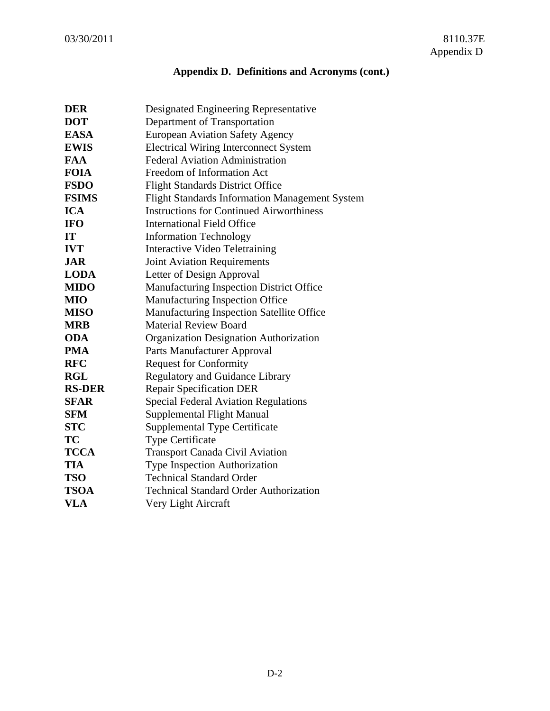# **Appendix D. Definitions and Acronyms (cont.)**

| Designated Engineering Representative                 |
|-------------------------------------------------------|
| Department of Transportation                          |
| <b>European Aviation Safety Agency</b>                |
| <b>Electrical Wiring Interconnect System</b>          |
| <b>Federal Aviation Administration</b>                |
| Freedom of Information Act                            |
| <b>Flight Standards District Office</b>               |
| <b>Flight Standards Information Management System</b> |
| <b>Instructions for Continued Airworthiness</b>       |
| <b>International Field Office</b>                     |
| <b>Information Technology</b>                         |
| <b>Interactive Video Teletraining</b>                 |
| <b>Joint Aviation Requirements</b>                    |
| Letter of Design Approval                             |
| Manufacturing Inspection District Office              |
| Manufacturing Inspection Office                       |
| Manufacturing Inspection Satellite Office             |
| <b>Material Review Board</b>                          |
| <b>Organization Designation Authorization</b>         |
| Parts Manufacturer Approval                           |
| <b>Request for Conformity</b>                         |
| <b>Regulatory and Guidance Library</b>                |
| <b>Repair Specification DER</b>                       |
| <b>Special Federal Aviation Regulations</b>           |
| <b>Supplemental Flight Manual</b>                     |
| <b>Supplemental Type Certificate</b>                  |
| <b>Type Certificate</b>                               |
| <b>Transport Canada Civil Aviation</b>                |
| <b>Type Inspection Authorization</b>                  |
| <b>Technical Standard Order</b>                       |
| <b>Technical Standard Order Authorization</b>         |
| Very Light Aircraft                                   |
|                                                       |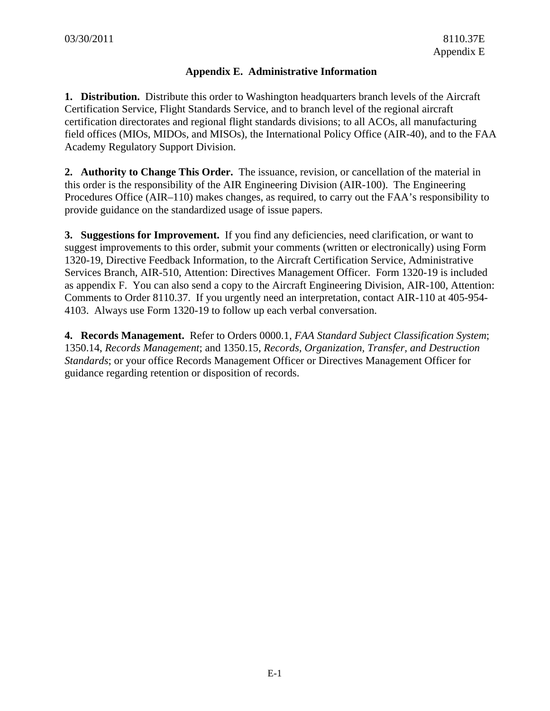# **Appendix E. Administrative Information**

**1. Distribution.** Distribute this order to Washington headquarters branch levels of the Aircraft Certification Service, Flight Standards Service, and to branch level of the regional aircraft certification directorates and regional flight standards divisions; to all ACOs, all manufacturing field offices (MIOs, MIDOs, and MISOs), the International Policy Office (AIR-40), and to the FAA Academy Regulatory Support Division.

**2. Authority to Change This Order.** The issuance, revision, or cancellation of the material in this order is the responsibility of the AIR Engineering Division (AIR-100). The Engineering Procedures Office (AIR–110) makes changes, as required, to carry out the FAA's responsibility to provide guidance on the standardized usage of issue papers.

**3. Suggestions for Improvement.** If you find any deficiencies, need clarification, or want to suggest improvements to this order, submit your comments (written or electronically) using Form 1320-19, Directive Feedback Information, to the Aircraft Certification Service, Administrative Services Branch, AIR-510, Attention: Directives Management Officer. Form 1320-19 is included as appendix F. You can also send a copy to the Aircraft Engineering Division, AIR-100, Attention: Comments to Order 8110.37. If you urgently need an interpretation, contact AIR-110 at 405-954- 4103. Always use Form 1320-19 to follow up each verbal conversation.

**4. Records Management.** Refer to Orders 0000.1, *FAA Standard Subject Classification System*; 1350.14, *Records Management*; and 1350.15, *Records, Organization, Transfer, and Destruction Standards*; or your office Records Management Officer or Directives Management Officer for guidance regarding retention or disposition of records.